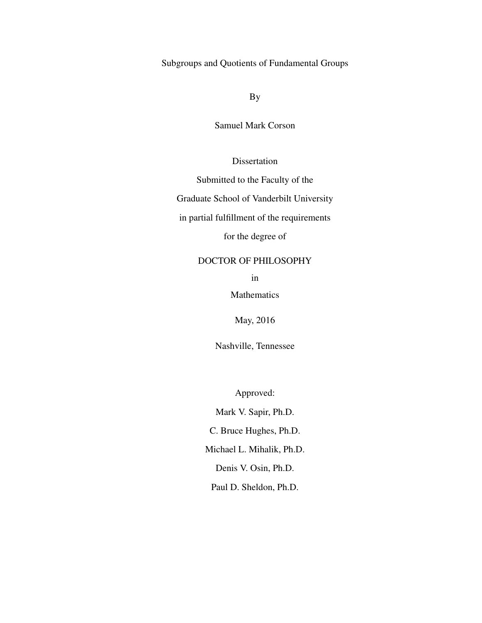Subgroups and Quotients of Fundamental Groups

By

Samuel Mark Corson

Dissertation

Submitted to the Faculty of the

Graduate School of Vanderbilt University

in partial fulfillment of the requirements

for the degree of

## DOCTOR OF PHILOSOPHY

in

Mathematics

May, 2016

Nashville, Tennessee

Approved:

Mark V. Sapir, Ph.D. C. Bruce Hughes, Ph.D. Michael L. Mihalik, Ph.D. Denis V. Osin, Ph.D.

Paul D. Sheldon, Ph.D.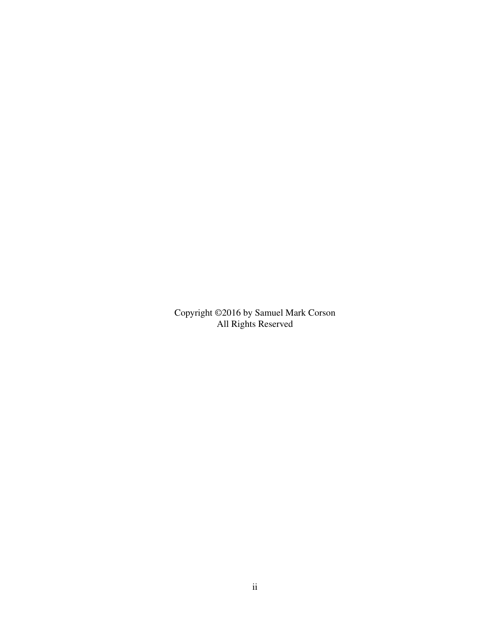Copyright ©2016 by Samuel Mark Corson All Rights Reserved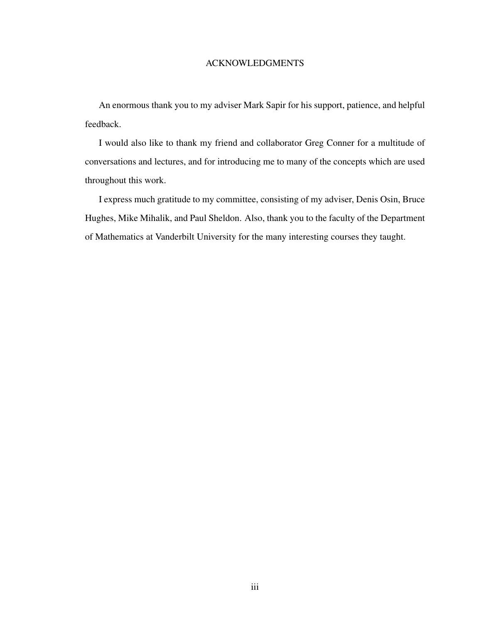## ACKNOWLEDGMENTS

An enormous thank you to my adviser Mark Sapir for his support, patience, and helpful feedback.

I would also like to thank my friend and collaborator Greg Conner for a multitude of conversations and lectures, and for introducing me to many of the concepts which are used throughout this work.

I express much gratitude to my committee, consisting of my adviser, Denis Osin, Bruce Hughes, Mike Mihalik, and Paul Sheldon. Also, thank you to the faculty of the Department of Mathematics at Vanderbilt University for the many interesting courses they taught.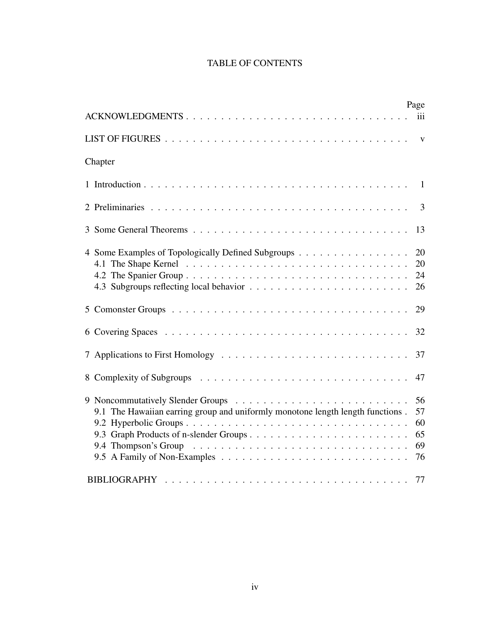# TABLE OF CONTENTS

| ACKNOWLEDGMENTS                                                                | Page<br>iii                      |
|--------------------------------------------------------------------------------|----------------------------------|
|                                                                                |                                  |
| Chapter                                                                        |                                  |
|                                                                                |                                  |
|                                                                                | 3                                |
|                                                                                | 13                               |
| 4 Some Examples of Topologically Defined Subgroups                             | 20<br>20<br>24<br>26             |
|                                                                                | 29                               |
|                                                                                | 32                               |
|                                                                                | 37                               |
|                                                                                | 47                               |
| 9.1 The Hawaiian earring group and uniformly monotone length length functions. | 56<br>57<br>60<br>65<br>69<br>76 |
|                                                                                | 77                               |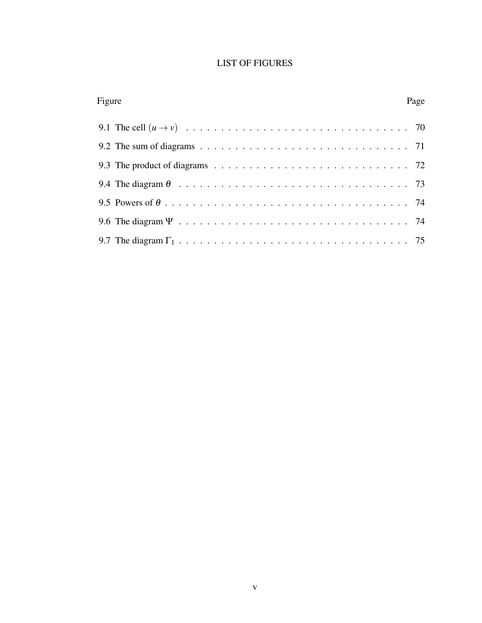## LIST OF FIGURES

| Figure |                                                                                                                      | Page |
|--------|----------------------------------------------------------------------------------------------------------------------|------|
|        |                                                                                                                      |      |
|        | 9.2 The sum of diagrams $\ldots \ldots \ldots \ldots \ldots \ldots \ldots \ldots \ldots \ldots \ldots \ldots \ldots$ |      |
|        |                                                                                                                      |      |
|        |                                                                                                                      |      |
|        |                                                                                                                      |      |
|        |                                                                                                                      |      |
|        |                                                                                                                      |      |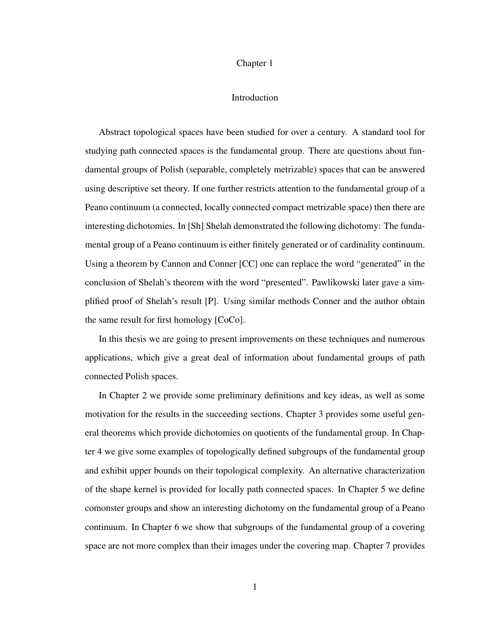#### Chapter 1

#### Introduction

Abstract topological spaces have been studied for over a century. A standard tool for studying path connected spaces is the fundamental group. There are questions about fundamental groups of Polish (separable, completely metrizable) spaces that can be answered using descriptive set theory. If one further restricts attention to the fundamental group of a Peano continuum (a connected, locally connected compact metrizable space) then there are interesting dichotomies. In [Sh] Shelah demonstrated the following dichotomy: The fundamental group of a Peano continuum is either finitely generated or of cardinality continuum. Using a theorem by Cannon and Conner [CC] one can replace the word "generated" in the conclusion of Shelah's theorem with the word "presented". Pawlikowski later gave a simplified proof of Shelah's result [P]. Using similar methods Conner and the author obtain the same result for first homology [CoCo].

In this thesis we are going to present improvements on these techniques and numerous applications, which give a great deal of information about fundamental groups of path connected Polish spaces.

In Chapter 2 we provide some preliminary definitions and key ideas, as well as some motivation for the results in the succeeding sections. Chapter 3 provides some useful general theorems which provide dichotomies on quotients of the fundamental group. In Chapter 4 we give some examples of topologically defined subgroups of the fundamental group and exhibit upper bounds on their topological complexity. An alternative characterization of the shape kernel is provided for locally path connected spaces. In Chapter 5 we define comonster groups and show an interesting dichotomy on the fundamental group of a Peano continuum. In Chapter 6 we show that subgroups of the fundamental group of a covering space are not more complex than their images under the covering map. Chapter 7 provides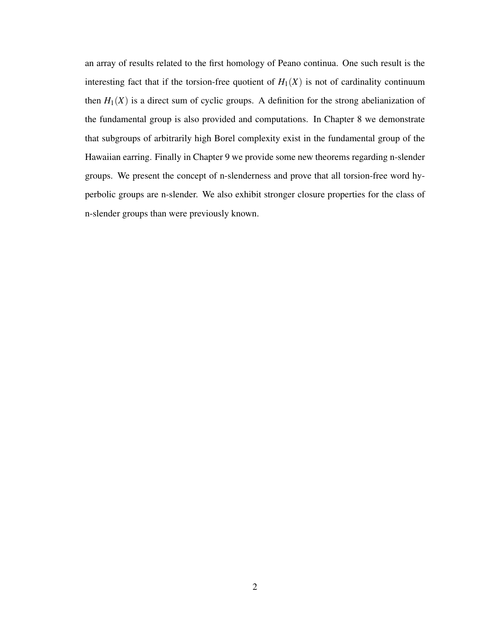an array of results related to the first homology of Peano continua. One such result is the interesting fact that if the torsion-free quotient of  $H_1(X)$  is not of cardinality continuum then  $H_1(X)$  is a direct sum of cyclic groups. A definition for the strong abelianization of the fundamental group is also provided and computations. In Chapter 8 we demonstrate that subgroups of arbitrarily high Borel complexity exist in the fundamental group of the Hawaiian earring. Finally in Chapter 9 we provide some new theorems regarding n-slender groups. We present the concept of n-slenderness and prove that all torsion-free word hyperbolic groups are n-slender. We also exhibit stronger closure properties for the class of n-slender groups than were previously known.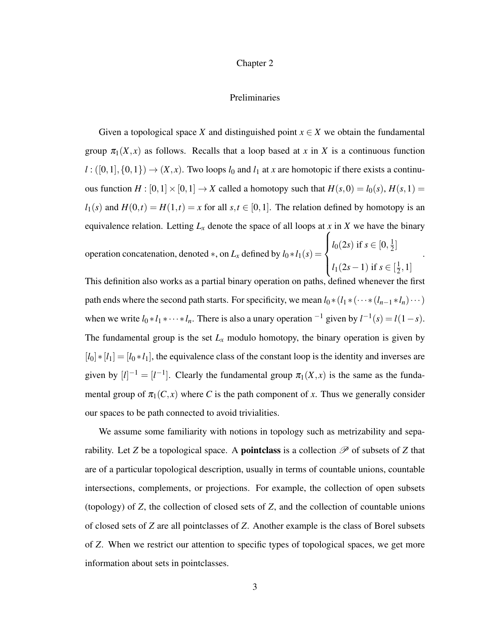#### Chapter 2

### Preliminaries

Given a topological space *X* and distinguished point  $x \in X$  we obtain the fundamental group  $\pi_1(X, x)$  as follows. Recalls that a loop based at x in X is a continuous function  $l : ([0,1], \{0,1\}) \rightarrow (X,x)$ . Two loops  $l_0$  and  $l_1$  at *x* are homotopic if there exists a continuous function  $H : [0,1] \times [0,1] \rightarrow X$  called a homotopy such that  $H(s,0) = l_0(s)$ ,  $H(s,1) =$  $l_1(s)$  and  $H(0,t) = H(1,t) = x$  for all  $s,t \in [0,1]$ . The relation defined by homotopy is an equivalence relation. Letting  $L_x$  denote the space of all loops at  $x$  in  $X$  we have the binary

operation concatenation, denoted  $*$ , on  $L_x$  defined by  $l_0 * l_1(s) =$  $\sqrt{ }$  $\int$  $\overline{\mathcal{L}}$  $l_0(2s)$  if  $s\in[0,\frac{1}{2}]$  $\frac{1}{2}$ ] *l*<sub>1</sub>(2*s*−1) if *s* ∈  $\left[\frac{1}{2}\right]$  $\frac{1}{2}, 1]$ .

This definition also works as a partial binary operation on paths, defined whenever the first path ends where the second path starts. For specificity, we mean  $l_0 * (l_1 * (···*(l_{n-1} * l_n) ···)$ when we write  $l_0 * l_1 * \cdots * l_n$ . There is also a unary operation <sup>-1</sup> given by  $l^{-1}(s) = l(1-s)$ . The fundamental group is the set  $L<sub>x</sub>$  modulo homotopy, the binary operation is given by [*l*0]∗[*l*1] = [*l*<sup>0</sup> ∗*l*1], the equivalence class of the constant loop is the identity and inverses are given by  $[l]^{-1} = [l^{-1}]$ . Clearly the fundamental group  $\pi_1(X, x)$  is the same as the fundamental group of  $\pi_1(C, x)$  where *C* is the path component of *x*. Thus we generally consider our spaces to be path connected to avoid trivialities.

We assume some familiarity with notions in topology such as metrizability and separability. Let *Z* be a topological space. A **pointclass** is a collection  $\mathscr P$  of subsets of *Z* that are of a particular topological description, usually in terms of countable unions, countable intersections, complements, or projections. For example, the collection of open subsets (topology) of *Z*, the collection of closed sets of *Z*, and the collection of countable unions of closed sets of *Z* are all pointclasses of *Z*. Another example is the class of Borel subsets of *Z*. When we restrict our attention to specific types of topological spaces, we get more information about sets in pointclasses.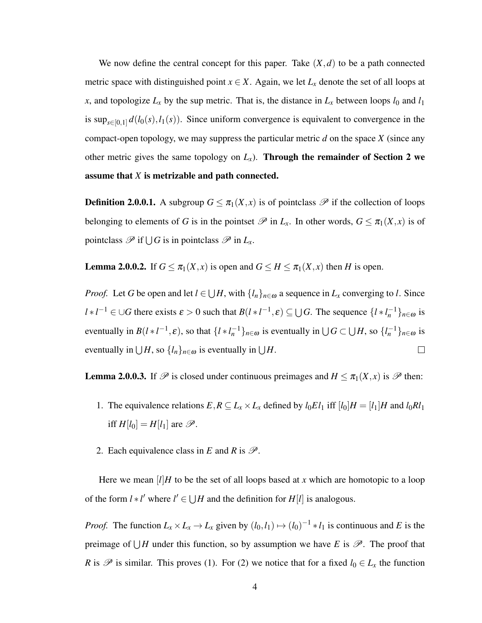We now define the central concept for this paper. Take  $(X,d)$  to be a path connected metric space with distinguished point  $x \in X$ . Again, we let  $L_x$  denote the set of all loops at *x*, and topologize  $L_x$  by the sup metric. That is, the distance in  $L_x$  between loops  $l_0$  and  $l_1$ is  $\sup_{s \in [0,1]} d(l_0(s), l_1(s))$ . Since uniform convergence is equivalent to convergence in the compact-open topology, we may suppress the particular metric *d* on the space *X* (since any other metric gives the same topology on  $L<sub>x</sub>$ ). Through the remainder of Section 2 we assume that *X* is metrizable and path connected.

**Definition 2.0.0.1.** A subgroup  $G \leq \pi_1(X, x)$  is of pointclass  $\mathcal{P}$  if the collection of loops belonging to elements of *G* is in the pointset  $\mathcal P$  in  $L_x$ . In other words,  $G \leq \pi_1(X,x)$  is of pointclass  $\mathscr P$  if  $\bigcup G$  is in pointclass  $\mathscr P$  in  $L_x$ .

**Lemma 2.0.0.2.** If  $G \leq \pi_1(X,x)$  is open and  $G \leq H \leq \pi_1(X,x)$  then *H* is open.

*Proof.* Let *G* be open and let  $l \in \bigcup H$ , with  $\{l_n\}_{n \in \omega}$  a sequence in  $L_x$  converging to *l*. Since  $l * l^{-1} \in \bigcup G$  there exists  $\varepsilon > 0$  such that  $B(l * l^{-1}, \varepsilon) \subseteq \bigcup G$ . The sequence  $\{l * l_n^{-1}\}_{n \in \omega}$  is eventually in  $B(l * l^{-1}, \varepsilon)$ , so that  $\{l * l_n^{-1}\}_{n \in \omega}$  is eventually in  $\bigcup G \subset \bigcup H$ , so  $\{l_n^{-1}\}_{n \in \omega}$  is eventually in  $\bigcup H$ , so  $\{l_n\}_{n\in\omega}$  is eventually in  $\bigcup H$ .  $\Box$ 

**Lemma 2.0.0.3.** If  $\mathcal{P}$  is closed under continuous preimages and  $H \leq \pi_1(X, x)$  is  $\mathcal{P}$  then:

- 1. The equivalence relations  $E, R \subseteq L_x \times L_x$  defined by  $l_0 E l_1$  iff  $[l_0]H = [l_1]H$  and  $l_0 R l_1$ iff  $H[l_0] = H[l_1]$  are  $\mathcal{P}$ .
- 2. Each equivalence class in *E* and *R* is  $\mathscr{P}$ .

Here we mean  $\lfloor l \rfloor H$  to be the set of all loops based at x which are homotopic to a loop of the form  $l * l'$  where  $l' \in \bigcup H$  and the definition for  $H[l]$  is analogous.

*Proof.* The function  $L_x \times L_x \to L_x$  given by  $(l_0, l_1) \mapsto (l_0)^{-1} * l_1$  is continuous and *E* is the preimage of  $\bigcup H$  under this function, so by assumption we have *E* is  $\mathscr{P}$ . The proof that *R* is  $\mathcal P$  is similar. This proves (1). For (2) we notice that for a fixed  $l_0 \in L_x$  the function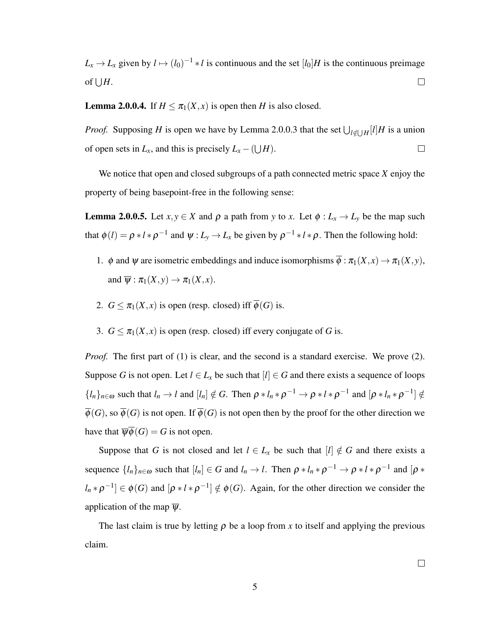$L_x \to L_x$  given by  $l \mapsto (l_0)^{-1} * l$  is continuous and the set  $[l_0]H$  is the continuous preimage of  $\bigcup H$ .  $\Box$ 

**Lemma 2.0.0.4.** If  $H \leq \pi_1(X, x)$  is open then *H* is also closed.

*Proof.* Supposing *H* is open we have by Lemma 2.0.0.3 that the set  $\bigcup_{l \notin \bigcup H} [l]$ *H* is a union of open sets in  $L_x$ , and this is precisely  $L_x - (\bigcup H)$ .  $\Box$ 

We notice that open and closed subgroups of a path connected metric space *X* enjoy the property of being basepoint-free in the following sense:

**Lemma 2.0.0.5.** Let  $x, y \in X$  and  $\rho$  a path from *y* to *x*. Let  $\phi : L_x \to L_y$  be the map such that  $\phi(l) = \rho * l * \rho^{-1}$  and  $\psi: L_y \to L_x$  be given by  $\rho^{-1} * l * \rho$ . Then the following hold:

- 1. φ and  $\psi$  are isometric embeddings and induce isomorphisms  $\overline{\phi} : \pi_1(X, x) \to \pi_1(X, y)$ , and  $\overline{\psi}: \pi_1(X, y) \to \pi_1(X, x)$ .
- 2.  $G \leq \pi_1(X, x)$  is open (resp. closed) iff  $\overline{\phi}(G)$  is.
- 3.  $G \leq \pi_1(X, x)$  is open (resp. closed) iff every conjugate of *G* is.

*Proof.* The first part of (1) is clear, and the second is a standard exercise. We prove (2). Suppose *G* is not open. Let  $l \in L_x$  be such that  $[l] \in G$  and there exists a sequence of loops  $\{l_n\}_{n\in\omega}$  such that  $l_n \to l$  and  $[l_n] \notin G$ . Then  $\rho * l_n * \rho^{-1} \to \rho * l * \rho^{-1}$  and  $[\rho * l_n * \rho^{-1}] \notin G$  $\overline{\phi}(G)$ , so  $\overline{\phi}(G)$  is not open. If  $\overline{\phi}(G)$  is not open then by the proof for the other direction we have that  $\overline{\psi}\overline{\phi}(G) = G$  is not open.

Suppose that *G* is not closed and let  $l \in L_x$  be such that  $[l] \notin G$  and there exists a sequence  $\{l_n\}_{n \in \omega}$  such that  $[l_n] \in G$  and  $l_n \to l$ . Then  $\rho * l_n * \rho^{-1} \to \rho * l * \rho^{-1}$  and  $[\rho *$  $l_n * \rho^{-1}$   $\in \phi(G)$  and  $[\rho * l * \rho^{-1}] \notin \phi(G)$ . Again, for the other direction we consider the application of the map  $\overline{\Psi}$ .

The last claim is true by letting  $\rho$  be a loop from x to itself and applying the previous claim.

 $\Box$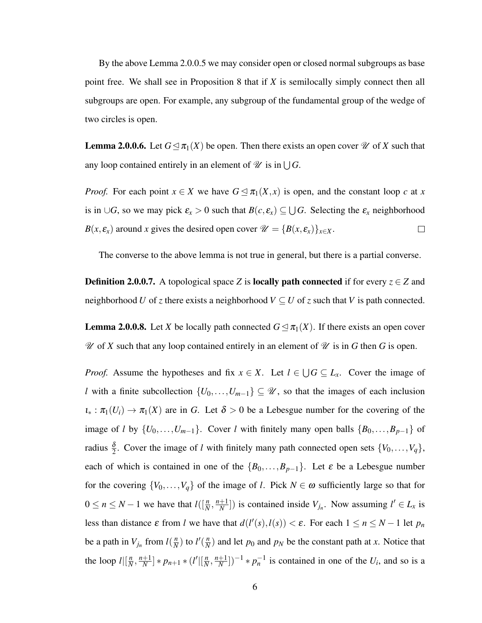By the above Lemma 2.0.0.5 we may consider open or closed normal subgroups as base point free. We shall see in Proposition 8 that if *X* is semilocally simply connect then all subgroups are open. For example, any subgroup of the fundamental group of the wedge of two circles is open.

**Lemma 2.0.0.6.** Let  $G \leq \pi_1(X)$  be open. Then there exists an open cover  $\mathcal{U}$  of X such that any loop contained entirely in an element of  $\mathscr U$  is in  $\bigcup G$ .

*Proof.* For each point  $x \in X$  we have  $G \leq \pi_1(X, x)$  is open, and the constant loop c at x is in  $\cup$ *G*, so we may pick  $\varepsilon_x > 0$  such that  $B(c, \varepsilon_x) \subseteq \bigcup G$ . Selecting the  $\varepsilon_x$  neighborhood  $B(x, \varepsilon_x)$  around *x* gives the desired open cover  $\mathcal{U} = \{B(x, \varepsilon_x)\}_{x \in X}$ .  $\Box$ 

The converse to the above lemma is not true in general, but there is a partial converse.

**Definition 2.0.0.7.** A topological space *Z* is **locally path connected** if for every  $z \in Z$  and neighborhood *U* of *z* there exists a neighborhood  $V \subseteq U$  of *z* such that *V* is path connected.

**Lemma 2.0.0.8.** Let *X* be locally path connected  $G \leq \pi_1(X)$ . If there exists an open cover  $\mathscr U$  of *X* such that any loop contained entirely in an element of  $\mathscr U$  is in *G* then *G* is open.

*Proof.* Assume the hypotheses and fix  $x \in X$ . Let  $l \in \bigcup G \subseteq L_x$ . Cover the image of *l* with a finite subcollection  $\{U_0, \ldots, U_{m-1}\} \subseteq \mathcal{U}$ , so that the images of each inclusion  $\iota_* : \pi_1(U_i) \to \pi_1(X)$  are in *G*. Let  $\delta > 0$  be a Lebesgue number for the covering of the image of *l* by  $\{U_0, \ldots, U_{m-1}\}$ . Cover *l* with finitely many open balls  $\{B_0, \ldots, B_{p-1}\}$  of radius  $\frac{\delta}{2}$ . Cover the image of *l* with finitely many path connected open sets  $\{V_0, \ldots, V_q\}$ , each of which is contained in one of the  ${B_0, \ldots, B_{p-1}}$ . Let  $\varepsilon$  be a Lebesgue number for the covering  $\{V_0, \ldots, V_q\}$  of the image of *l*. Pick  $N \in \omega$  sufficiently large so that for  $0 \le n \le N - 1$  we have that  $l(\frac{n}{N}, \frac{n+1}{N})$  $\left[\frac{+1}{N}\right]$ ) is contained inside  $V_{j_n}$ . Now assuming  $l' \in L_x$  is less than distance  $\varepsilon$  from *l* we have that  $d(l'(s), l(s)) < \varepsilon$ . For each  $1 \le n \le N - 1$  let  $p_n$ be a path in  $V_{j_n}$  from  $l(\frac{n}{N})$  $\frac{n}{N}$ ) to  $l'(\frac{n}{N})$  $\frac{n}{N}$ ) and let  $p_0$  and  $p_N$  be the constant path at *x*. Notice that the loop  $l \mid \left[\frac{n}{\lambda}\right]$  $\frac{n}{N}$ ,  $\frac{n+1}{N}$  $\frac{+1}{N}$  | \*  $p_{n+1}$  \*  $(l' | [\frac{n}{N}]$  $\frac{n}{N}$ ,  $\frac{n+1}{N}$  $\left(\frac{+1}{N}\right)$ <sup>-1</sup> \*  $p_n^{-1}$  is contained in one of the *U<sub>i</sub>*, and so is a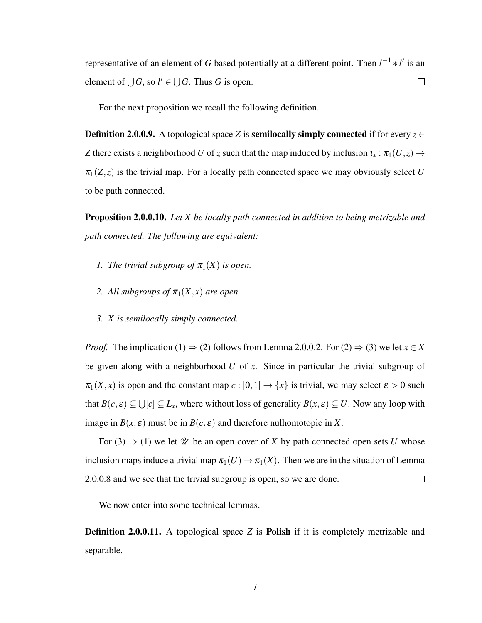representative of an element of *G* based potentially at a different point. Then  $l^{-1}$  ∗ *l'* is an element of  $\bigcup G$ , so  $l' \in \bigcup G$ . Thus *G* is open.  $\Box$ 

For the next proposition we recall the following definition.

**Definition 2.0.0.9.** A topological space *Z* is **semilocally simply connected** if for every  $z \in$ *Z* there exists a neighborhood *U* of *z* such that the map induced by inclusion  $\iota_* : \pi_1(U, z) \to$  $\pi_1(Z, z)$  is the trivial map. For a locally path connected space we may obviously select *U* to be path connected.

Proposition 2.0.0.10. *Let X be locally path connected in addition to being metrizable and path connected. The following are equivalent:*

- *1. The trivial subgroup of*  $\pi_1(X)$  *is open.*
- *2. All subgroups of*  $\pi_1(X, x)$  *are open.*
- *3. X is semilocally simply connected.*

*Proof.* The implication (1)  $\Rightarrow$  (2) follows from Lemma 2.0.0.2. For (2)  $\Rightarrow$  (3) we let *x* ∈ *X* be given along with a neighborhood *U* of *x*. Since in particular the trivial subgroup of  $\pi_1(X, x)$  is open and the constant map  $c : [0, 1] \to \{x\}$  is trivial, we may select  $\varepsilon > 0$  such that  $B(c, \varepsilon) \subseteq \bigcup [c] \subseteq L_x$ , where without loss of generality  $B(x, \varepsilon) \subseteq U$ . Now any loop with image in  $B(x, \varepsilon)$  must be in  $B(c, \varepsilon)$  and therefore nulhomotopic in X.

For (3)  $\Rightarrow$  (1) we let *U* be an open cover of *X* by path connected open sets *U* whose inclusion maps induce a trivial map  $\pi_1(U) \to \pi_1(X)$ . Then we are in the situation of Lemma 2.0.0.8 and we see that the trivial subgroup is open, so we are done.  $\Box$ 

We now enter into some technical lemmas.

**Definition 2.0.0.11.** A topological space *Z* is **Polish** if it is completely metrizable and separable.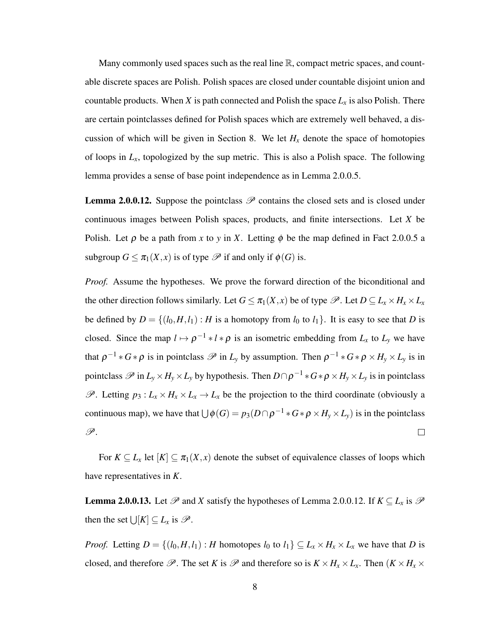Many commonly used spaces such as the real line  $\mathbb{R}$ , compact metric spaces, and countable discrete spaces are Polish. Polish spaces are closed under countable disjoint union and countable products. When *X* is path connected and Polish the space  $L<sub>x</sub>$  is also Polish. There are certain pointclasses defined for Polish spaces which are extremely well behaved, a discussion of which will be given in Section 8. We let  $H<sub>x</sub>$  denote the space of homotopies of loops in  $L<sub>x</sub>$ , topologized by the sup metric. This is also a Polish space. The following lemma provides a sense of base point independence as in Lemma 2.0.0.5.

**Lemma 2.0.0.12.** Suppose the pointclass  $\mathcal P$  contains the closed sets and is closed under continuous images between Polish spaces, products, and finite intersections. Let *X* be Polish. Let  $\rho$  be a path from x to y in X. Letting  $\phi$  be the map defined in Fact 2.0.0.5 a subgroup  $G \leq \pi_1(X,x)$  is of type  $\mathscr P$  if and only if  $\phi(G)$  is.

*Proof.* Assume the hypotheses. We prove the forward direction of the biconditional and the other direction follows similarly. Let  $G \leq \pi_1(X, x)$  be of type  $\mathscr{P}$ . Let  $D \subseteq L_x \times H_x \times L_x$ be defined by  $D = \{(l_0, H, l_1) : H$  is a homotopy from  $l_0$  to  $l_1\}$ . It is easy to see that *D* is closed. Since the map  $l \mapsto \rho^{-1} * l * \rho$  is an isometric embedding from  $L_x$  to  $L_y$  we have that  $\rho^{-1} * G * \rho$  is in pointclass  $\mathscr P$  in  $L_y$  by assumption. Then  $\rho^{-1} * G * \rho \times H_y \times L_y$  is in pointclass  $\mathscr{P}$  in  $L_y \times H_y \times L_y$  by hypothesis. Then  $D \cap \rho^{-1} * G * \rho \times H_y \times L_y$  is in pointclass  $\mathscr{P}$ . Letting  $p_3: L_x \times H_x \times L_x \to L_x$  be the projection to the third coordinate (obviously a continuous map), we have that  $\bigcup \phi(G) = p_3(D \cap \rho^{-1} * G * \rho \times H_y \times L_y)$  is in the pointclass P.  $\Box$ 

For  $K \subseteq L_x$  let  $[K] \subseteq \pi_1(X,x)$  denote the subset of equivalence classes of loops which have representatives in *K*.

**Lemma 2.0.0.13.** Let  $\mathscr P$  and *X* satisfy the hypotheses of Lemma 2.0.0.12. If  $K \subseteq L_x$  is  $\mathscr P$ then the set  $\bigcup [K] \subseteq L_x$  is  $\mathscr{P}$ .

*Proof.* Letting  $D = \{(l_0, H, l_1) : H \text{ homotopes } l_0 \text{ to } l_1\} \subseteq L_x \times H_x \times L_x$  we have that *D* is closed, and therefore  $\mathscr{P}$ . The set *K* is  $\mathscr{P}$  and therefore so is  $K \times H_x \times L_x$ . Then  $(K \times H_x \times$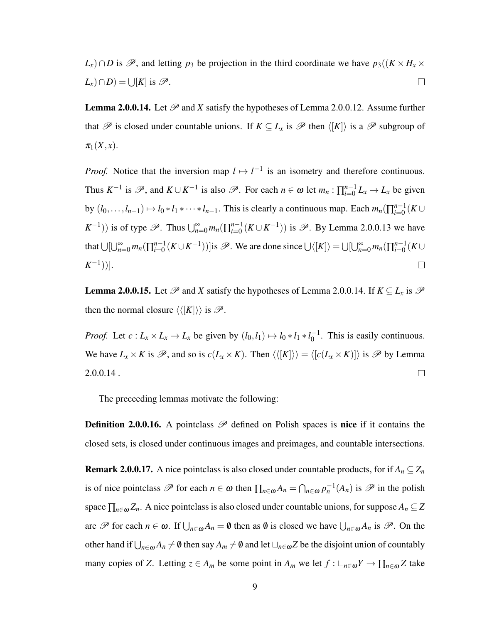*L*<sub>*x*</sub>)∩*D* is  $\mathscr{P}$ , and letting *p*<sub>3</sub> be projection in the third coordinate we have  $p_3((K \times H_x \times$  $(L_x) \cap D$ ) =  $\bigcup [K]$  is  $\mathscr{P}$ .  $\Box$ 

**Lemma 2.0.0.14.** Let  $\mathcal{P}$  and *X* satisfy the hypotheses of Lemma 2.0.0.12. Assume further that  $\mathscr P$  is closed under countable unions. If  $K \subseteq L_x$  is  $\mathscr P$  then  $\langle K| \rangle$  is a  $\mathscr P$  subgroup of  $\pi_1(X, x)$ .

*Proof.* Notice that the inversion map  $l \mapsto l^{-1}$  is an isometry and therefore continuous. Thus  $K^{-1}$  is  $\mathscr{P}$ , and  $K \cup K^{-1}$  is also  $\mathscr{P}$ . For each  $n \in \omega$  let  $m_n : \prod_{i=0}^{n-1}$  $\sum_{i=0}^{n-1} L_x \rightarrow L_x$  be given by  $(l_0, \ldots, l_{n-1}) \mapsto l_0 * l_1 * \cdots * l_{n-1}$ . This is clearly a continuous map. Each  $m_n(\prod_{i=0}^{n-1} n_i)$  $_{i=0}^{n-1}(K\cup$ *K*<sup>-1</sup>)) is of type  $\mathscr{P}$ . Thus  $\bigcup_{n=0}^{\infty} m_n(\prod_{i=0}^{n-1}$  $_{i=0}^{n-1}(K \cup K^{-1})$ ) is  $\mathscr{P}$ . By Lemma 2.0.0.13 we have that  $\bigcup [\bigcup_{n=0}^{\infty} m_n (\prod_{i=0}^{n-1}$  $\lim_{n=0}^{n-1}(K \cup K^{-1})$ )]is  $\mathscr{P}$ . We are done since  $\bigcup \langle [K] \rangle = \bigcup [\bigcup_{n=0}^{\infty} m_n (\prod_{i=0}^{n-1} K)^{-1}]$  $\binom{n-1}{i=0}$  (*K*∪  $(K^{-1})$ ].  $\Box$ 

**Lemma 2.0.0.15.** Let  $\mathcal{P}$  and *X* satisfy the hypotheses of Lemma 2.0.0.14. If  $K \subseteq L_x$  is  $\mathcal{P}$ then the normal closure  $\langle \langle [K] \rangle \rangle$  is  $\mathcal{P}$ .

*Proof.* Let  $c: L_x \times L_x \to L_x$  be given by  $(l_0, l_1) \mapsto l_0 * l_1 * l_0^{-1}$  $_0^{-1}$ . This is easily continuous. We have  $L_x \times K$  is  $\mathscr{P}$ , and so is  $c(L_x \times K)$ . Then  $\langle \langle [K] \rangle \rangle = \langle [c(L_x \times K)] \rangle$  is  $\mathscr{P}$  by Lemma 2.0.0.14 .  $\Box$ 

The preceeding lemmas motivate the following:

**Definition 2.0.0.16.** A pointclass  $\mathscr P$  defined on Polish spaces is **nice** if it contains the closed sets, is closed under continuous images and preimages, and countable intersections.

**Remark 2.0.0.17.** A nice pointclass is also closed under countable products, for if  $A_n \subseteq Z_n$ is of nice pointclass  $\mathscr P$  for each  $n \in \omega$  then  $\prod_{n \in \omega} A_n = \bigcap_{n \in \omega} p_n^{-1}(A_n)$  is  $\mathscr P$  in the polish space  $\prod_{n\in\omega}Z_n$ . A nice pointclass is also closed under countable unions, for suppose  $A_n\subseteq Z$ are  $\mathscr P$  for each  $n \in \omega$ . If  $\bigcup_{n \in \omega} A_n = \emptyset$  then as  $\emptyset$  is closed we have  $\bigcup_{n \in \omega} A_n$  is  $\mathscr P$ . On the other hand if  $\bigcup_{n\in\omega}A_n\neq\emptyset$  then say  $A_m\neq\emptyset$  and let  $\bigcup_{n\in\omega}Z$  be the disjoint union of countably many copies of *Z*. Letting  $z \in A_m$  be some point in  $A_m$  we let  $f : \Box_{n \in \omega} Y \to \prod_{n \in \omega} Z$  take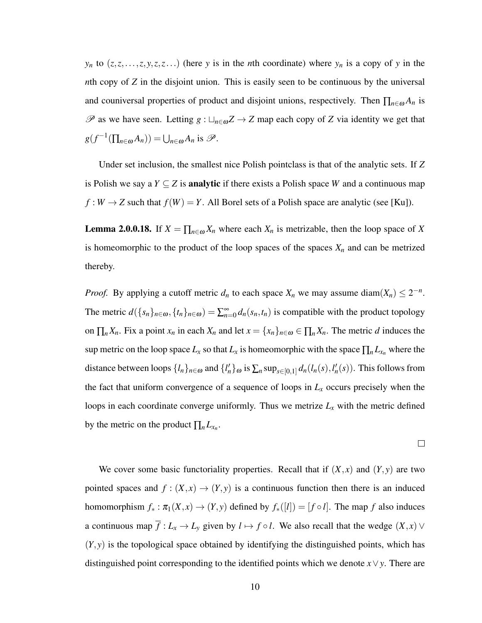*y<sub>n</sub>* to  $(z, z, \ldots, z, y, z, z, \ldots)$  (here *y* is in the *n*th coordinate) where *y<sub>n</sub>* is a copy of *y* in the *n*th copy of *Z* in the disjoint union. This is easily seen to be continuous by the universal and couniversal properties of product and disjoint unions, respectively. Then  $\prod_{n\in\omega}A_n$  is  $\mathscr P$  as we have seen. Letting  $g : \sqcup_{n \in \omega} Z \to Z$  map each copy of *Z* via identity we get that  $g(f^{-1}(\prod_{n\in\omega}A_n)) = \bigcup_{n\in\omega}A_n$  is  $\mathscr{P}.$ 

Under set inclusion, the smallest nice Polish pointclass is that of the analytic sets. If *Z* is Polish we say a *Y*  $\subseteq$  *Z* is **analytic** if there exists a Polish space *W* and a continuous map  $f: W \to Z$  such that  $f(W) = Y$ . All Borel sets of a Polish space are analytic (see [Ku]).

**Lemma 2.0.0.18.** If  $X = \prod_{n \in \omega} X_n$  where each  $X_n$  is metrizable, then the loop space of X is homeomorphic to the product of the loop spaces of the spaces  $X_n$  and can be metrized thereby.

*Proof.* By applying a cutoff metric  $d_n$  to each space  $X_n$  we may assume diam $(X_n) \leq 2^{-n}$ . The metric  $d(\{s_n\}_{n \in \omega}, \{t_n\}_{n \in \omega}) = \sum_{n=0}^{\infty} d_n(s_n, t_n)$  is compatible with the product topology on  $\prod_n X_n$ . Fix a point  $x_n$  in each  $X_n$  and let  $x = \{x_n\}_{n \in \omega} \in \prod_n X_n$ . The metric *d* induces the sup metric on the loop space  $L_x$  so that  $L_x$  is homeomorphic with the space  $\prod_n L_{x_n}$  where the distance between loops  $\{l_n\}_{n\in\omega}$  and  $\{l'_n\}_{\omega}$  is  $\sum_n \sup_{s\in[0,1]} d_n(l_n(s), l'_n(s))$ . This follows from the fact that uniform convergence of a sequence of loops in  $L<sub>x</sub>$  occurs precisely when the loops in each coordinate converge uniformly. Thus we metrize  $L<sub>x</sub>$  with the metric defined by the metric on the product  $\prod_n L_{x_n}$ .

 $\Box$ 

We cover some basic functoriality properties. Recall that if  $(X, x)$  and  $(Y, y)$  are two pointed spaces and  $f : (X,x) \to (Y,y)$  is a continuous function then there is an induced homomorphism  $f_* : \pi_1(X, x) \to (Y, y)$  defined by  $f_*([l]) = [f \circ l]$ . The map *f* also induces a continuous map  $\overline{f}: L_x \to L_y$  given by  $l \mapsto f \circ l$ . We also recall that the wedge  $(X, x) \vee$  $(Y, y)$  is the topological space obtained by identifying the distinguished points, which has distinguished point corresponding to the identified points which we denote *x*∨*y*. There are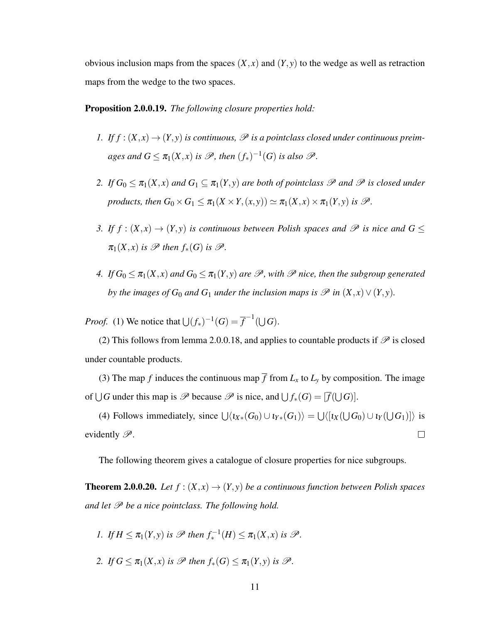obvious inclusion maps from the spaces  $(X, x)$  and  $(Y, y)$  to the wedge as well as retraction maps from the wedge to the two spaces.

## Proposition 2.0.0.19. *The following closure properties hold:*

- *1. If*  $f : (X, x) \rightarrow (Y, y)$  *is continuous,*  $\mathcal P$  *is a pointclass closed under continuous preim*ages and  $G \leq \pi_1(X,x)$  is  $\mathscr{P}$ , then  $(f_*)^{-1}(G)$  is also  $\mathscr{P}$ .
- *2. If*  $G_0 \leq \pi_1(X, x)$  *and*  $G_1 \subseteq \pi_1(Y, y)$  *are both of pointclass*  $\mathscr P$  *and*  $\mathscr P$  *is closed under products, then*  $G_0 \times G_1 \leq \pi_1(X \times Y, (x, y)) \simeq \pi_1(X, x) \times \pi_1(Y, y)$  *is*  $\mathcal{P}$ *.*
- *3. If*  $f : (X,x) \to (Y,y)$  *is continuous between Polish spaces and*  $\mathcal P$  *is nice and*  $G \leq$  $\pi_1(X, x)$  *is*  $\mathscr P$  *then*  $f_*(G)$  *is*  $\mathscr P$ *.*
- *4. If*  $G_0 \leq \pi_1(X, x)$  *and*  $G_0 \leq \pi_1(Y, y)$  *are*  $\mathcal{P}$ *, with*  $\mathcal{P}$  *nice, then the subgroup generated by the images of G*<sub>0</sub> *and G*<sub>1</sub> *under the inclusion maps is*  $\mathscr P$  *in*  $(X, x) \vee (Y, y)$ *.*

*Proof.* (1) We notice that  $\bigcup (f_*)^{-1}(G) = \overline{f}^{-1}(\bigcup G)$ .

(2) This follows from lemma 2.0.0.18, and applies to countable products if  $\mathscr P$  is closed under countable products.

(3) The map *f* induces the continuous map  $\overline{f}$  from  $L_x$  to  $L_y$  by composition. The image of  $\bigcup G$  under this map is  $\mathscr P$  because  $\mathscr P$  is nice, and  $\bigcup f_*(G) = [\overline{f}(\bigcup G)].$ 

(4) Follows immediately, since  $\bigcup \langle i_{X*}(G_0) \cup i_{Y*}(G_1) \rangle = \bigcup \langle [i_X(\bigcup G_0) \cup i_Y(\bigcup G_1)] \rangle$  is evidently  $\mathscr{P}$ .  $\Box$ 

The following theorem gives a catalogue of closure properties for nice subgroups.

**Theorem 2.0.0.20.** *Let*  $f : (X, x) \rightarrow (Y, y)$  *be a continuous function between Polish spaces and let*  $\mathscr P$  *be a nice pointclass. The following hold.* 

1. If 
$$
H \leq \pi_1(Y, y)
$$
 is  $\mathscr{P}$  then  $f_*^{-1}(H) \leq \pi_1(X, x)$  is  $\mathscr{P}$ .

2. *If*  $G \leq \pi_1(X,x)$  *is*  $\mathscr{P}$  *then*  $f_*(G) \leq \pi_1(Y,y)$  *is*  $\mathscr{P}$ *.*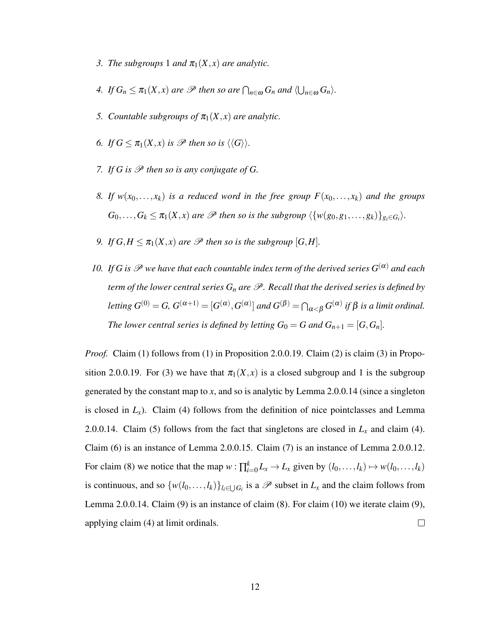- *3. The subgroups* 1 *and*  $\pi_1(X, x)$  *are analytic.*
- *4. If*  $G_n \leq \pi_1(X, x)$  *are*  $\mathscr P$  *then so are*  $\bigcap_{n \in \omega} G_n$  *and*  $\langle \bigcup_{n \in \omega} G_n \rangle$ *.*
- *5. Countable subgroups of*  $\pi_1(X, x)$  *are analytic.*
- *6. If*  $G \leq \pi_1(X, x)$  *is*  $\mathcal{P}$  *then so is*  $\langle \langle G \rangle \rangle$ *.*
- *7.* If G is  $\mathscr P$  then so is any conjugate of G.
- 8. If  $w(x_0,...,x_k)$  *is a reduced word in the free group*  $F(x_0,...,x_k)$  *and the groups*  $G_0, \ldots, G_k \leq \pi_1(X, x)$  are  $\mathscr P$  then so is the subgroup  $\langle \{w(g_0, g_1, \ldots, g_k)\}_{g_i \in G_i} \rangle$ .
- *9. If*  $G, H \leq \pi_1(X, x)$  *are*  $\mathcal P$  *then so is the subgroup*  $[G, H]$ *.*
- *10. If G is*  $\mathscr P$  *we have that each countable index term of the derived series*  $G^{(\alpha)}$  *and each term of the lower central series*  $G_n$  *are*  $\mathscr P$ *. Recall that the derived series is defined by letting*  $G^{(0)} = G$ ,  $G^{(\alpha+1)} = [G^{(\alpha)}, G^{(\alpha)}]$  *and*  $G^{(\beta)} = \bigcap_{\alpha < \beta} G^{(\alpha)}$  *if*  $\beta$  *is a limit ordinal. The lower central series is defined by letting*  $G_0 = G$  *and*  $G_{n+1} = [G, G_n]$ *.*

*Proof.* Claim (1) follows from (1) in Proposition 2.0.0.19. Claim (2) is claim (3) in Proposition 2.0.0.19. For (3) we have that  $\pi_1(X, x)$  is a closed subgroup and 1 is the subgroup generated by the constant map to *x*, and so is analytic by Lemma 2.0.0.14 (since a singleton is closed in  $L_x$ ). Claim (4) follows from the definition of nice pointclasses and Lemma 2.0.0.14. Claim (5) follows from the fact that singletons are closed in  $L<sub>x</sub>$  and claim (4). Claim (6) is an instance of Lemma 2.0.0.15. Claim (7) is an instance of Lemma 2.0.0.12. For claim (8) we notice that the map  $w : \prod_{i=0}^{k} L_x \to L_x$  given by  $(l_0, \ldots, l_k) \mapsto w(l_0, \ldots, l_k)$ is continuous, and so  $\{w(l_0,...,l_k)\}_{l_i\in\bigcup G_i}$  is a  $\mathscr P$  subset in  $L_x$  and the claim follows from Lemma 2.0.0.14. Claim  $(9)$  is an instance of claim  $(8)$ . For claim  $(10)$  we iterate claim  $(9)$ , applying claim (4) at limit ordinals.  $\Box$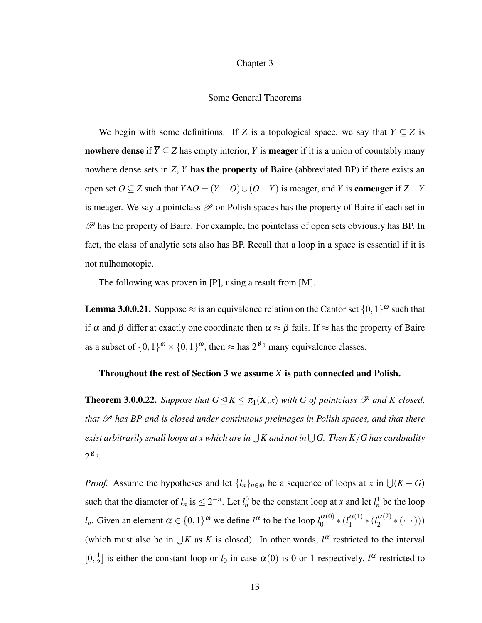#### Chapter 3

#### Some General Theorems

We begin with some definitions. If *Z* is a topological space, we say that  $Y \subseteq Z$  is nowhere dense if  $\overline{Y} \subseteq Z$  has empty interior, *Y* is meager if it is a union of countably many nowhere dense sets in *Z*, *Y* has the property of Baire (abbreviated BP) if there exists an open set *O* ⊆ *Z* such that  $Y\Delta O = (Y - O) \cup (O - Y)$  is meager, and *Y* is **comeager** if *Z* − *Y* is meager. We say a pointclass  $\mathscr P$  on Polish spaces has the property of Baire if each set in  $\mathscr P$  has the property of Baire. For example, the pointclass of open sets obviously has BP. In fact, the class of analytic sets also has BP. Recall that a loop in a space is essential if it is not nulhomotopic.

The following was proven in [P], using a result from [M].

**Lemma 3.0.0.21.** Suppose  $\approx$  is an equivalence relation on the Cantor set  $\{0,1\}^{\omega}$  such that if  $\alpha$  and  $\beta$  differ at exactly one coordinate then  $\alpha \approx \beta$  fails. If  $\approx$  has the property of Baire as a subset of  $\{0,1\}^{\omega} \times \{0,1\}^{\omega}$ , then  $\approx$  has  $2^{\aleph_0}$  many equivalence classes.

## Throughout the rest of Section 3 we assume *X* is path connected and Polish.

**Theorem 3.0.0.22.** *Suppose that*  $G \leq K \leq \pi_1(X, x)$  *with* G of pointclass  $\mathcal P$  and K closed, *that*  $\mathscr P$  *has BP and is closed under continuous preimages in Polish spaces, and that there* exist arbitrarily small loops at x which are in  $\bigcup K$  and not in  $\bigcup G.$  Then  $K/G$  has cardinality 2 ℵ0 *.*

*Proof.* Assume the hypotheses and let  $\{l_n\}_{n \in \omega}$  be a sequence of loops at *x* in  $\bigcup (K - G)$ such that the diameter of  $l_n$  is  $\leq 2^{-n}$ . Let  $l_n^0$  be the constant loop at *x* and let  $l_n^1$  be the loop *l*<sub>*n*</sub>. Given an element  $\alpha \in \{0,1\}^{\omega}$  we define  $l^{\alpha}$  to be the loop  $l_0^{\alpha(0)}$  $\alpha^{(0)}$  \*  $(l_1^{\alpha(1)}$  $\frac{\alpha(1)}{1} * (l_2^{\alpha(2)}$  $\frac{a(2)}{2} * (\cdots))$ (which must also be in  $\bigcup K$  as *K* is closed). In other words,  $l^{\alpha}$  restricted to the interval  $[0, \frac{1}{2}]$  $\frac{1}{2}$  is either the constant loop or *l*<sub>0</sub> in case  $\alpha(0)$  is 0 or 1 respectively,  $l^{\alpha}$  restricted to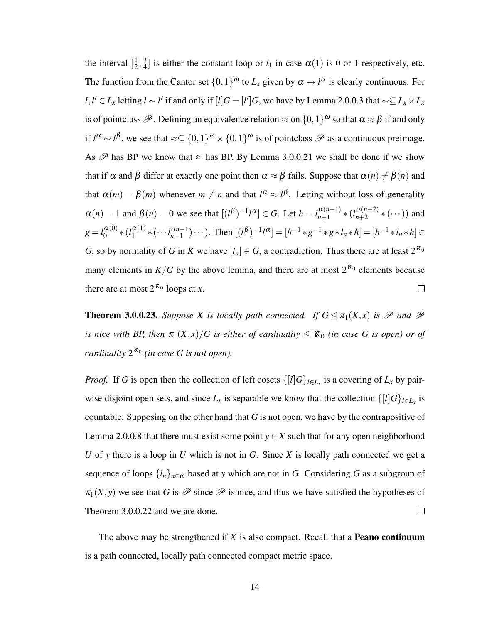the interval  $\left[\frac{1}{2}\right]$  $\frac{1}{2}, \frac{3}{4}$  $\frac{3}{4}$  is either the constant loop or  $l_1$  in case  $\alpha(1)$  is 0 or 1 respectively, etc. The function from the Cantor set  $\{0,1\}^{\omega}$  to  $L_x$  given by  $\alpha \mapsto l^{\alpha}$  is clearly continuous. For *l*,*l*<sup> $'$ </sup> ∈ *L*<sub>*x*</sub> letting *l* ∼ *l*<sup> $'$ </sup> if and only if [*l*]*G* = [*l'*]*G*, we have by Lemma 2.0.0.3 that ∼⊆ *L*<sub>*x*</sub> × *L*<sub>*x*</sub> is of pointclass  $\mathscr P$ . Defining an equivalence relation  $\approx$  on  $\{0,1\}^\omega$  so that  $\alpha \approx \beta$  if and only if  $l^{\alpha} \sim l^{\beta}$ , we see that  $\approx \subseteq \{0,1\}^{\omega} \times \{0,1\}^{\omega}$  is of pointclass  $\mathscr P$  as a continuous preimage. As  $\mathscr P$  has BP we know that  $\approx$  has BP. By Lemma 3.0.0.21 we shall be done if we show that if  $\alpha$  and  $\beta$  differ at exactly one point then  $\alpha \approx \beta$  fails. Suppose that  $\alpha(n) \neq \beta(n)$  and that  $\alpha(m) = \beta(m)$  whenever  $m \neq n$  and that  $l^{\alpha} \approx l^{\beta}$ . Letting without loss of generality  $\alpha(n) = 1$  and  $\beta(n) = 0$  we see that  $[(l^{\beta})^{-1}l^{\alpha}] \in G$ . Let  $h = l_{n+1}^{\alpha(n+1)}$  $\alpha(n+1)$  \*  $(l_{n+2}^{\alpha(n+2)})$  $\frac{a(n+2)}{n+2}$   $\ast$   $(\cdots)$ ) and  $g = l_0^{\alpha(0)}$  $\alpha^{(0)}$  \*  $(l_1^{\alpha(1)}$  $\binom{\alpha(1)}{1}$  \*  $(\cdots l_{n-1}^{\alpha n-1}) \cdots$ ). Then  $[(l^{\beta})^{-1}l^{\alpha}] = [h^{-1} * g^{-1} * g * l_n * h] = [h^{-1} * l_n * h] \in$ *G*, so by normality of *G* in *K* we have  $[l_n] \in G$ , a contradiction. Thus there are at least  $2^{\aleph_0}$ many elements in  $K/G$  by the above lemma, and there are at most  $2^{k_0}$  elements because there are at most  $2^{k_0}$  loops at *x*.  $\Box$ 

**Theorem 3.0.0.23.** *Suppose X is locally path connected. If*  $G \trianglelefteq \pi_1(X,x)$  *is*  $\mathcal P$  *and*  $\mathcal P$ *is nice with BP, then*  $\pi_1(X,x)/G$  *is either of cardinality*  $\leq$   $\aleph_0$  *(in case G is open) or of cardinality*  $2^{\aleph_0}$  (in case G is not open).

*Proof.* If *G* is open then the collection of left cosets  $\{[l]G\}_{l \in L_x}$  is a covering of  $L_x$  by pairwise disjoint open sets, and since  $L_x$  is separable we know that the collection  $\{[l]G\}_{l\in L_x}$  is countable. Supposing on the other hand that *G* is not open, we have by the contrapositive of Lemma 2.0.0.8 that there must exist some point  $y \in X$  such that for any open neighborhood *U* of *y* there is a loop in *U* which is not in *G*. Since *X* is locally path connected we get a sequence of loops  $\{l_n\}_{n\in\omega}$  based at *y* which are not in *G*. Considering *G* as a subgroup of  $\pi_1(X, y)$  we see that *G* is  $\mathscr P$  since  $\mathscr P$  is nice, and thus we have satisfied the hypotheses of Theorem 3.0.0.22 and we are done.  $\Box$ 

The above may be strengthened if *X* is also compact. Recall that a Peano continuum is a path connected, locally path connected compact metric space.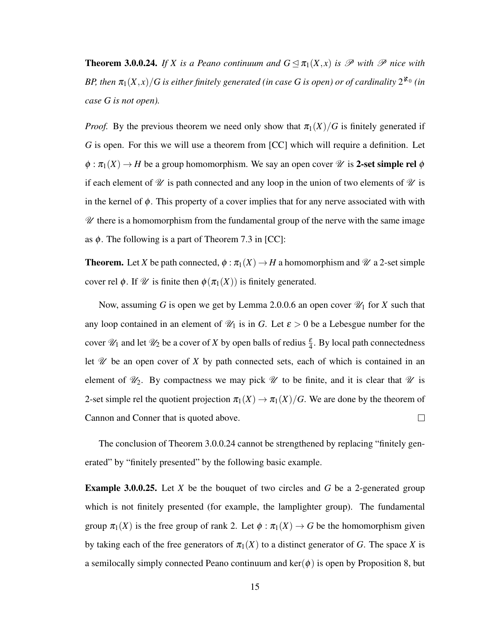**Theorem 3.0.0.24.** If X is a Peano continuum and  $G \leq \pi_1(X,x)$  is  $\mathscr P$  with  $\mathscr P$  nice with BP, then  $\pi_1(X,x)/G$  is either finitely generated (in case G is open) or of cardinality  $2^{\aleph_0}$  (in *case G is not open).*

*Proof.* By the previous theorem we need only show that  $\pi_1(X)/G$  is finitely generated if *G* is open. For this we will use a theorem from [CC] which will require a definition. Let  $\phi : \pi_1(X) \to H$  be a group homomorphism. We say an open cover  $\mathscr U$  is 2-set simple rel  $\phi$ if each element of  $\mathcal U$  is path connected and any loop in the union of two elements of  $\mathcal U$  is in the kernel of  $\phi$ . This property of a cover implies that for any nerve associated with with  $\mathscr U$  there is a homomorphism from the fundamental group of the nerve with the same image as  $\phi$ . The following is a part of Theorem 7.3 in [CC]:

**Theorem.** Let *X* be path connected,  $\phi : \pi_1(X) \to H$  a homomorphism and  $\mathcal{U}$  a 2-set simple cover rel  $\phi$ . If  $\mathscr U$  is finite then  $\phi(\pi_1(X))$  is finitely generated.

Now, assuming *G* is open we get by Lemma 2.0.0.6 an open cover  $\mathcal{U}_1$  for *X* such that any loop contained in an element of  $\mathcal{U}_1$  is in *G*. Let  $\varepsilon > 0$  be a Lebesgue number for the cover  $\mathcal{U}_1$  and let  $\mathcal{U}_2$  be a cover of *X* by open balls of redius  $\frac{\varepsilon}{4}$ . By local path connectedness let  $\mathscr U$  be an open cover of  $X$  by path connected sets, each of which is contained in an element of  $\mathcal{U}_2$ . By compactness we may pick  $\mathcal U$  to be finite, and it is clear that  $\mathcal U$  is 2-set simple rel the quotient projection  $\pi_1(X) \to \pi_1(X)/G$ . We are done by the theorem of Cannon and Conner that is quoted above.  $\Box$ 

The conclusion of Theorem 3.0.0.24 cannot be strengthened by replacing "finitely generated" by "finitely presented" by the following basic example.

Example 3.0.0.25. Let *X* be the bouquet of two circles and *G* be a 2-generated group which is not finitely presented (for example, the lamplighter group). The fundamental group  $\pi_1(X)$  is the free group of rank 2. Let  $\phi : \pi_1(X) \to G$  be the homomorphism given by taking each of the free generators of  $\pi_1(X)$  to a distinct generator of *G*. The space *X* is a semilocally simply connected Peano continuum and  $\text{ker}(\phi)$  is open by Proposition 8, but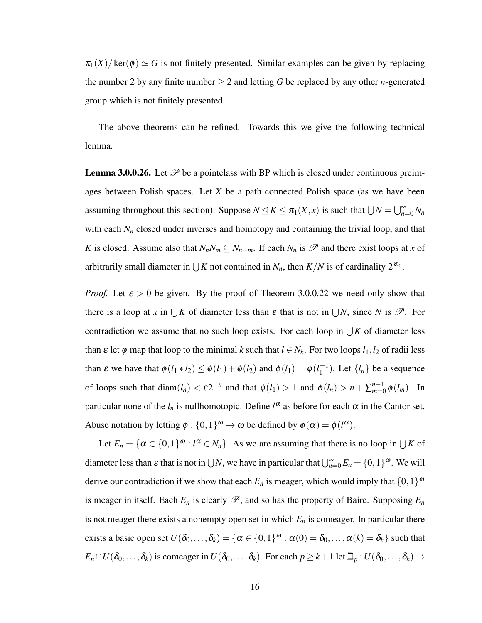$\pi_1(X)/\text{ker}(\phi) \simeq G$  is not finitely presented. Similar examples can be given by replacing the number 2 by any finite number  $\geq 2$  and letting G be replaced by any other *n*-generated group which is not finitely presented.

The above theorems can be refined. Towards this we give the following technical lemma.

**Lemma 3.0.0.26.** Let  $\mathcal{P}$  be a pointclass with BP which is closed under continuous preimages between Polish spaces. Let *X* be a path connected Polish space (as we have been assuming throughout this section). Suppose  $N \le K \le \pi_1(X, x)$  is such that  $\bigcup N = \bigcup_{n=0}^{\infty} N_n$ with each  $N<sub>n</sub>$  closed under inverses and homotopy and containing the trivial loop, and that *K* is closed. Assume also that  $N_nN_m \subseteq N_{n+m}$ . If each  $N_n$  is  $\mathscr P$  and there exist loops at *x* of arbitrarily small diameter in  $\bigcup K$  not contained in  $N_n$ , then  $K/N$  is of cardinality  $2^{\aleph_0}$ .

*Proof.* Let  $\varepsilon > 0$  be given. By the proof of Theorem 3.0.0.22 we need only show that there is a loop at *x* in  $\bigcup K$  of diameter less than  $\varepsilon$  that is not in  $\bigcup N$ , since *N* is  $\mathscr{P}$ . For contradiction we assume that no such loop exists. For each loop in  $\bigcup K$  of diameter less than  $\varepsilon$  let  $\phi$  map that loop to the minimal *k* such that  $l \in N_k$ . For two loops  $l_1, l_2$  of radii less than  $\varepsilon$  we have that  $\phi(l_1 * l_2) \leq \phi(l_1) + \phi(l_2)$  and  $\phi(l_1) = \phi(l_1^{-1})$  $\binom{-1}{1}$ . Let  $\{l_n\}$  be a sequence of loops such that  $\text{diam}(l_n) < \varepsilon 2^{-n}$  and that  $\phi(l_1) > 1$  and  $\phi(l_n) > n + \sum_{m=0}^{n-1}$  $_{m=0}^{n-1}$   $\phi$  (*l<sub>m</sub>*). In particular none of the  $l_n$  is nullhomotopic. Define  $l^\alpha$  as before for each  $\alpha$  in the Cantor set. Abuse notation by letting  $\phi: \{0,1\}^{\omega} \to \omega$  be defined by  $\phi(\alpha) = \phi(l^{\alpha})$ .

Let  $E_n = \{\alpha \in \{0,1\}^\omega : l^\alpha \in N_n\}$ . As we are assuming that there is no loop in  $\bigcup K$  of diameter less than  $\varepsilon$  that is not in  $\bigcup N$ , we have in particular that  $\bigcup_{n=0}^{\infty} E_n = \{0,1\}^{\omega}$ . We will derive our contradiction if we show that each  $E_n$  is meager, which would imply that  $\{0,1\}^{\omega}$ is meager in itself. Each  $E_n$  is clearly  $\mathscr{P}$ , and so has the property of Baire. Supposing  $E_n$ is not meager there exists a nonempty open set in which  $E<sub>n</sub>$  is comeager. In particular there exists a basic open set  $U(\delta_0,\ldots,\delta_k) = \{\alpha \in \{0,1\}^\omega : \alpha(0) = \delta_0,\ldots,\alpha(k) = \delta_k\}$  such that  $E_n \cap U(\delta_0, \ldots, \delta_k)$  is comeager in  $U(\delta_0, \ldots, \delta_k)$ . For each  $p \geq k+1$  let  $\mathcal{D}_p : U(\delta_0, \ldots, \delta_k) \to$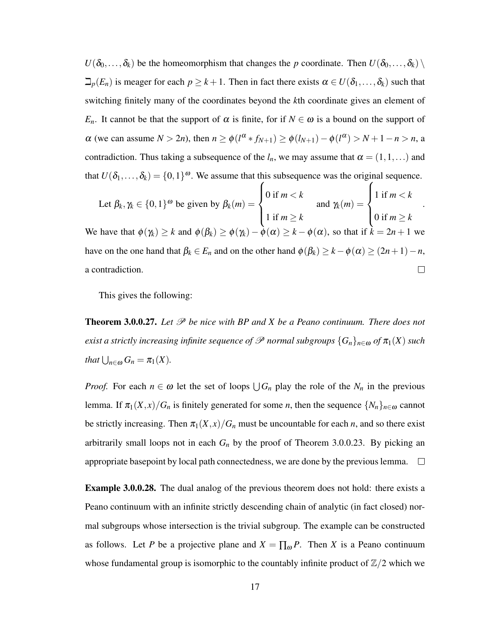$U(\delta_0,\ldots,\delta_k)$  be the homeomorphism that changes the *p* coordinate. Then  $U(\delta_0,\ldots,\delta_k)$  $\Box_p(E_n)$  is meager for each  $p \geq k+1$ . Then in fact there exists  $\alpha \in U(\delta_1,\ldots,\delta_k)$  such that switching finitely many of the coordinates beyond the *k*th coordinate gives an element of *E<sub>n</sub>*. It cannot be that the support of  $\alpha$  is finite, for if  $N \in \omega$  is a bound on the support of  $\alpha$  (we can assume  $N > 2n$ ), then  $n \ge \phi(l^{\alpha} * f_{N+1}) \ge \phi(l_{N+1}) - \phi(l^{\alpha}) > N + 1 - n > n$ , a contradiction. Thus taking a subsequence of the  $l_n$ , we may assume that  $\alpha = (1,1,...)$  and that  $U(\delta_1,\ldots,\delta_k) = \{0,1\}^\omega$ . We assume that this subsequence was the original sequence.

Let 
$$
\beta_k, \gamma_k \in \{0, 1\}^{\omega}
$$
 be given by  $\beta_k(m) = \begin{cases} 0 \text{ if } m < k \\ 1 \text{ if } m \ge k \end{cases}$  and  $\gamma_k(m) = \begin{cases} 1 \text{ if } m < k \\ 0 \text{ if } m \ge k \end{cases}$ .  
We have that  $\phi(\gamma_k) \ge k$  and  $\phi(\beta_k) \ge \phi(\gamma_k) - \phi(\alpha) \ge k - \phi(\alpha)$ , so that if  $k = 2n + 1$  we have on the one hand that  $\beta_k \in E_n$  and on the other hand  $\phi(\beta_k) \ge k - \phi(\alpha) \ge (2n + 1) - n$ , a contradiction.

This gives the following:

**Theorem 3.0.0.27.** Let  $\mathcal{P}$  be nice with BP and X be a Peano continuum. There does not *exist a strictly increasing infinite sequence of*  $\mathscr P$  *normal subgroups*  $\{G_n\}_{n\in\omega}$  *of*  $\pi_1(X)$  *such that*  $\bigcup_{n \in \omega} G_n = \pi_1(X)$ *.* 

*Proof.* For each  $n \in \omega$  let the set of loops  $\bigcup G_n$  play the role of the  $N_n$  in the previous lemma. If  $\pi_1(X, x)/G_n$  is finitely generated for some *n*, then the sequence  $\{N_n\}_{n\in\omega}$  cannot be strictly increasing. Then  $\pi_1(X,x)/G_n$  must be uncountable for each *n*, and so there exist arbitrarily small loops not in each  $G_n$  by the proof of Theorem 3.0.0.23. By picking an appropriate basepoint by local path connectedness, we are done by the previous lemma.  $\Box$ 

**Example 3.0.0.28.** The dual analog of the previous theorem does not hold: there exists a Peano continuum with an infinite strictly descending chain of analytic (in fact closed) normal subgroups whose intersection is the trivial subgroup. The example can be constructed as follows. Let *P* be a projective plane and  $X = \prod_{\omega} P$ . Then *X* is a Peano continuum whose fundamental group is isomorphic to the countably infinite product of  $\mathbb{Z}/2$  which we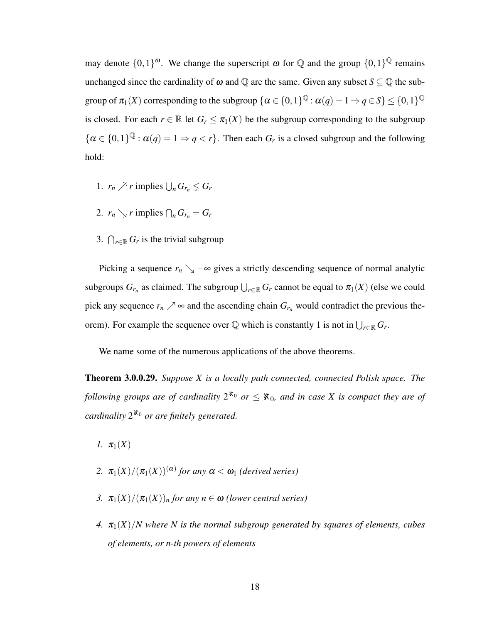may denote  $\{0,1\}^{\omega}$ . We change the superscript  $\omega$  for  $\mathbb Q$  and the group  $\{0,1\}^{\mathbb Q}$  remains unchanged since the cardinality of  $\omega$  and  $\mathbb Q$  are the same. Given any subset  $S \subseteq \mathbb Q$  the subgroup of  $\pi_1(X)$  corresponding to the subgroup  $\{\alpha\in\{0,1\}^\mathbb{Q}:\alpha(q)=1\Rightarrow q\in S\}\leq\{0,1\}^\mathbb{Q}$ is closed. For each  $r \in \mathbb{R}$  let  $G_r \leq \pi_1(X)$  be the subgroup corresponding to the subgroup  $\{\alpha \in \{0,1\}^{\mathbb{Q}} : \alpha(q) = 1 \Rightarrow q < r\}.$  Then each  $G_r$  is a closed subgroup and the following hold:

- 1.  $r_n \nearrow r$  implies  $\bigcup_n G_{r_n} \leq G_r$
- 2.  $r_n \searrow r$  implies  $\bigcap_n G_{r_n} = G_r$
- 3.  $\bigcap_{r \in \mathbb{R}} G_r$  is the trivial subgroup

Picking a sequence  $r_n \searrow -\infty$  gives a strictly descending sequence of normal analytic subgroups  $G_{r_n}$  as claimed. The subgroup  $\bigcup_{r \in \mathbb{R}} G_r$  cannot be equal to  $\pi_1(X)$  (else we could pick any sequence  $r_n \nearrow \infty$  and the ascending chain  $G_{r_n}$  would contradict the previous theorem). For example the sequence over  $\mathbb Q$  which is constantly 1 is not in  $\bigcup_{r \in \mathbb R} G_r$ .

We name some of the numerous applications of the above theorems.

Theorem 3.0.0.29. *Suppose X is a locally path connected, connected Polish space. The following groups are of cardinality*  $2^{k_0}$  *or*  $\leq$   $k_0$ *, and in case X is compact they are of cardinality* 2 <sup>ℵ</sup><sup>0</sup> *or are finitely generated.*

*1.*  $\pi_1(X)$ 

- 2.  $\pi_1(X)/(\pi_1(X))^{(\alpha)}$  for any  $\alpha < \omega_1$  (derived series)
- *3.*  $\pi_1(X)/(\pi_1(X))_n$  for any  $n \in \omega$  *(lower central series)*
- *4.*  $\pi_1(X)/N$  where N is the normal subgroup generated by squares of elements, cubes *of elements, or n-th powers of elements*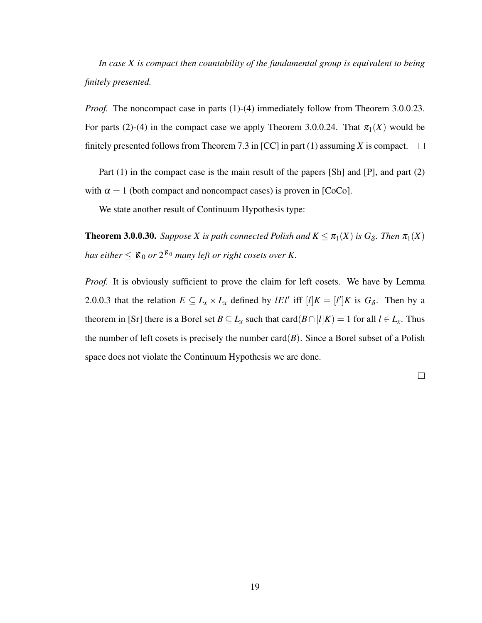*In case X is compact then countability of the fundamental group is equivalent to being finitely presented.*

*Proof.* The noncompact case in parts (1)-(4) immediately follow from Theorem 3.0.0.23. For parts (2)-(4) in the compact case we apply Theorem 3.0.0.24. That  $\pi_1(X)$  would be finitely presented follows from Theorem 7.3 in [CC] in part (1) assuming *X* is compact.  $\square$ 

Part (1) in the compact case is the main result of the papers [Sh] and [P], and part (2) with  $\alpha = 1$  (both compact and noncompact cases) is proven in [CoCo].

We state another result of Continuum Hypothesis type:

**Theorem 3.0.0.30.** *Suppose X is path connected Polish and*  $K \leq \pi_1(X)$  *is*  $G_\delta$ *. Then*  $\pi_1(X)$ has either  $\leq$   $\aleph_0$  or  $2^{\aleph_0}$  many left or right cosets over K.

*Proof.* It is obviously sufficient to prove the claim for left cosets. We have by Lemma 2.0.0.3 that the relation  $E \subseteq L_x \times L_x$  defined by *lEl'* iff  $[l]K = [l']K$  is  $G_\delta$ . Then by a theorem in [Sr] there is a Borel set  $B \subseteq L_x$  such that card( $B \cap [l]K$ ) = 1 for all  $l \in L_x$ . Thus the number of left cosets is precisely the number card $(B)$ . Since a Borel subset of a Polish space does not violate the Continuum Hypothesis we are done.

 $\Box$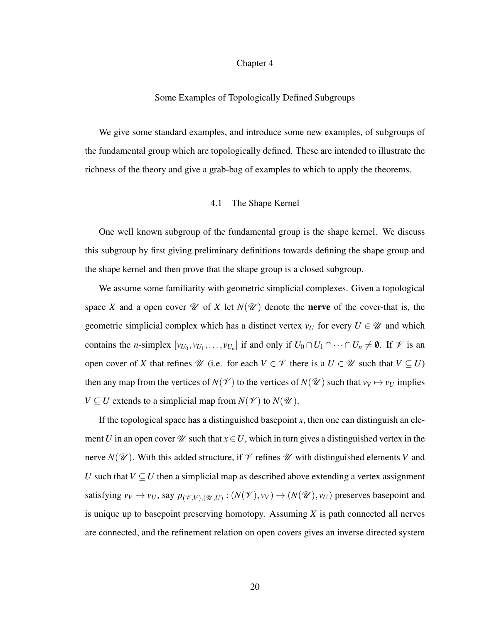## Chapter 4

#### Some Examples of Topologically Defined Subgroups

We give some standard examples, and introduce some new examples, of subgroups of the fundamental group which are topologically defined. These are intended to illustrate the richness of the theory and give a grab-bag of examples to which to apply the theorems.

## 4.1 The Shape Kernel

One well known subgroup of the fundamental group is the shape kernel. We discuss this subgroup by first giving preliminary definitions towards defining the shape group and the shape kernel and then prove that the shape group is a closed subgroup.

We assume some familiarity with geometric simplicial complexes. Given a topological space *X* and a open cover  $\mathcal U$  of *X* let  $N(\mathcal U)$  denote the **nerve** of the cover-that is, the geometric simplicial complex which has a distinct vertex  $v_U$  for every  $U \in \mathcal{U}$  and which contains the *n*-simplex  $[v_{U_0}, v_{U_1}, \ldots, v_{U_n}]$  if and only if  $U_0 \cap U_1 \cap \cdots \cap U_n \neq \emptyset$ . If  $\mathcal V$  is an open cover of *X* that refines  $\mathcal{U}$  (i.e. for each  $V \in \mathcal{V}$  there is a  $U \in \mathcal{U}$  such that  $V \subseteq U$ ) then any map from the vertices of  $N(\mathcal{V})$  to the vertices of  $N(\mathcal{U})$  such that  $v_V \mapsto v_U$  implies *V*  $\subseteq$  *U* extends to a simplicial map from *N*( $\mathcal{V}$ ) to *N*( $\mathcal{U}$ ).

If the topological space has a distinguished basepoint  $x$ , then one can distinguish an element *U* in an open cover  $\mathcal{U}$  such that  $x \in U$ , which in turn gives a distinguished vertex in the nerve  $N(\mathcal{U})$ . With this added structure, if  $\mathcal V$  refines  $\mathcal U$  with distinguished elements *V* and *U* such that  $V \subseteq U$  then a simplicial map as described above extending a vertex assignment satisfying  $v_V \to v_U$ , say  $p_{(\mathscr{V}, V),(\mathscr{U}, U)} : (N(\mathscr{V}), v_V) \to (N(\mathscr{U}), v_U)$  preserves basepoint and is unique up to basepoint preserving homotopy. Assuming *X* is path connected all nerves are connected, and the refinement relation on open covers gives an inverse directed system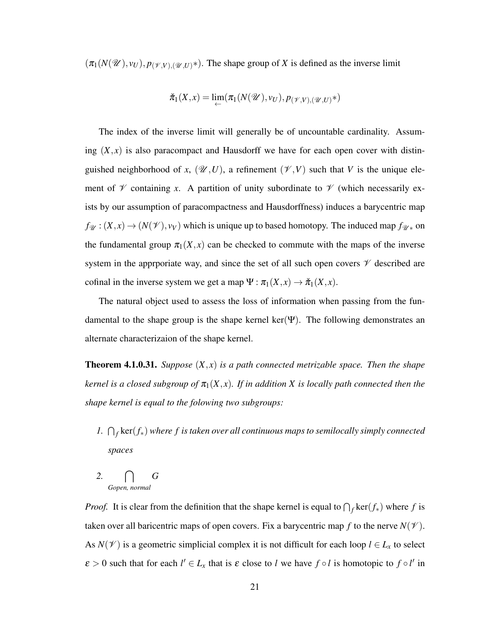$(\pi_1(N(\mathcal{U}), v_U), p_{(\mathcal{V}, V),(\mathcal{U}, U)^*})$ . The shape group of *X* is defined as the inverse limit

$$
\check{\pi}_1(X,x) = \lim_{\leftarrow} (\pi_1(N(\mathscr{U}),v_U), p_{(\mathscr{V},V),(\mathscr{U},U)}*)
$$

The index of the inverse limit will generally be of uncountable cardinality. Assuming  $(X, x)$  is also paracompact and Hausdorff we have for each open cover with distinguished neighborhood of *x*,  $(\mathcal{U}, U)$ , a refinement  $(\mathcal{V}, V)$  such that *V* is the unique element of  $\mathscr V$  containing *x*. A partition of unity subordinate to  $\mathscr V$  (which necessarily exists by our assumption of paracompactness and Hausdorffness) induces a barycentric map  $f_{\mathcal{U}}:(X,x) \to (N(\mathcal{V}), v_V)$  which is unique up to based homotopy. The induced map  $f_{\mathcal{U}*}$  on the fundamental group  $\pi_1(X, x)$  can be checked to commute with the maps of the inverse system in the appropriate way, and since the set of all such open covers  $\mathcal V$  described are cofinal in the inverse system we get a map  $\Psi : \pi_1(X, x) \to \pi_1(X, x)$ .

The natural object used to assess the loss of information when passing from the fundamental to the shape group is the shape kernel ker( $\Psi$ ). The following demonstrates an alternate characterizaion of the shape kernel.

Theorem 4.1.0.31. *Suppose* (*X*, *x*) *is a path connected metrizable space. Then the shape kernel is a closed subgroup of*  $\pi_1(X, x)$ *. If in addition X is locally path connected then the shape kernel is equal to the folowing two subgroups:*

- *1.* ∩<sub>*f*</sub> ker(*f*<sub>∗</sub>) where *f* is taken over all continuous maps to semilocally simply connected *spaces*
- *2.* \ *Gopen, normal G*

*Proof.* It is clear from the definition that the shape kernel is equal to  $\bigcap_f \text{ker}(f_*)$  where *f* is taken over all baricentric maps of open covers. Fix a barycentric map f to the nerve  $N(\mathcal{V})$ . As  $N(\mathcal{V})$  is a geometric simplicial complex it is not difficult for each loop  $l \in L_{\mathcal{X}}$  to select  $\varepsilon > 0$  such that for each  $l' \in L_x$  that is  $\varepsilon$  close to *l* we have  $f \circ l$  is homotopic to  $f \circ l'$  in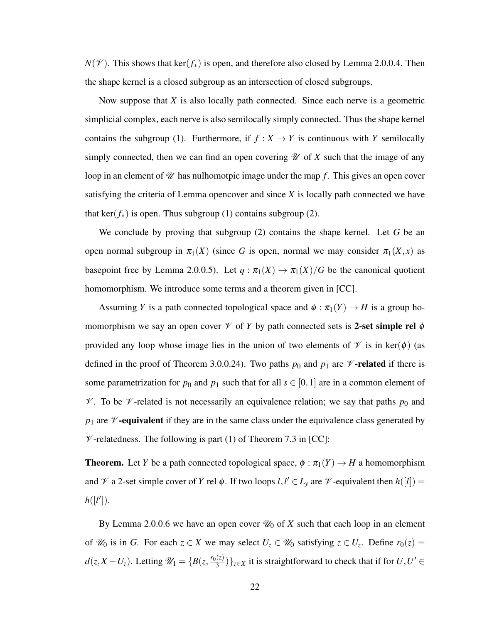$N(V)$ . This shows that ker( $f_{*}$ ) is open, and therefore also closed by Lemma 2.0.0.4. Then the shape kernel is a closed subgroup as an intersection of closed subgroups.

Now suppose that *X* is also locally path connected. Since each nerve is a geometric simplicial complex, each nerve is also semilocally simply connected. Thus the shape kernel contains the subgroup (1). Furthermore, if  $f : X \to Y$  is continuous with *Y* semilocally simply connected, then we can find an open covering  $\mathcal U$  of  $X$  such that the image of any loop in an element of  $\mathcal U$  has nulhomotpic image under the map f. This gives an open cover satisfying the criteria of Lemma opencover and since *X* is locally path connected we have that ker( $f_{*}$ ) is open. Thus subgroup (1) contains subgroup (2).

We conclude by proving that subgroup (2) contains the shape kernel. Let *G* be an open normal subgroup in  $\pi_1(X)$  (since G is open, normal we may consider  $\pi_1(X, x)$  as basepoint free by Lemma 2.0.0.5). Let  $q : \pi_1(X) \to \pi_1(X)/G$  be the canonical quotient homomorphism. We introduce some terms and a theorem given in [CC].

Assuming *Y* is a path connected topological space and  $\phi : \pi_1(Y) \to H$  is a group homomorphism we say an open cover  $\mathcal V$  of *Y* by path connected sets is **2-set simple rel**  $\phi$ provided any loop whose image lies in the union of two elements of  $\mathcal V$  is in ker( $\phi$ ) (as defined in the proof of Theorem 3.0.0.24). Two paths  $p_0$  and  $p_1$  are  $\mathcal V$ -related if there is some parametrization for  $p_0$  and  $p_1$  such that for all  $s \in [0,1]$  are in a common element of  $\mathscr V$ . To be  $\mathscr V$ -related is not necessarily an equivalence relation; we say that paths  $p_0$  and  $p_1$  are  $\mathscr V$ -equivalent if they are in the same class under the equivalence class generated by  $\mathcal V$ -relatedness. The following is part (1) of Theorem 7.3 in [CC]:

**Theorem.** Let *Y* be a path connected topological space,  $\phi : \pi_1(Y) \to H$  a homomorphism and  $\mathcal V$  a 2-set simple cover of *Y* rel  $\phi$ . If two loops  $l, l' \in L_y$  are  $\mathcal V$ -equivalent then  $h([l]) =$  $h([l$ <sup>'</sup>]).

By Lemma 2.0.0.6 we have an open cover  $\mathcal{U}_0$  of *X* such that each loop in an element of  $\mathcal{U}_0$  is in *G*. For each  $z \in X$  we may select  $U_z \in \mathcal{U}_0$  satisfying  $z \in U_z$ . Define  $r_0(z) =$  $d(z, X - U_z)$ . Letting  $\mathcal{U}_1 = \{B(z, \frac{r_0(z)}{3})\}$  $\left\{ \frac{f(z)}{3} \right\}$ <sub> $z \in X$ </sub> it is straightforward to check that if for  $U, U' \in$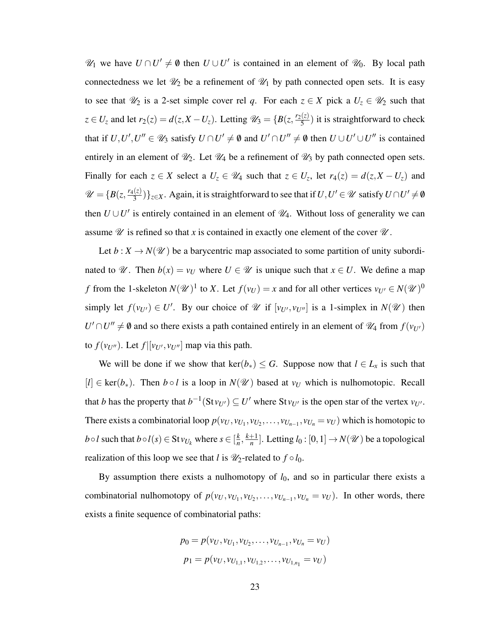$\mathcal{U}_1$  we have  $U \cap U' \neq \emptyset$  then  $U \cup U'$  is contained in an element of  $\mathcal{U}_0$ . By local path connectedness we let  $\mathcal{U}_2$  be a refinement of  $\mathcal{U}_1$  by path connected open sets. It is easy to see that  $\mathcal{U}_2$  is a 2-set simple cover rel q. For each  $z \in X$  pick a  $U_z \in \mathcal{U}_2$  such that  $z \in U_z$  and let  $r_2(z) = d(z, X - U_z)$ . Letting  $\mathcal{U}_3 = \{B(z, \frac{r_2(z)}{5})\}$  $\frac{z}{5}$ ) it is straightforward to check that if  $U, U', U'' \in \mathcal{U}_3$  satisfy  $U \cap U' \neq \emptyset$  and  $U' \cap U'' \neq \emptyset$  then  $U \cup U' \cup U''$  is contained entirely in an element of  $\mathcal{U}_2$ . Let  $\mathcal{U}_4$  be a refinement of  $\mathcal{U}_3$  by path connected open sets. Finally for each  $z \in X$  select a  $U_z \in \mathcal{U}_4$  such that  $z \in U_z$ , let  $r_4(z) = d(z, X - U_z)$  and  $\mathscr{U} = \{B(z, \frac{r_4(z)}{3})\}$  $\frac{\Gamma(z)}{3}$ )}<sub>z∈</sub>*X*. Again, it is straightforward to see that if  $U, U' \in \mathscr{U}$  satisfy  $U \cap U' \neq \emptyset$ then  $U \cup U'$  is entirely contained in an element of  $\mathcal{U}_4$ . Without loss of generality we can assume  $\mathscr U$  is refined so that *x* is contained in exactly one element of the cover  $\mathscr U$ .

Let  $b: X \to N(\mathcal{U})$  be a barycentric map associated to some partition of unity subordinated to  $\mathcal{U}$ . Then  $b(x) = v_U$  where  $U \in \mathcal{U}$  is unique such that  $x \in U$ . We define a map *f* from the 1-skeleton  $N(\mathcal{U})^1$  to *X*. Let  $f(v_U) = x$  and for all other vertices  $v_{U'} \in N(\mathcal{U})^0$ simply let  $f(v_{U'}) \in U'$ . By our choice of  $\mathcal U$  if  $[v_{U'}, v_{U''}]$  is a 1-simplex in  $N(\mathcal U)$  then  $U' \cap U'' \neq \emptyset$  and so there exists a path contained entirely in an element of  $\mathcal{U}_4$  from  $f(v_{U'})$ to  $f(v_{U''})$ . Let  $f|[v_{U'}, v_{U''}]$  map via this path.

We will be done if we show that  $\text{ker}(b_*) \leq G$ . Suppose now that  $l \in L_x$  is such that  $[I] \in \text{ker}(b_*)$ . Then  $b \circ l$  is a loop in  $N(\mathcal{U})$  based at  $v_U$  which is nulhomotopic. Recall that *b* has the property that  $b^{-1}(\text{St}v_{U'}) \subseteq U'$  where  $\text{St}v_{U'}$  is the open star of the vertex  $v_{U'}$ . There exists a combinatorial loop  $p(v_U, v_{U_1}, v_{U_2}, \dots, v_{U_{n-1}}, v_{U_n} = v_U)$  which is homotopic to *b*◦*l* such that  $b \circ l(s) \in$  St $v_{U_k}$  where  $s \in [\frac{k}{n}]$  $\frac{k}{n}$ ,  $\frac{k+1}{n}$  $\frac{1}{n}$ ]. Letting  $l_0: [0,1] \to N(\mathscr{U})$  be a topological realization of this loop we see that *l* is  $\mathcal{U}_2$ -related to  $f \circ l_0$ .

By assumption there exists a nulhomotopy of  $l_0$ , and so in particular there exists a combinatorial nulhomotopy of  $p(v_U, v_{U_1}, v_{U_2}, \ldots, v_{U_{n-1}}, v_{U_n} = v_U)$ . In other words, there exists a finite sequence of combinatorial paths:

$$
p_0 = p(v_U, v_{U_1}, v_{U_2}, \dots, v_{U_{n-1}}, v_{U_n} = v_U)
$$
  

$$
p_1 = p(v_U, v_{U_{1,1}}, v_{U_{1,2}}, \dots, v_{U_{1,n_1}} = v_U)
$$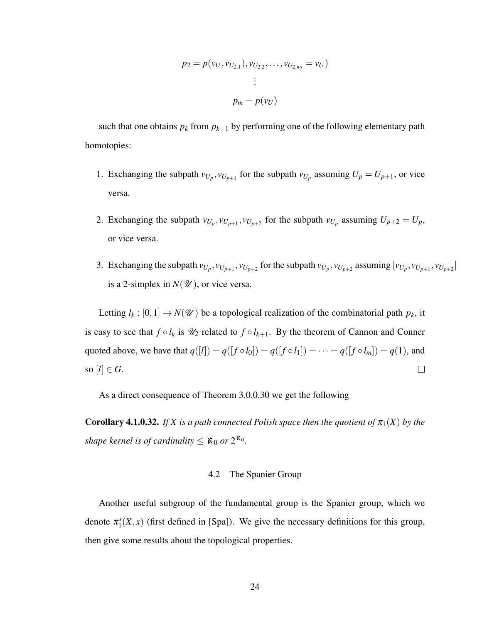$$
p_2 = p(v_U, v_{U_{2,1}}), v_{U_{2,2}}, \dots, v_{U_{2,n_2}} = v_U)
$$
  
 
$$
\vdots
$$
  
 
$$
p_m = p(v_U)
$$

such that one obtains  $p_k$  from  $p_{k-1}$  by performing one of the following elementary path homotopies:

- 1. Exchanging the subpath  $v_{U_p}, v_{U_{p+1}}$  for the subpath  $v_{U_p}$  assuming  $U_p = U_{p+1}$ , or vice versa.
- 2. Exchanging the subpath  $v_{U_p}, v_{U_{p+1}}, v_{U_{p+2}}$  for the subpath  $v_{U_p}$  assuming  $U_{p+2} = U_p$ , or vice versa.
- 3. Exchanging the subpath  $v_{U_p}, v_{U_{p+1}}, v_{U_{p+2}}$  for the subpath  $v_{U_p}, v_{U_{p+2}}$  assuming  $[v_{U_p}, v_{U_{p+1}}, v_{U_{p+2}}]$ is a 2-simplex in  $N(\mathcal{U})$ , or vice versa.

Letting  $l_k : [0,1] \to N(\mathcal{U})$  be a topological realization of the combinatorial path  $p_k$ , it is easy to see that  $f \circ l_k$  is  $\mathcal{U}_2$  related to  $f \circ l_{k+1}$ . By the theorem of Cannon and Conner quoted above, we have that  $q([l]) = q([f \circ l_0]) = q([f \circ l_1]) = \cdots = q([f \circ l_m]) = q(1)$ , and so  $[l] \in G$ .  $\Box$ 

As a direct consequence of Theorem 3.0.0.30 we get the following

**Corollary 4.1.0.32.** If X is a path connected Polish space then the quotient of  $\pi_1(X)$  by the *shape kernel is of cardinality*  $\leq$   $\mathfrak{X}_0$  *or*  $2^{\mathfrak{X}_0}$ *.* 

## 4.2 The Spanier Group

Another useful subgroup of the fundamental group is the Spanier group, which we denote  $\pi_1^s$  $\int_1^s (X, x)$  (first defined in [Spa]). We give the necessary definitions for this group, then give some results about the topological properties.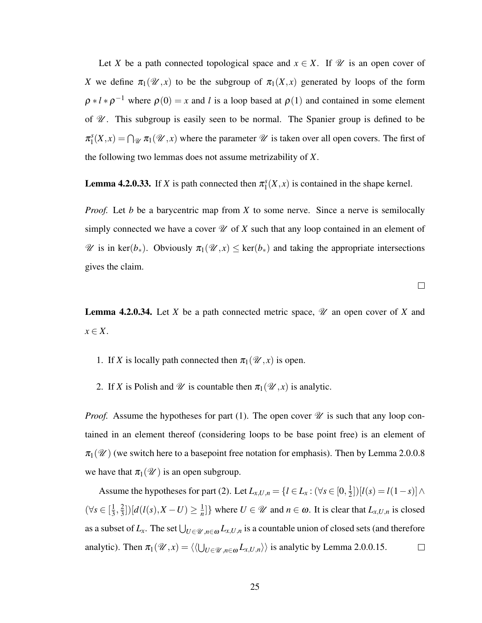Let *X* be a path connected topological space and  $x \in X$ . If  $\mathcal{U}$  is an open cover of *X* we define  $\pi_1(\mathcal{U},x)$  to be the subgroup of  $\pi_1(X,x)$  generated by loops of the form  $\rho * l * \rho^{-1}$  where  $\rho(0) = x$  and *l* is a loop based at  $\rho(1)$  and contained in some element of  $\mathcal{U}$ . This subgroup is easily seen to be normal. The Spanier group is defined to be  $\pi_1^s$  $\mathcal{L}_1^s(X,x) = \bigcap_{\mathcal{U}} \pi_1(\mathcal{U},x)$  where the parameter  $\mathcal U$  is taken over all open covers. The first of the following two lemmas does not assume metrizability of *X*.

**Lemma 4.2.0.33.** If *X* is path connected then  $\pi_1^s$  $\binom{s}{1}(X,x)$  is contained in the shape kernel.

*Proof.* Let *b* be a barycentric map from *X* to some nerve. Since a nerve is semilocally simply connected we have a cover  $\mathcal U$  of  $X$  such that any loop contained in an element of  $\mathscr U$  is in ker( $b_*$ ). Obviously  $\pi_1(\mathscr U,x) \leq \ker(b_*)$  and taking the appropriate intersections gives the claim.

 $\Box$ 

**Lemma 4.2.0.34.** Let *X* be a path connected metric space,  $\mathcal{U}$  an open cover of *X* and *x* ∈ *X*.

- 1. If *X* is locally path connected then  $\pi_1(\mathcal{U},x)$  is open.
- 2. If *X* is Polish and  $\mathcal U$  is countable then  $\pi_1(\mathcal U, x)$  is analytic.

*Proof.* Assume the hypotheses for part (1). The open cover  $\mathcal{U}$  is such that any loop contained in an element thereof (considering loops to be base point free) is an element of  $\pi_1(\mathcal{U})$  (we switch here to a basepoint free notation for emphasis). Then by Lemma 2.0.0.8 we have that  $\pi_1(\mathcal{U})$  is an open subgroup.

Assume the hypotheses for part (2). Let  $L_{x,U,n} = \{l \in L_x : (\forall s \in [0, \frac{1}{2}])\}$  $\frac{1}{2}$ ])[ $l(s) = l(1-s)]\wedge$  $(\forall s \in [\frac{1}{3}]$  $\frac{1}{3}, \frac{2}{3}$  $\frac{2}{3}$ ])[ $d(l(s), X - U) \geq \frac{1}{n}$  $\left\{\frac{1}{n}\right\}$  where  $U \in \mathcal{U}$  and  $n \in \omega$ . It is clear that  $L_{x,U,n}$  is closed as a subset of  $L_x$ . The set  $\bigcup_{U \in \mathscr{U}, n \in \omega} L_{x,U,n}$  is a countable union of closed sets (and therefore analytic). Then  $\pi_1(\mathcal{U}, x) = \langle \langle U_{U \in \mathcal{U}, n \in \omega} L_{x, U, n} \rangle \rangle$  is analytic by Lemma 2.0.0.15.  $\Box$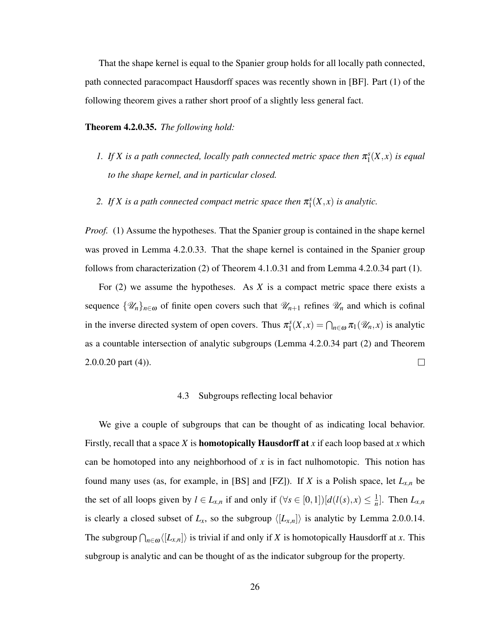That the shape kernel is equal to the Spanier group holds for all locally path connected, path connected paracompact Hausdorff spaces was recently shown in [BF]. Part (1) of the following theorem gives a rather short proof of a slightly less general fact.

Theorem 4.2.0.35. *The following hold:*

- *1.* If X is a path connected, locally path connected metric space then  $\pi_1^s$  $C_1^s(X,x)$  *is equal to the shape kernel, and in particular closed.*
- 2. If X is a path connected compact metric space then  $\pi_1^s$  $C_1^s(X,x)$  *is analytic.*

*Proof.* (1) Assume the hypotheses. That the Spanier group is contained in the shape kernel was proved in Lemma 4.2.0.33. That the shape kernel is contained in the Spanier group follows from characterization (2) of Theorem 4.1.0.31 and from Lemma 4.2.0.34 part (1).

For (2) we assume the hypotheses. As *X* is a compact metric space there exists a sequence  $\{\mathscr{U}_n\}_{n\in\omega}$  of finite open covers such that  $\mathscr{U}_{n+1}$  refines  $\mathscr{U}_n$  and which is cofinal in the inverse directed system of open covers. Thus  $\pi_1^s$  $\prod_{1}^{s}(X,x) = \bigcap_{n \in \omega} \pi_1(\mathscr{U}_n,x)$  is analytic as a countable intersection of analytic subgroups (Lemma 4.2.0.34 part (2) and Theorem  $2.0.0.20$  part  $(4)$ ).  $\Box$ 

#### 4.3 Subgroups reflecting local behavior

We give a couple of subgroups that can be thought of as indicating local behavior. Firstly, recall that a space *X* is homotopically Hausdorff at *x* if each loop based at *x* which can be homotoped into any neighborhood of  $x$  is in fact nulhomotopic. This notion has found many uses (as, for example, in [BS] and [FZ]). If *X* is a Polish space, let *Lx*,*<sup>n</sup>* be the set of all loops given by  $l \in L_{x,n}$  if and only if  $(\forall s \in [0,1])[d(l(s),x) \leq \frac{1}{n})$  $\frac{1}{n}$ . Then  $L_{x,n}$ is clearly a closed subset of  $L_x$ , so the subgroup  $\langle [L_{x,n}] \rangle$  is analytic by Lemma 2.0.0.14. The subgroup  $\bigcap_{n\in\omega}\langle [L_{x,n}]\rangle$  is trivial if and only if *X* is homotopically Hausdorff at *x*. This subgroup is analytic and can be thought of as the indicator subgroup for the property.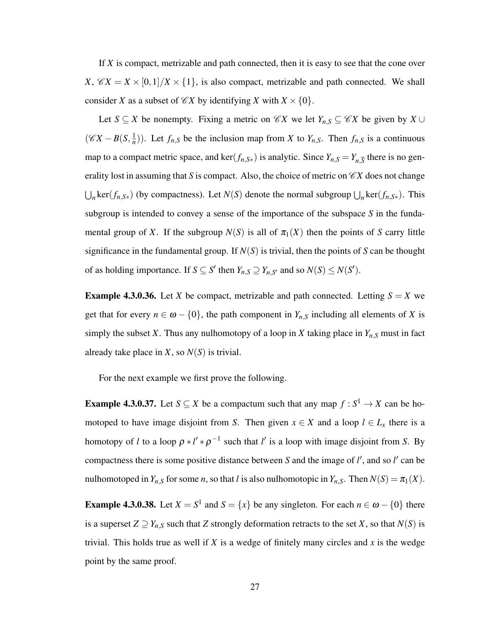If *X* is compact, metrizable and path connected, then it is easy to see that the cone over *X*,  $\mathscr{C}X = X \times [0,1]/X \times \{1\}$ , is also compact, metrizable and path connected. We shall consider *X* as a subset of  $\mathcal{C}X$  by identifying *X* with  $X \times \{0\}$ .

Let *S* ⊆ *X* be nonempty. Fixing a metric on  $\mathcal{C}X$  we let  $Y_{n,S}$  ⊆  $\mathcal{C}X$  be given by  $X \cup Y$  $(\mathscr{C}X - B(S, \frac{1}{n}))$  $\frac{1}{n}$ ). Let  $f_{n,S}$  be the inclusion map from *X* to  $Y_{n,S}$ . Then  $f_{n,S}$  is a continuous map to a compact metric space, and ker( $f_{n,S*}$ ) is analytic. Since  $Y_{n,S} = Y_{n,\overline{S}}$  there is no generality lost in assuming that *S* is compact. Also, the choice of metric on  $\mathscr{C}X$  does not change  $\bigcup_n \text{ker}(f_{n,S*})$  (by compactness). Let *N*(*S*) denote the normal subgroup  $\bigcup_n \text{ker}(f_{n,S*})$ . This subgroup is intended to convey a sense of the importance of the subspace *S* in the fundamental group of *X*. If the subgroup  $N(S)$  is all of  $\pi_1(X)$  then the points of *S* carry little significance in the fundamental group. If *N*(*S*) is trivial, then the points of *S* can be thought of as holding importance. If  $S \subseteq S'$  then  $Y_{n,S} \supseteq Y_{n,S'}$  and so  $N(S) \leq N(S')$ .

**Example 4.3.0.36.** Let *X* be compact, metrizable and path connected. Letting  $S = X$  we get that for every  $n \in \omega - \{0\}$ , the path component in  $Y_{n,S}$  including all elements of *X* is simply the subset *X*. Thus any nulhomotopy of a loop in *X* taking place in  $Y_{n,S}$  must in fact already take place in *X*, so  $N(S)$  is trivial.

For the next example we first prove the following.

**Example 4.3.0.37.** Let  $S \subseteq X$  be a compactum such that any map  $f : S^1 \to X$  can be homotoped to have image disjoint from *S*. Then given  $x \in X$  and a loop  $l \in L_x$  there is a homotopy of *l* to a loop  $\rho * l' * \rho^{-1}$  such that *l'* is a loop with image disjoint from *S*. By compactness there is some positive distance between  $S$  and the image of  $l'$ , and so  $l'$  can be nulhomotoped in  $Y_{n,S}$  for some *n*, so that *l* is also nulhomotopic in  $Y_{n,S}$ . Then  $N(S) = \pi_1(X)$ .

**Example 4.3.0.38.** Let  $X = S^1$  and  $S = \{x\}$  be any singleton. For each  $n \in \omega - \{0\}$  there is a superset  $Z \supseteq Y_{n,S}$  such that *Z* strongly deformation retracts to the set *X*, so that  $N(S)$  is trivial. This holds true as well if *X* is a wedge of finitely many circles and *x* is the wedge point by the same proof.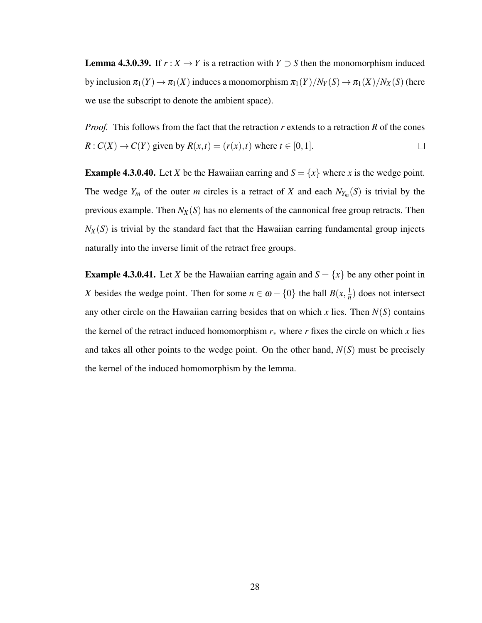**Lemma 4.3.0.39.** If  $r : X \to Y$  is a retraction with  $Y \supset S$  then the monomorphism induced by inclusion  $\pi_1(Y) \to \pi_1(X)$  induces a monomorphism  $\pi_1(Y)/N_Y(S) \to \pi_1(X)/N_X(S)$  (here we use the subscript to denote the ambient space).

*Proof.* This follows from the fact that the retraction *r* extends to a retraction *R* of the cones  $R: C(X) \rightarrow C(Y)$  given by  $R(x,t) = (r(x),t)$  where  $t \in [0,1]$ .  $\Box$ 

**Example 4.3.0.40.** Let *X* be the Hawaiian earring and  $S = \{x\}$  where *x* is the wedge point. The wedge  $Y_m$  of the outer *m* circles is a retract of *X* and each  $N_{Y_m}(S)$  is trivial by the previous example. Then *NX*(*S*) has no elements of the cannonical free group retracts. Then  $N_X(S)$  is trivial by the standard fact that the Hawaiian earring fundamental group injects naturally into the inverse limit of the retract free groups.

**Example 4.3.0.41.** Let *X* be the Hawaiian earring again and  $S = \{x\}$  be any other point in *X* besides the wedge point. Then for some  $n \in \omega - \{0\}$  the ball  $B(x, \frac{1}{n})$  $\frac{1}{n}$ ) does not intersect any other circle on the Hawaiian earring besides that on which  $x$  lies. Then  $N(S)$  contains the kernel of the retract induced homomorphism  $r_*$  where  $r$  fixes the circle on which  $x$  lies and takes all other points to the wedge point. On the other hand,  $N(S)$  must be precisely the kernel of the induced homomorphism by the lemma.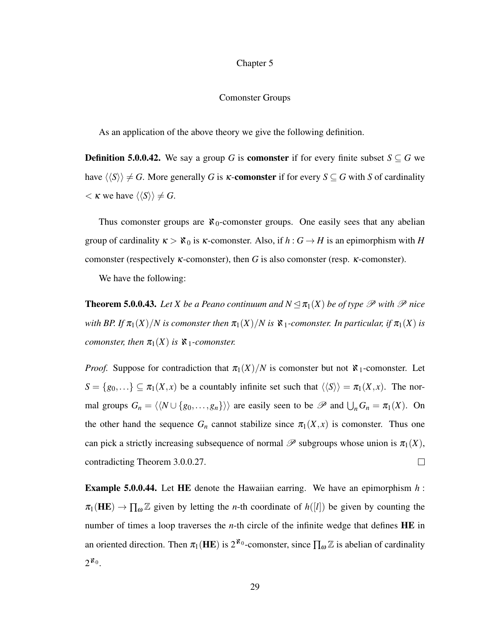#### Chapter 5

#### Comonster Groups

As an application of the above theory we give the following definition.

**Definition 5.0.0.42.** We say a group *G* is **comonster** if for every finite subset  $S \subseteq G$  we have  $\langle \langle S \rangle \rangle \neq G$ . More generally *G* is *K*-comonster if for every  $S \subseteq G$  with *S* of cardinality  $\langle K \text{ we have } \langle \langle S \rangle \rangle \neq G.$ 

Thus comonster groups are  $\aleph_0$ -comonster groups. One easily sees that any abelian group of cardinality  $\kappa > \aleph_0$  is  $\kappa$ -comonster. Also, if  $h : G \to H$  is an epimorphism with *H* comonster (respectively κ-comonster), then *G* is also comonster (resp. κ-comonster).

We have the following:

**Theorem 5.0.0.43.** Let X be a Peano continuum and  $N \leq \pi_1(X)$  be of type  $\mathcal P$  with  $\mathcal P$  nice *with BP. If*  $\pi_1(X)/N$  *is comonster then*  $\pi_1(X)/N$  *is*  $\aleph_1$ *-comonster. In particular, if*  $\pi_1(X)$  *is comonster, then*  $\pi_1(X)$  *is*  $\aleph_1$ *-comonster.* 

*Proof.* Suppose for contradiction that  $\pi_1(X)/N$  is comonster but not  $\aleph_1$ -comonster. Let  $S = \{g_0, \ldots\} \subseteq \pi_1(X, x)$  be a countably infinite set such that  $\langle \langle S \rangle \rangle = \pi_1(X, x)$ . The normal groups  $G_n = \langle \langle N \cup \{g_0, \ldots, g_n\} \rangle \rangle$  are easily seen to be  $\mathscr P$  and  $\bigcup_n G_n = \pi_1(X)$ . On the other hand the sequence  $G_n$  cannot stabilize since  $\pi_1(X,x)$  is comonster. Thus one can pick a strictly increasing subsequence of normal  $\mathscr P$  subgroups whose union is  $\pi_1(X)$ , contradicting Theorem 3.0.0.27.  $\Box$ 

Example 5.0.0.44. Let HE denote the Hawaiian earring. We have an epimorphism *h* :  $\pi_1(HE) \to \prod_{\omega} \mathbb{Z}$  given by letting the *n*-th coordinate of  $h([l])$  be given by counting the number of times a loop traverses the *n*-th circle of the infinite wedge that defines HE in an oriented direction. Then  $\pi_1(\mathbf{HE})$  is  $2^{\mathbf{X}_0}$ -comonster, since  $\prod_{\omega} \mathbb{Z}$  is abelian of cardinality  $2^{\aleph_0}$ .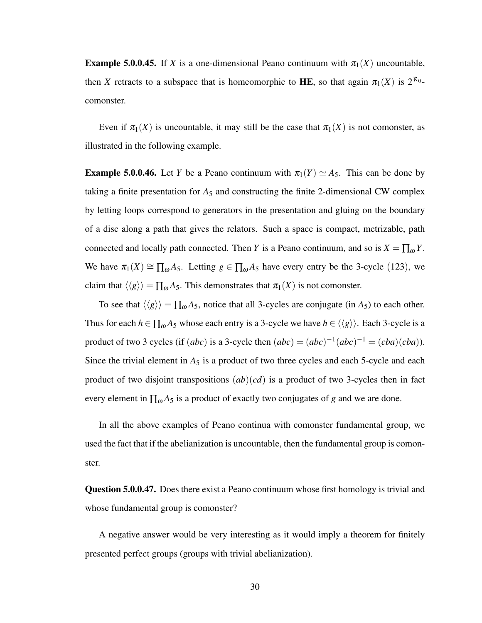**Example 5.0.0.45.** If *X* is a one-dimensional Peano continuum with  $\pi_1(X)$  uncountable, then *X* retracts to a subspace that is homeomorphic to HE, so that again  $\pi_1(X)$  is  $2^{k_0}$ comonster.

Even if  $\pi_1(X)$  is uncountable, it may still be the case that  $\pi_1(X)$  is not comonster, as illustrated in the following example.

**Example 5.0.0.46.** Let *Y* be a Peano continuum with  $\pi_1(Y) \simeq A_5$ . This can be done by taking a finite presentation for  $A_5$  and constructing the finite 2-dimensional CW complex by letting loops correspond to generators in the presentation and gluing on the boundary of a disc along a path that gives the relators. Such a space is compact, metrizable, path connected and locally path connected. Then *Y* is a Peano continuum, and so is  $X = \prod_{\omega} Y$ . We have  $\pi_1(X) \cong \prod_{\omega} A_5$ . Letting  $g \in \prod_{\omega} A_5$  have every entry be the 3-cycle (123), we claim that  $\langle \langle g \rangle \rangle = \prod_{\omega} A_5$ . This demonstrates that  $\pi_1(X)$  is not comonster.

To see that  $\langle \langle g \rangle \rangle = \prod_{\omega} A_5$ , notice that all 3-cycles are conjugate (in *A*<sub>5</sub>) to each other. Thus for each  $h \in \prod_{\omega} A_5$  whose each entry is a 3-cycle we have  $h \in \langle \langle g \rangle \rangle$ . Each 3-cycle is a product of two 3 cycles (if  $(abc)$  is a 3-cycle then  $(abc) = (abc)^{-1}(abc)^{-1} = (cba)(cba)$ ). Since the trivial element in  $A_5$  is a product of two three cycles and each 5-cycle and each product of two disjoint transpositions (*ab*)(*cd*) is a product of two 3-cycles then in fact every element in  $\prod_{\omega} A_5$  is a product of exactly two conjugates of *g* and we are done.

In all the above examples of Peano continua with comonster fundamental group, we used the fact that if the abelianization is uncountable, then the fundamental group is comonster.

Question 5.0.0.47. Does there exist a Peano continuum whose first homology is trivial and whose fundamental group is comonster?

A negative answer would be very interesting as it would imply a theorem for finitely presented perfect groups (groups with trivial abelianization).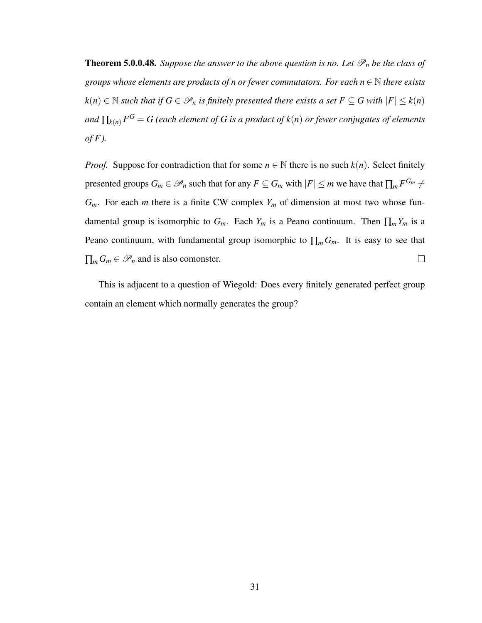**Theorem 5.0.0.48.** *Suppose the answer to the above question is no. Let*  $\mathscr{P}_n$  *be the class of groups whose elements are products of n or fewer commutators. For each n* ∈ N *there exists k*(*n*) ∈ N *such that if*  $G \in \mathcal{P}_n$  *is finitely presented there exists a set*  $F \subseteq G$  *with*  $|F| \leq k(n)$ *and* ∏*k*(*n*) *F <sup>G</sup>* = *G (each element of G is a product of k*(*n*) *or fewer conjugates of elements of F ).*

*Proof.* Suppose for contradiction that for some  $n \in \mathbb{N}$  there is no such  $k(n)$ . Select finitely presented groups  $G_m \in \mathscr{P}_n$  such that for any  $F \subseteq G_m$  with  $|F| \le m$  we have that  $\prod_m F^{G_m} \ne m$  $G_m$ . For each *m* there is a finite CW complex  $Y_m$  of dimension at most two whose fundamental group is isomorphic to  $G_m$ . Each  $Y_m$  is a Peano continuum. Then  $\prod_m Y_m$  is a Peano continuum, with fundamental group isomorphic to  $\prod_m G_m$ . It is easy to see that  $\prod_{m} G_m \in \mathscr{P}_n$  and is also comonster.  $\Box$ 

This is adjacent to a question of Wiegold: Does every finitely generated perfect group contain an element which normally generates the group?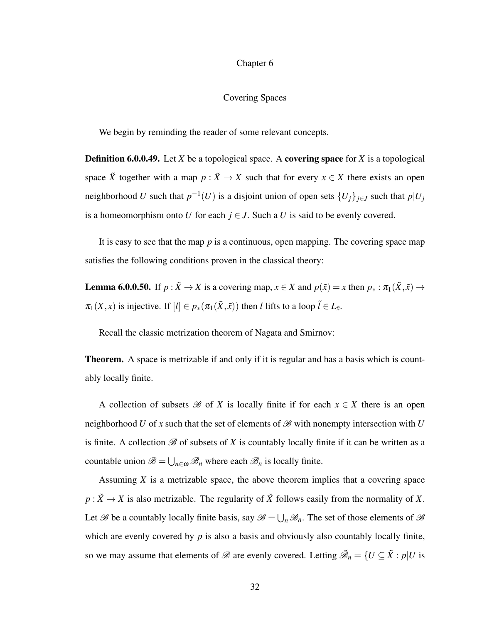### Chapter 6

### Covering Spaces

We begin by reminding the reader of some relevant concepts.

Definition 6.0.0.49. Let *X* be a topological space. A covering space for *X* is a topological space  $\tilde{X}$  together with a map  $p : \tilde{X} \to X$  such that for every  $x \in X$  there exists an open neighborhood *U* such that  $p^{-1}(U)$  is a disjoint union of open sets  $\{U_j\}_{j\in J}$  such that  $p|U_j$ is a homeomorphism onto *U* for each  $j \in J$ . Such a *U* is said to be evenly covered.

It is easy to see that the map *p* is a continuous, open mapping. The covering space map satisfies the following conditions proven in the classical theory:

**Lemma 6.0.0.50.** If  $p : \tilde{X} \to X$  is a covering map,  $x \in X$  and  $p(\tilde{x}) = x$  then  $p_* : \pi_1(\tilde{X}, \tilde{x}) \to X$  $\pi_1(X, x)$  is injective. If  $[l] \in p_*(\pi_1(\tilde{X}, \tilde{x}))$  then *l* lifts to a loop  $\tilde{l} \in L_{\tilde{x}}$ .

Recall the classic metrization theorem of Nagata and Smirnov:

Theorem. A space is metrizable if and only if it is regular and has a basis which is countably locally finite.

A collection of subsets  $\mathscr B$  of *X* is locally finite if for each  $x \in X$  there is an open neighborhood *U* of *x* such that the set of elements of  $\mathcal{B}$  with nonempty intersection with *U* is finite. A collection  $\mathscr B$  of subsets of *X* is countably locally finite if it can be written as a countable union  $\mathscr{B} = \bigcup_{n \in \omega} \mathscr{B}_n$  where each  $\mathscr{B}_n$  is locally finite.

Assuming *X* is a metrizable space, the above theorem implies that a covering space  $p: \tilde{X} \to X$  is also metrizable. The regularity of  $\tilde{X}$  follows easily from the normality of *X*. Let  $\mathscr B$  be a countably locally finite basis, say  $\mathscr B = \bigcup_n \mathscr B_n$ . The set of those elements of  $\mathscr B$ which are evenly covered by *p* is also a basis and obviously also countably locally finite, so we may assume that elements of  $\mathscr{B}$  are evenly covered. Letting  $\tilde{\mathscr{B}}_n = \{U \subseteq \tilde{X} : p | U$  is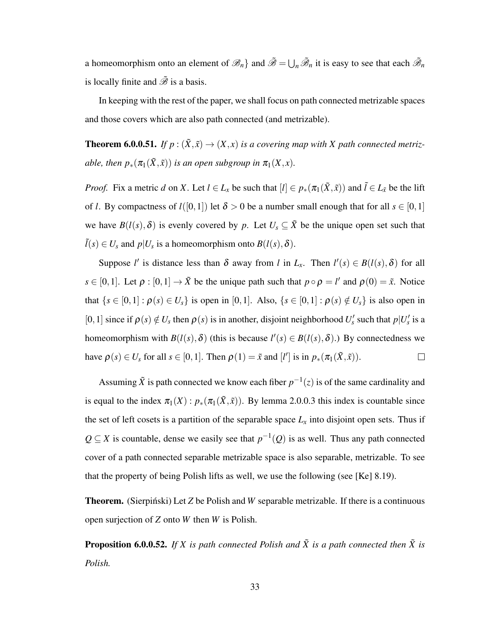a homeomorphism onto an element of  $\mathscr{B}_n$  and  $\tilde{\mathscr{B}} = \bigcup_n \tilde{\mathscr{B}}_n$  it is easy to see that each  $\tilde{\mathscr{B}}_n$ is locally finite and  $\tilde{\mathscr{B}}$  is a basis.

In keeping with the rest of the paper, we shall focus on path connected metrizable spaces and those covers which are also path connected (and metrizable).

**Theorem 6.0.0.51.** *If*  $p : (\tilde{X}, \tilde{x}) \to (X, x)$  *is a covering map with X path connected metrizable, then*  $p_*(\pi_1(\tilde{X}, \tilde{x}))$  *is an open subgroup in*  $\pi_1(X, x)$ *.* 

*Proof.* Fix a metric *d* on *X*. Let  $l \in L_x$  be such that  $[l] \in p_*(\pi_1(\tilde{X}, \tilde{x}))$  and  $\tilde{l} \in L_{\tilde{x}}$  be the lift of *l*. By compactness of  $l([0,1])$  let  $\delta > 0$  be a number small enough that for all  $s \in [0,1]$ we have  $B(l(s),\delta)$  is evenly covered by p. Let  $U_s \subseteq \tilde{X}$  be the unique open set such that  $\tilde{l}(s) \in U_s$  and  $p|U_s$  is a homeomorphism onto  $B(l(s),\delta)$ .

Suppose *l'* is distance less than  $\delta$  away from *l* in  $L_x$ . Then  $l'(s) \in B(l(s), \delta)$  for all  $s \in [0,1]$ . Let  $\rho : [0,1] \to \tilde{X}$  be the unique path such that  $p \circ \rho = l'$  and  $\rho(0) = \tilde{x}$ . Notice that  $\{s \in [0,1]: \rho(s) \in U_s\}$  is open in [0,1]. Also,  $\{s \in [0,1]: \rho(s) \notin U_s\}$  is also open in [0, 1] since if  $\rho(s) \notin U_s$  then  $\rho(s)$  is in another, disjoint neighborhood  $U'_s$  such that  $p|U'_s$  is a homeomorphism with  $B(l(s), \delta)$  (this is because  $l'(s) \in B(l(s), \delta)$ .) By connectedness we have  $\rho(s) \in U_s$  for all  $s \in [0,1]$ . Then  $\rho(1) = \tilde{x}$  and  $[l']$  is in  $p_*(\pi_1(\tilde{X}, \tilde{x}))$ .  $\Box$ 

Assuming  $\tilde{X}$  is path connected we know each fiber  $p^{-1}(z)$  is of the same cardinality and is equal to the index  $\pi_1(X): p_*(\pi_1(\tilde{X}, \tilde{x}))$ . By lemma 2.0.0.3 this index is countable since the set of left cosets is a partition of the separable space  $L<sub>x</sub>$  into disjoint open sets. Thus if  $Q \subseteq X$  is countable, dense we easily see that  $p^{-1}(Q)$  is as well. Thus any path connected cover of a path connected separable metrizable space is also separable, metrizable. To see that the property of being Polish lifts as well, we use the following (see [Ke] 8.19).

**Theorem.** (Sierpinski) Let Z be Polish and *W* separable metrizable. If there is a continuous open surjection of *Z* onto *W* then *W* is Polish.

**Proposition 6.0.0.52.** If X is path connected Polish and  $\tilde{X}$  is a path connected then  $\tilde{X}$  is *Polish.*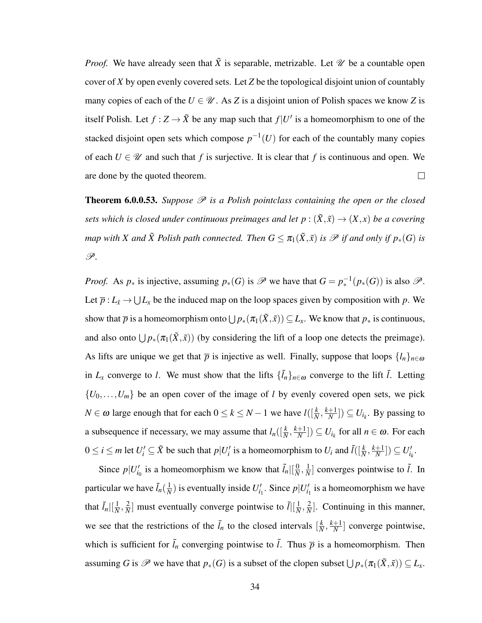*Proof.* We have already seen that  $\tilde{X}$  is separable, metrizable. Let  $\mathcal{U}$  be a countable open cover of *X* by open evenly covered sets. Let *Z* be the topological disjoint union of countably many copies of each of the  $U \in \mathcal{U}$ . As *Z* is a disjoint union of Polish spaces we know *Z* is itself Polish. Let  $f : Z \to \tilde{X}$  be any map such that  $f|U'$  is a homeomorphism to one of the stacked disjoint open sets which compose  $p^{-1}(U)$  for each of the countably many copies of each  $U \in \mathcal{U}$  and such that f is surjective. It is clear that f is continuous and open. We are done by the quoted theorem.  $\Box$ 

Theorem 6.0.0.53. Suppose  $\mathscr P$  is a Polish pointclass containing the open or the closed *sets which is closed under continuous preimages and let*  $p : (\tilde{X}, \tilde{x}) \to (X, x)$  *be a covering map with X and*  $\tilde{X}$  *Polish path connected. Then*  $G \leq \pi_1(\tilde{X}, \tilde{x})$  *is*  $\mathscr{P}$  *if and only if*  $p_*(G)$  *is* P*.*

*Proof.* As  $p_*$  is injective, assuming  $p_*(G)$  is  $\mathscr P$  we have that  $G = p_*^{-1}(p_*(G))$  is also  $\mathscr P$ . Let  $\overline{p}: L_{\tilde{x}} \to \bigcup L_x$  be the induced map on the loop spaces given by composition with *p*. We show that  $\overline{p}$  is a homeomorphism onto  $\bigcup p_*(\pi_1(\tilde{X}, \tilde{x})) \subseteq L_x$ . We know that  $p_*$  is continuous, and also onto  $\bigcup p_*(\pi_1(\tilde{X}, \tilde{x}))$  (by considering the lift of a loop one detects the preimage). As lifts are unique we get that  $\bar{p}$  is injective as well. Finally, suppose that loops  $\{l_n\}_{n\in\omega}$ in  $L_x$  converge to *l*. We must show that the lifts  $\{\tilde{l}_n\}_{n\in\omega}$  converge to the lift  $\tilde{l}$ . Letting  $\{U_0, \ldots, U_m\}$  be an open cover of the image of *l* by evenly covered open sets, we pick *N* ∈ ω large enough that for each  $0 \le k \le N - 1$  we have  $l([\frac{k}{N}, \frac{k+1}{N})$  $\left(\frac{+1}{N}\right]$ )  $\subseteq U_{i_k}$ . By passing to a subsequence if necessary, we may assume that  $l_n(\left[\frac{k}{N}, \frac{k+1}{N}\right])$  $\left(\frac{+1}{N}\right]$ )  $\subseteq U_{i_k}$  for all  $n \in \omega$ . For each  $0 \le i \le m$  let  $U_i' \subseteq \tilde{X}$  be such that  $p|U_i'$  is a homeomorphism to  $U_i$  and  $\tilde{l}([\frac{k}{N}, \frac{k+1}{N})]$  $\frac{+1}{N}$ ])  $\subseteq U'_{i_k}$ .

Since  $p|U'_{i_0}$  is a homeomorphism we know that  $\tilde{l}_n\Big|\Big|\frac{0}{N}\Big|$  $\frac{0}{N}$ ,  $\frac{1}{N}$  $\frac{1}{N}$  converges pointwise to  $\tilde{l}$ . In particular we have  $\tilde{l}_n(\frac{1}{N})$  $\frac{1}{N}$ ) is eventually inside  $U'_{i_1}$ . Since  $p|U'_{i_1}$  is a homeomorphism we have that  $\tilde{l}_n | \left[\frac{1}{N}\right]$  $\frac{1}{N}$ ,  $\frac{2}{N}$  $\frac{2}{N}$ ] must eventually converge pointwise to  $\tilde{l}$ | $\left[\frac{1}{N}\right]$  $\frac{1}{N}$ ,  $\frac{2}{N}$  $\frac{2}{N}$ . Continuing in this manner, we see that the restrictions of the  $\tilde{l}_n$  to the closed intervals  $\left[\frac{k}{N}\right]$  $\frac{k}{N}$ <sup>*k*+1</sup>  $\frac{+1}{N}$  converge pointwise, which is sufficient for  $\tilde{l}_n$  converging pointwise to  $\tilde{l}$ . Thus  $\bar{p}$  is a homeomorphism. Then assuming *G* is  $\mathscr P$  we have that  $p_*(G)$  is a subset of the clopen subset  $\bigcup p_*(\pi_1(\tilde X,\tilde x)) \subseteq L_x$ .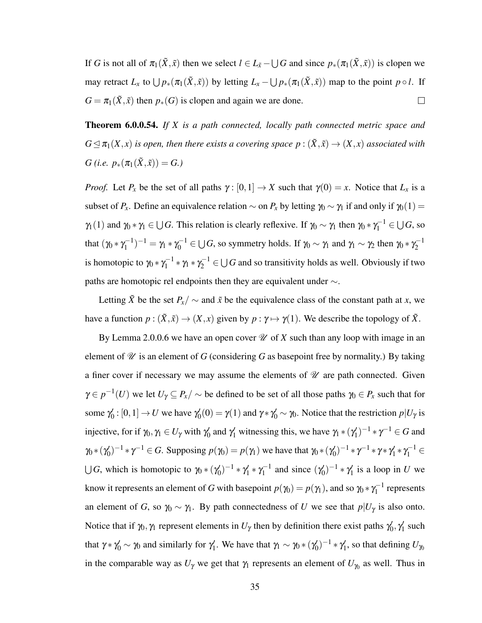If *G* is not all of  $\pi_1(\tilde{X}, \tilde{x})$  then we select  $l \in L_{\tilde{x}} - \bigcup G$  and since  $p_*(\pi_1(\tilde{X}, \tilde{x}))$  is clopen we may retract  $L_x$  to  $\bigcup p_*(\pi_1(\tilde{X}, \tilde{x}))$  by letting  $L_x - \bigcup p_*(\pi_1(\tilde{X}, \tilde{x}))$  map to the point  $p \circ l$ . If  $G = \pi_1(\tilde{X}, \tilde{x})$  then  $p_*(G)$  is clopen and again we are done.  $\Box$ 

Theorem 6.0.0.54. *If X is a path connected, locally path connected metric space and*  $G \trianglelefteq \pi_1(X, x)$  *is open, then there exists a covering space*  $p : (\tilde{X}, \tilde{x}) \rightarrow (X, x)$  *associated with G* (*i.e.*  $p_*(\pi_1(\tilde{X}, \tilde{x})) = G.$ )

*Proof.* Let  $P_x$  be the set of all paths  $\gamma : [0,1] \to X$  such that  $\gamma(0) = x$ . Notice that  $L_x$  is a subset of  $P_x$ . Define an equivalence relation  $\sim$  on  $P_x$  by letting  $\gamma_0 \sim \gamma_1$  if and only if  $\gamma_0(1) =$  $\gamma_1(1)$  and  $\gamma_0 * \gamma_1 \in \bigcup G$ . This relation is clearly reflexive. If  $\gamma_0 \sim \gamma_1$  then  $\gamma_0 * \gamma_1^{-1} \in \bigcup G$ , so that  $(\gamma_0 * \gamma_1^{-1})$  $\gamma_1^{-1})^{-1} = \gamma_1 * \gamma_0^{-1} \in \bigcup G$ , so symmetry holds. If  $\gamma_0 \sim \gamma_1$  and  $\gamma_1 \sim \gamma_2$  then  $\gamma_0 * \gamma_2^{-1}$ 2 is homotopic to  $\gamma_0 * \gamma_1^{-1}$  $\gamma_1^{-1} * \gamma_1 * \gamma_2^{-1} \in \bigcup G$  and so transitivity holds as well. Obviously if two paths are homotopic rel endpoints then they are equivalent under ∼.

Letting  $\tilde{X}$  be the set  $P_X/\sim$  and  $\tilde{x}$  be the equivalence class of the constant path at *x*, we have a function  $p : (\tilde{X}, \tilde{x}) \to (X, x)$  given by  $p : \gamma \mapsto \gamma(1)$ . We describe the topology of  $\tilde{X}$ .

By Lemma 2.0.0.6 we have an open cover  $\mathcal U$  of X such than any loop with image in an element of  $\mathcal U$  is an element of *G* (considering *G* as basepoint free by normality.) By taking a finer cover if necessary we may assume the elements of  $\mathcal U$  are path connected. Given  $\gamma \in p^{-1}(U)$  we let  $U_{\gamma} \subseteq P_x/\sim$  be defined to be set of all those paths  $\gamma_0 \in P_x$  such that for some  $\gamma_0'$  $\gamma'_0$  :  $[0,1] \rightarrow U$  we have  $\gamma'_0$  $\gamma_0'(0) = \gamma(1)$  and  $\gamma * \gamma_0' \sim \gamma_0$ . Notice that the restriction  $p|U_\gamma$  is injective, for if  $\gamma_0, \gamma_1 \in U_\gamma$  with  $\gamma_0'$  $\gamma_0'$  and  $\gamma_1'$  witnessing this, we have  $\gamma_1 * (\gamma_1')$  $\gamma_1')^{-1} * \gamma^{-1} \in G$  and  $\gamma_0$  \* ( $\gamma_0'$  $Q_0'$ )<sup>-1</sup>  $*\gamma^{-1} \in G$ . Supposing  $p(\gamma_0) = p(\gamma_1)$  we have that  $\gamma_0 * (\gamma_0')$  $(\gamma_0')^{-1} * \gamma^{-1} * \gamma * \gamma_1'$  $\gamma_1' * \gamma_1^{-1} \in$  $\bigcup G$ , which is homotopic to  $\gamma_0$  \* ( $\gamma_0'$  $(\gamma_0')^{-1} * \gamma_1'$  $\gamma_1' * \gamma_1^{-1}$  $\zeta_1^{-1}$  and since  $(\gamma_0)$  $(\gamma)^{-1} * \gamma_1'$  $\frac{1}{1}$  is a loop in *U* we know it represents an element of *G* with basepoint  $p(\gamma_0) = p(\gamma_1)$ , and so  $\gamma_0 * \gamma_1^{-1}$  $\sqrt{1}$  represents an element of *G*, so  $\gamma_0 \sim \gamma_1$ . By path connectedness of *U* we see that  $p|U_\gamma$  is also onto. Notice that if  $\gamma_0, \gamma_1$  represent elements in  $U_\gamma$  then by definition there exist paths  $\gamma_0'$  $\gamma'_0, \gamma'_1$  $\frac{1}{1}$  such that  $\gamma * \gamma'_0 \sim \gamma_0$  and similarly for  $\gamma'_1$  $\gamma_1'$ . We have that  $\gamma_1 \sim \gamma_0 * (\gamma_0')$  $(\gamma_0')^{-1} * \gamma_1'$  $U_1$ , so that defining  $U_{\gamma_0}$ in the comparable way as  $U_{\gamma}$  we get that  $\gamma_1$  represents an element of  $U_{\gamma_0}$  as well. Thus in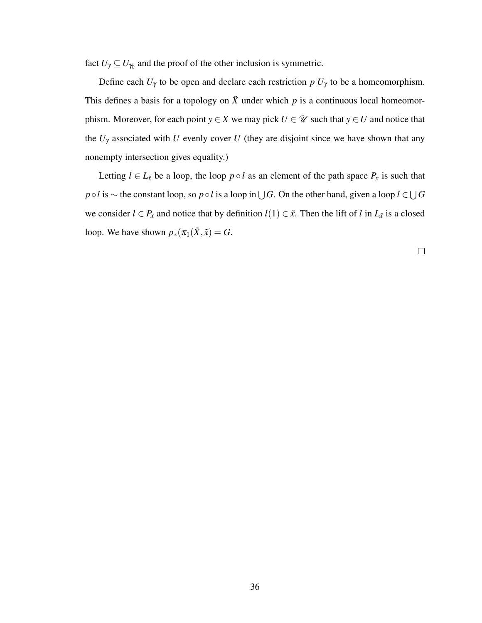fact  $U_{\gamma} \subseteq U_{\gamma_0}$  and the proof of the other inclusion is symmetric.

Define each  $U_{\gamma}$  to be open and declare each restriction  $p|U_{\gamma}$  to be a homeomorphism. This defines a basis for a topology on  $\tilde{X}$  under which  $p$  is a continuous local homeomorphism. Moreover, for each point  $y \in X$  we may pick  $U \in \mathcal{U}$  such that  $y \in U$  and notice that the  $U_{\gamma}$  associated with *U* evenly cover *U* (they are disjoint since we have shown that any nonempty intersection gives equality.)

Letting  $l \in L_{\tilde{x}}$  be a loop, the loop  $p \circ l$  as an element of the path space  $P_x$  is such that *p*◦*l* is ∼ the constant loop, so *p*◦*l* is a loop in  $\bigcup G$ . On the other hand, given a loop  $l \in \bigcup G$ we consider  $l \in P_x$  and notice that by definition  $l(1) \in \tilde{x}$ . Then the lift of *l* in  $L_{\tilde{x}}$  is a closed loop. We have shown  $p_*(\pi_1(\tilde{X}, \tilde{x}) = G$ .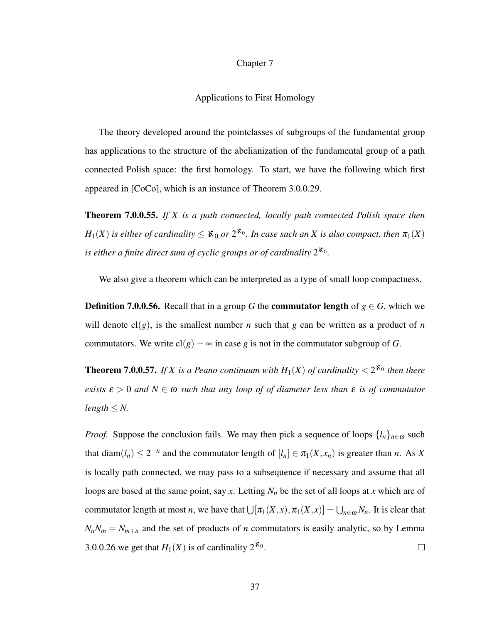### Chapter 7

#### Applications to First Homology

The theory developed around the pointclasses of subgroups of the fundamental group has applications to the structure of the abelianization of the fundamental group of a path connected Polish space: the first homology. To start, we have the following which first appeared in [CoCo], which is an instance of Theorem 3.0.0.29.

Theorem 7.0.0.55. *If X is a path connected, locally path connected Polish space then*  $H_1(X)$  *is either of cardinality*  $\leq$   $\aleph_0$  *or*  $2^{\aleph_0}$ *. In case such an X is also compact, then*  $\pi_1(X)$ is either a finite direct sum of cyclic groups or of cardinality  $2^{\aleph_0}$ .

We also give a theorem which can be interpreted as a type of small loop compactness.

**Definition 7.0.0.56.** Recall that in a group *G* the **commutator length** of  $g \in G$ , which we will denote  $cl(g)$ , is the smallest number *n* such that *g* can be written as a product of *n* commutators. We write  $cl(g) = \infty$  in case g is not in the commutator subgroup of *G*.

**Theorem 7.0.0.57.** If X is a Peano continuum with  $H_1(X)$  of cardinality  $\lt 2^{\aleph_0}$  then there *exists*  $\varepsilon > 0$  *and*  $N \in \omega$  *such that any loop of of diameter less than*  $\varepsilon$  *is of commutator*  $length < N$ .

*Proof.* Suppose the conclusion fails. We may then pick a sequence of loops  $\{l_n\}_{n\in\omega}$  such that diam $(l_n) \leq 2^{-n}$  and the commutator length of  $[l_n] \in \pi_1(X, x_n)$  is greater than *n*. As *X* is locally path connected, we may pass to a subsequence if necessary and assume that all loops are based at the same point, say *x*. Letting *N<sup>n</sup>* be the set of all loops at *x* which are of commutator length at most *n*, we have that  $\bigcup [\pi_1(X,x), \pi_1(X,x)] = \bigcup_{n \in \omega} N_n$ . It is clear that  $N_nN_m = N_{m+n}$  and the set of products of *n* commutators is easily analytic, so by Lemma 3.0.0.26 we get that  $H_1(X)$  is of cardinality  $2^{\aleph_0}$ .  $\Box$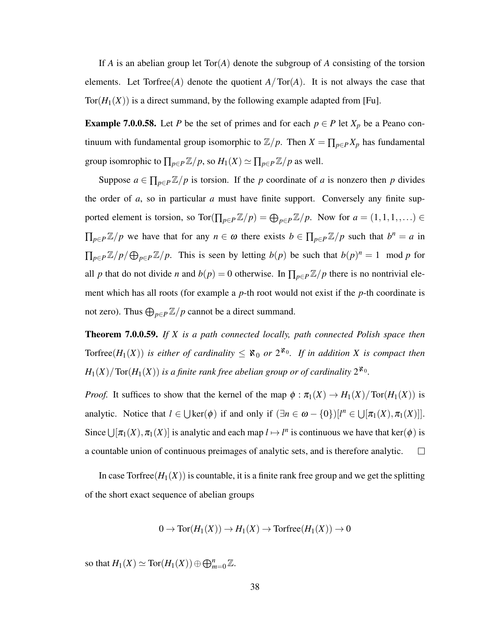If *A* is an abelian group let Tor(*A*) denote the subgroup of *A* consisting of the torsion elements. Let  $Torfree(A)$  denote the quotient  $A/Tor(A)$ . It is not always the case that Tor( $H_1(X)$ ) is a direct summand, by the following example adapted from [Fu].

**Example 7.0.0.58.** Let *P* be the set of primes and for each  $p \in P$  let  $X_p$  be a Peano continuum with fundamental group isomorphic to  $\mathbb{Z}/p$ . Then  $X = \prod_{p \in P} X_p$  has fundamental group isomrophic to  $\prod_{p \in P} \mathbb{Z}/p$ , so  $H_1(X) \simeq \prod_{p \in P} \mathbb{Z}/p$  as well.

Suppose  $a \in \prod_{p \in P} \mathbb{Z}/p$  is torsion. If the *p* coordinate of *a* is nonzero then *p* divides the order of *a*, so in particular *a* must have finite support. Conversely any finite supported element is torsion, so  $\text{Tor}(\prod_{p\in P}\mathbb{Z}/p) = \bigoplus_{p\in P}\mathbb{Z}/p$ . Now for  $a = (1,1,1,\ldots) \in$  $\prod_{p\in P}\mathbb{Z}/p$  we have that for any  $n \in \omega$  there exists  $b \in \prod_{p\in P}\mathbb{Z}/p$  such that  $b^n = a$  in  $\prod_{p \in P} \mathbb{Z}/p \neq \bigoplus_{p \in P} \mathbb{Z}/p$ . This is seen by letting *b*(*p*) be such that *b*(*p*)<sup>*n*</sup> = 1 mod *p* for all *p* that do not divide *n* and  $b(p) = 0$  otherwise. In  $\prod_{p \in P} \mathbb{Z}/p$  there is no nontrivial element which has all roots (for example a *p*-th root would not exist if the *p*-th coordinate is not zero). Thus  $\bigoplus_{p \in P} \mathbb{Z}/p$  cannot be a direct summand.

Theorem 7.0.0.59. *If X is a path connected locally, path connected Polish space then* Torfree $(H_1(X))$  is either of cardinality  $\leq \aleph_0$  or  $2^{\aleph_0}$ . If in addition X is compact then  $H_1(X)/\text{Tor}(H_1(X))$  is a finite rank free abelian group or of cardinality  $2^{\aleph_0}$ .

*Proof.* It suffices to show that the kernel of the map  $\phi : \pi_1(X) \to H_1(X)/\text{Tor}(H_1(X))$  is analytic. Notice that  $l \in \bigcup \text{ker}(\phi)$  if and only if  $(\exists n \in \omega - \{0\})[l^n \in \bigcup [\pi_1(X), \pi_1(X)]].$ Since  $\bigcup [\pi_1(X), \pi_1(X)]$  is analytic and each map  $l \mapsto l^n$  is continuous we have that ker( $\phi$ ) is a countable union of continuous preimages of analytic sets, and is therefore analytic.  $\Box$ 

In case Torfree $(H_1(X))$  is countable, it is a finite rank free group and we get the splitting of the short exact sequence of abelian groups

$$
0 \to \text{Tor}(H_1(X)) \to H_1(X) \to \text{Torfree}(H_1(X)) \to 0
$$

so that  $H_1(X) \simeq \text{Tor}(H_1(X)) \oplus \bigoplus_{m=0}^n \mathbb{Z}$ .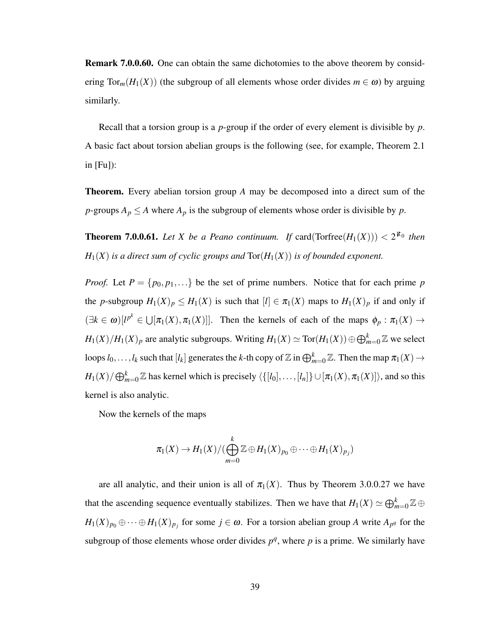**Remark 7.0.0.60.** One can obtain the same dichotomies to the above theorem by considering  $Tor_m(H_1(X))$  (the subgroup of all elements whose order divides  $m \in \omega$ ) by arguing similarly.

Recall that a torsion group is a *p*-group if the order of every element is divisible by *p*. A basic fact about torsion abelian groups is the following (see, for example, Theorem 2.1 in  $[Fu]$ :

Theorem. Every abelian torsion group *A* may be decomposed into a direct sum of the *p*-groups  $A_p \leq A$  where  $A_p$  is the subgroup of elements whose order is divisible by *p*.

**Theorem 7.0.0.61.** Let X be a Peano continuum. If card( $\text{Torfree}(H_1(X))$ )  $\lt 2^{\aleph_0}$  then  $H_1(X)$  *is a direct sum of cyclic groups and*  $Tor(H_1(X))$  *is of bounded exponent.* 

*Proof.* Let  $P = \{p_0, p_1, ...\}$  be the set of prime numbers. Notice that for each prime *p* the *p*-subgroup  $H_1(X)_p \leq H_1(X)$  is such that  $[l] \in \pi_1(X)$  maps to  $H_1(X)_p$  if and only if  $(\exists k \in \omega)[l^{p^k} \in \bigcup [\pi_1(X), \pi_1(X)]]$ . Then the kernels of each of the maps  $\phi_p : \pi_1(X) \to$  $H_1(X)/H_1(X)_p$  are analytic subgroups. Writing  $H_1(X) \simeq \text{Tor}(H_1(X)) \oplus \bigoplus_{m=0}^k \mathbb{Z}$  we select loops  $l_0,\ldots,l_k$  such that  $[l_k]$  generates the *k*-th copy of  $\mathbb Z$  in  $\bigoplus_{m=0}^k \mathbb Z$ . Then the map  $\pi_1(X)\to$  $H_1(X)/\bigoplus_{m=0}^k \mathbb{Z}$  has kernel which is precisely  $\langle\{[l_0],\ldots,[l_n]\}\cup[\pi_1(X),\pi_1(X)]\rangle,$  and so this kernel is also analytic.

Now the kernels of the maps

$$
\pi_1(X) \to H_1(X)/(\bigoplus_{m=0}^k \mathbb{Z} \oplus H_1(X)_{p_0} \oplus \cdots \oplus H_1(X)_{p_j})
$$

are all analytic, and their union is all of  $\pi_1(X)$ . Thus by Theorem 3.0.0.27 we have that the ascending sequence eventually stabilizes. Then we have that  $H_1(X) \simeq \bigoplus_{m=0}^k \mathbb{Z} \oplus$  $H_1(X)_{p_0} \oplus \cdots \oplus H_1(X)_{p_j}$  for some  $j \in \omega$ . For a torsion abelian group *A* write  $A_{p^q}$  for the subgroup of those elements whose order divides  $p^q$ , where p is a prime. We similarly have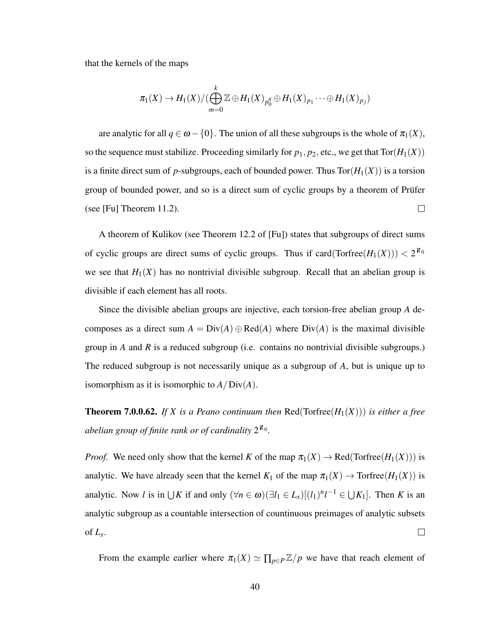that the kernels of the maps

$$
\pi_1(X) \to H_1(X)/(\bigoplus_{m=0}^k \mathbb{Z} \oplus H_1(X)_{p_0^q} \oplus H_1(X)_{p_1} \cdots \oplus H_1(X)_{p_j})
$$

are analytic for all  $q \in \omega - \{0\}$ . The union of all these subgroups is the whole of  $\pi_1(X)$ , so the sequence must stabilize. Proceeding similarly for  $p_1, p_2$ , etc., we get that  $Tor(H_1(X))$ is a finite direct sum of *p*-subgroups, each of bounded power. Thus  $Tor(H_1(X))$  is a torsion group of bounded power, and so is a direct sum of cyclic groups by a theorem of Prüfer (see [Fu] Theorem 11.2).  $\Box$ 

A theorem of Kulikov (see Theorem 12.2 of [Fu]) states that subgroups of direct sums of cyclic groups are direct sums of cyclic groups. Thus if  $card(Torfree(H_1(X))) < 2^{\aleph_0}$ we see that  $H_1(X)$  has no nontrivial divisible subgroup. Recall that an abelian group is divisible if each element has all roots.

Since the divisible abelian groups are injective, each torsion-free abelian group *A* decomposes as a direct sum  $A = Div(A) \oplus Red(A)$  where  $Div(A)$  is the maximal divisible group in *A* and *R* is a reduced subgroup (i.e. contains no nontrivial divisible subgroups.) The reduced subgroup is not necessarily unique as a subgroup of *A*, but is unique up to isomorphism as it is isomorphic to *A*/Div(*A*).

**Theorem 7.0.0.62.** If X is a Peano continuum then  $\text{Red}(\text{Torfree}(H_1(X)))$  is either a free abelian group of finite rank or of cardinality  $2^{\aleph_0}$ .

*Proof.* We need only show that the kernel *K* of the map  $\pi_1(X) \to \text{Red}(\text{Torfree}(H_1(X)))$  is analytic. We have already seen that the kernel  $K_1$  of the map  $\pi_1(X) \to \text{Torfree}(H_1(X))$  is analytic. Now *l* is in  $\bigcup K$  if and only  $(\forall n \in \omega)(\exists l_1 \in L_x)[(l_1)^n l^{-1} \in \bigcup K_1]$ . Then *K* is an analytic subgroup as a countable intersection of countinuous preimages of analytic subsets of  $L_x$ .  $\Box$ 

From the example earlier where  $\pi_1(X) \simeq \prod_{p \in P} \mathbb{Z}/p$  we have that reach element of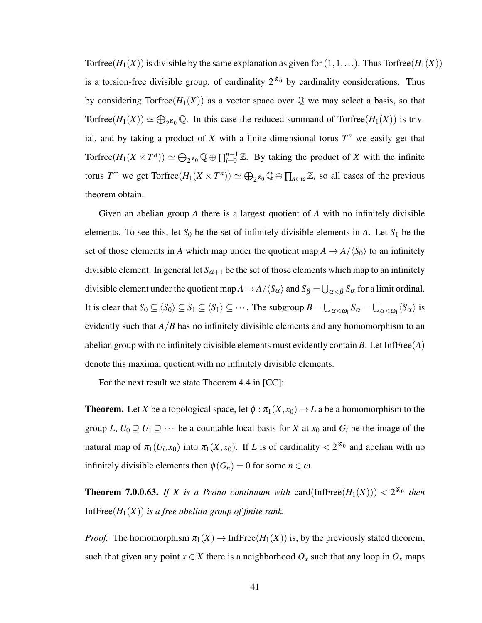Torfree( $H_1(X)$ ) is divisible by the same explanation as given for  $(1,1,\ldots)$ . Thus Torfree( $H_1(X)$ ) is a torsion-free divisible group, of cardinality  $2^{k_0}$  by cardinality considerations. Thus by considering Torfree( $H_1(X)$ ) as a vector space over  $\mathbb Q$  we may select a basis, so that Torfree( $H_1(X)$ )  $\simeq \bigoplus_{2^{k_0}} \mathbb{Q}$ . In this case the reduced summand of Torfree( $H_1(X)$ ) is trivial, and by taking a product of  $X$  with a finite dimensional torus  $T^n$  we easily get that Torfree $(H_1(X \times T^n)) \simeq \bigoplus_{2^{k_0}} \mathbb{Q} \oplus \prod_{i=0}^{n-1} \mathbb{Z}$ . By taking the product of *X* with the infinite torus  $T^{\infty}$  we get  $\text{Torfree}(H_1(X \times T^n)) \simeq \bigoplus_{2^{\aleph_0}} \mathbb{Q} \oplus \prod_{n \in \omega} \mathbb{Z}$ , so all cases of the previous theorem obtain.

Given an abelian group *A* there is a largest quotient of *A* with no infinitely divisible elements. To see this, let  $S_0$  be the set of infinitely divisible elements in *A*. Let  $S_1$  be the set of those elements in *A* which map under the quotient map  $A \rightarrow A/\langle S_0 \rangle$  to an infinitely divisible element. In general let  $S_{\alpha+1}$  be the set of those elements which map to an infinitely divisible element under the quotient map  $A \mapsto A/\langle S_\alpha \rangle$  and  $S_\beta = \bigcup_{\alpha < \beta} S_\alpha$  for a limit ordinal. It is clear that  $S_0 \subseteq \langle S_0 \rangle \subseteq S_1 \subseteq \langle S_1 \rangle \subseteq \cdots$ . The subgroup  $B = \bigcup_{\alpha < \omega_1} S_\alpha = \bigcup_{\alpha < \omega_1} \langle S_\alpha \rangle$  is evidently such that *A*/*B* has no infinitely divisible elements and any homomorphism to an abelian group with no infinitely divisible elements must evidently contain *B*. Let InfFree(*A*) denote this maximal quotient with no infinitely divisible elements.

For the next result we state Theorem 4.4 in [CC]:

**Theorem.** Let *X* be a topological space, let  $\phi : \pi_1(X, x_0) \to L$  a be a homomorphism to the group *L*,  $U_0 \supseteq U_1 \supseteq \cdots$  be a countable local basis for *X* at  $x_0$  and  $G_i$  be the image of the natural map of  $\pi_1(U_i, x_0)$  into  $\pi_1(X, x_0)$ . If *L* is of cardinality  $\lt 2^{\aleph_0}$  and abelian with no infinitely divisible elements then  $\phi(G_n) = 0$  for some  $n \in \omega$ .

**Theorem 7.0.0.63.** If X is a Peano continuum with  $card(InfFree(H_1(X))) < 2^{\aleph_0}$  then InfFree $(H_1(X))$  *is a free abelian group of finite rank.* 

*Proof.* The homomorphism  $\pi_1(X) \to \text{Infree}(H_1(X))$  is, by the previously stated theorem, such that given any point  $x \in X$  there is a neighborhood  $O_x$  such that any loop in  $O_x$  maps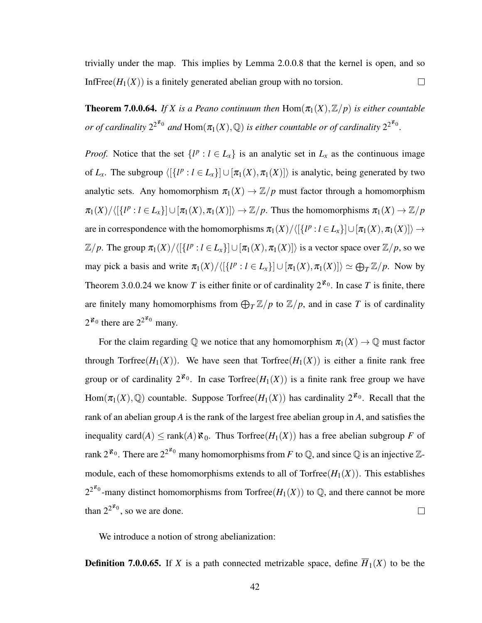trivially under the map. This implies by Lemma 2.0.0.8 that the kernel is open, and so InfFree( $H_1(X)$ ) is a finitely generated abelian group with no torsion.  $\Box$ 

**Theorem 7.0.0.64.** *If X is a Peano continuum then*  $\text{Hom}(\pi_1(X), \mathbb{Z}/p)$  *is either countable or of cardinality*  $2^{2^{\aleph_0}}$  and  $\text{Hom}(\pi_1(X), \mathbb{Q})$  is either countable or of cardinality  $2^{2^{\aleph_0}}$ .

*Proof.* Notice that the set  $\{l^p : l \in L_x\}$  is an analytic set in  $L_x$  as the continuous image of  $L_x$ . The subgroup  $\langle [\{l^p : l \in L_x\}] \cup [\pi_1(X), \pi_1(X)] \rangle$  is analytic, being generated by two analytic sets. Any homomorphism  $\pi_1(X) \to \mathbb{Z}/p$  must factor through a homomorphism  $\pi_1(X)/\langle [\{l^p : l \in L_x\}] \cup [\pi_1(X), \pi_1(X)] \rangle \rightarrow \mathbb{Z}/p$ . Thus the homomorphisms  $\pi_1(X) \rightarrow \mathbb{Z}/p$ are in correspondence with the homomorphisms  $\pi_1(X)/\langle [\{l^p : l \in L_x\}] \cup [\pi_1(X), \pi_1(X)] \rangle \rightarrow$  $\mathbb{Z}/p$ . The group  $\pi_1(X)/\langle [\{l^p : l \in L_x\}] \cup [\pi_1(X), \pi_1(X)] \rangle$  is a vector space over  $\mathbb{Z}/p$ , so we may pick a basis and write  $\pi_1(X)/\langle [\{l^p : l \in L_x\}] \cup [\pi_1(X), \pi_1(X)] \rangle \simeq \bigoplus_T \mathbb{Z}/p$ . Now by Theorem 3.0.0.24 we know *T* is either finite or of cardinality  $2^{k_0}$ . In case *T* is finite, there are finitely many homomorphisms from  $\bigoplus_{T} \mathbb{Z}/p$  to  $\mathbb{Z}/p$ , and in case T is of cardinality  $2^{\mathfrak{X}_0}$  there are  $2^{2^{\mathfrak{X}_0}}$  many.

For the claim regarding  $\mathbb Q$  we notice that any homomorphism  $\pi_1(X) \to \mathbb Q$  must factor through Torfree( $H_1(X)$ ). We have seen that Torfree( $H_1(X)$ ) is either a finite rank free group or of cardinality  $2^{\aleph_0}$ . In case Torfree( $H_1(X)$ ) is a finite rank free group we have Hom $(\pi_1(X), \mathbb{Q})$  countable. Suppose Torfree $(H_1(X))$  has cardinality  $2^{\aleph_0}$ . Recall that the rank of an abelian group *A* is the rank of the largest free abelian group in *A*, and satisfies the inequality card(*A*)  $\leq$  rank(*A*)  $\aleph_0$ . Thus Torfree(*H*<sub>1</sub>(*X*)) has a free abelian subgroup *F* of rank 2<sup> $\mathbf{x}_0$ </sup>. There are 2<sup>2 $\mathbf{x}_0$ </sup> many homomorphisms from *F* to Q, and since Q is an injective Zmodule, each of these homomorphisms extends to all of  $Torfree(H_1(X))$ . This establishes  $2^{2^{\aleph_0}}$ -many distinct homomorphisms from Torfree $(H_1(X))$  to  $\mathbb Q$ , and there cannot be more than  $2^{2^{k_0}}$ , so we are done.  $\Box$ 

We introduce a notion of strong abelianization:

**Definition 7.0.0.65.** If *X* is a path connected metrizable space, define  $\overline{H}_1(X)$  to be the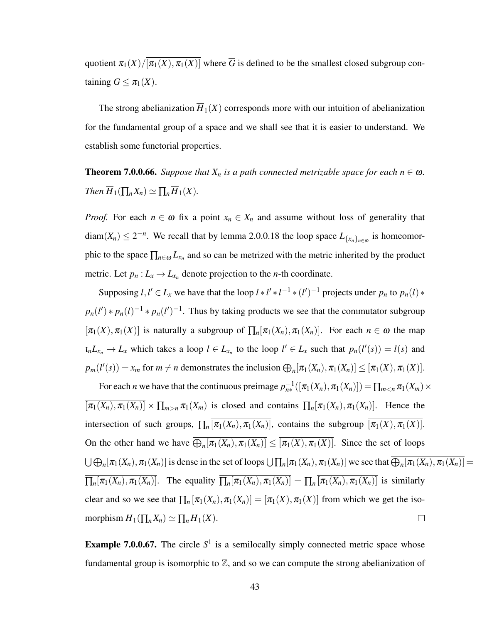quotient  $\pi_1(X)/[\overline{\pi_1(X), \pi_1(X)}]$  where  $\overline{G}$  is defined to be the smallest closed subgroup containing  $G \leq \pi_1(X)$ .

The strong abelianization  $\overline{H}_1(X)$  corresponds more with our intuition of abelianization for the fundamental group of a space and we shall see that it is easier to understand. We establish some functorial properties.

**Theorem 7.0.0.66.** *Suppose that*  $X_n$  *is a path connected metrizable space for each*  $n \in \omega$ *. Then*  $\overline{H}_1(\prod_n X_n) \simeq \prod_n \overline{H}_1(X)$ .

*Proof.* For each  $n \in \omega$  fix a point  $x_n \in X_n$  and assume without loss of generality that diam( $X_n$ )  $\leq 2^{-n}$ . We recall that by lemma 2.0.0.18 the loop space  $L_{\{x_n\}_{n \in \omega}}$  is homeomorphic to the space  $\prod_{n \in \omega} L_{x_n}$  and so can be metrized with the metric inherited by the product metric. Let  $p_n: L_x \to L_{x_n}$  denote projection to the *n*-th coordinate.

Supposing  $l, l' \in L_x$  we have that the loop  $l * l' * l^{-1} * (l')^{-1}$  projects under  $p_n$  to  $p_n(l) *$  $p_n(l') * p_n(l)^{-1} * p_n(l')^{-1}$ . Thus by taking products we see that the commutator subgroup  $[\pi_1(X), \pi_1(X)]$  is naturally a subgroup of  $\prod_n [\pi_1(X_n), \pi_1(X_n)]$ . For each  $n \in \omega$  the map  $l_n L_{x_n} \to L_x$  which takes a loop  $l \in L_{x_n}$  to the loop  $l' \in L_x$  such that  $p_n(l'(s)) = l(s)$  and  $p_m(l'(s)) = x_m$  for  $m \neq n$  demonstrates the inclusion  $\bigoplus_n [\pi_1(X_n), \pi_1(X_n)] \leq [\pi_1(X), \pi_1(X)].$ 

For each *n* we have that the continuous preimage  $p_{n*}^{-1}(\overline{[n_1(X_n), n_1(X_n)]}) = \prod_{m \le n} \pi_1(X_m) \times$  $[\pi_1(X_n), \pi_1(X_n)] \times \prod_{m>n} \pi_1(X_m)$  is closed and contains  $\prod_n [\pi_1(X_n), \pi_1(X_n)]$ . Hence the intersection of such groups,  $\prod_n [\pi_1(X_n), \pi_1(X_n)]$ , contains the subgroup  $[\pi_1(X), \pi_1(X)]$ . On the other hand we have  $\bigoplus_{n} [\pi_1(X_n), \pi_1(X_n)] \leq [\pi_1(X), \pi_1(X)]$ . Since the set of loops  $\bigcup \bigoplus_n [\pi_1(X_n), \pi_1(X_n)]$  is dense in the set of loops  $\bigcup \prod_n [\pi_1(X_n), \pi_1(X_n)]$  we see that  $\bigoplus_n [\pi_1(X_n), \pi_1(X_n)] = 0$  $\prod_n [\pi_1(X_n), \pi_1(X_n)]$ . The equality  $\prod_n [\pi_1(X_n), \pi_1(X_n)] = \prod_n [\pi_1(X_n), \pi_1(X_n)]$  is similarly clear and so we see that  $\prod_n [\pi_1(X_n), \pi_1(X_n)] = [\pi_1(X), \pi_1(X)]$  from which we get the isomorphism  $\overline{H}_1(\prod_n X_n) \simeq \prod_n \overline{H}_1(X)$ .  $\Box$ 

**Example 7.0.0.67.** The circle  $S^1$  is a semilocally simply connected metric space whose fundamental group is isomorphic to  $\mathbb{Z}$ , and so we can compute the strong abelianization of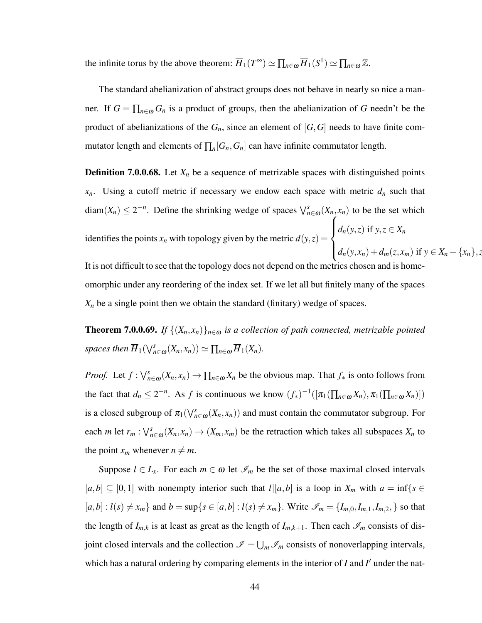the infinite torus by the above theorem:  $\overline{H}_1(T^{\infty}) \simeq \prod_{n \in \omega} \overline{H}_1(S^1) \simeq \prod_{n \in \omega} \mathbb{Z}$ .

The standard abelianization of abstract groups does not behave in nearly so nice a manner. If  $G = \prod_{n \in \omega} G_n$  is a product of groups, then the abelianization of G needn't be the product of abelianizations of the  $G_n$ , since an element of  $[G,G]$  needs to have finite commutator length and elements of  $\prod_n [G_n, G_n]$  can have infinite commutator length.

**Definition 7.0.0.68.** Let  $X_n$  be a sequence of metrizable spaces with distinguished points  $x_n$ . Using a cutoff metric if necessary we endow each space with metric  $d_n$  such that diam( $X_n$ )  $\leq 2^{-n}$ . Define the shrinking wedge of spaces  $\bigvee_{n \in \omega}^s (X_n, x_n)$  to be the set which identifies the points  $x_n$  with topology given by the metric  $d(y, z) =$  $\sqrt{ }$  $\int$  $\overline{\mathcal{L}}$  $d_n(y, z)$  if  $y, z \in X_n$  $d_n(y, x_n) + d_m(z, x_m)$  if  $y \in X_n - \{x_n\}, z$ 

It is not difficult to see that the topology does not depend on the metrics chosen and is ho omorphic under any reordering of the index set. If we let all but finitely many of the spaces  $X_n$  be a single point then we obtain the standard (finitary) wedge of spaces.

**Theorem 7.0.0.69.** *If*  $\{(X_n, x_n)\}_{n \in \omega}$  *is a collection of path connected, metrizable pointed spaces then*  $\overline{H}_1(\vee_{n \in \omega}^s (X_n, x_n)) \simeq \prod_{n \in \omega} \overline{H}_1(X_n)$ .

*Proof.* Let  $f: \bigvee_{n=0}^s (X_n, x_n) \to \prod_{n \in \omega} X_n$  be the obvious map. That  $f_*$  is onto follows from the fact that  $d_n \leq 2^{-n}$ . As *f* is continuous we know  $(f_*)^{-1}(\overline{[\pi_1(\prod_{n\in\omega}X_n),\pi_1(\prod_{n\in\omega}X_n)]})$ is a closed subgroup of  $\pi_1(\bigvee_{n\in\omega}^s(X_n,x_n))$  and must contain the commutator subgroup. For each *m* let  $r_m$ :  $\bigvee_{n=0}^s (X_n, x_n) \to (X_m, x_m)$  be the retraction which takes all subspaces  $X_n$  to the point  $x_m$  whenever  $n \neq m$ .

Suppose  $l \in L_x$ . For each  $m \in \omega$  let  $\mathscr{I}_m$  be the set of those maximal closed intervals [ $a,b$ ] ⊆ [0,1] with nonempty interior such that  $l$ |[ $a,b$ ] is a loop in  $X_m$  with  $a = \inf\{s \in$  $[a,b]: l(s) \neq x_m$  and  $b = \sup\{s \in [a,b]: l(s) \neq x_m\}$ . Write  $\mathscr{I}_m = \{I_{m,0}, I_{m,1}, I_{m,2}, \}$  so that the length of  $I_{m,k}$  is at least as great as the length of  $I_{m,k+1}$ . Then each  $\mathscr{I}_m$  consists of disjoint closed intervals and the collection  $\mathscr{I} = \bigcup_m \mathscr{I}_m$  consists of nonoverlapping intervals, which has a natural ordering by comparing elements in the interior of  $I$  and  $I'$  under the nat-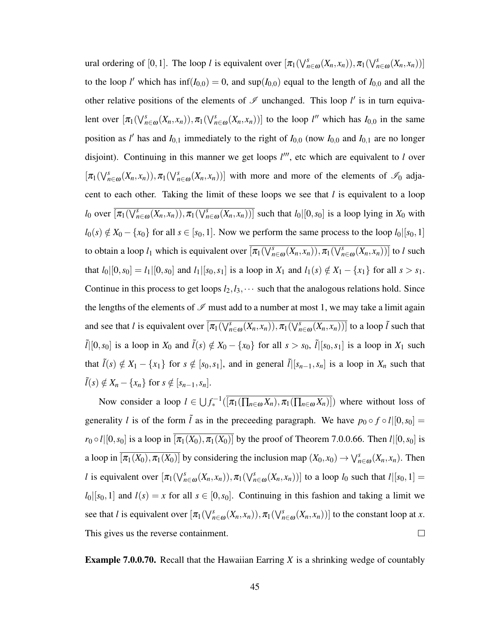ural ordering of [0,1]. The loop *l* is equivalent over  $[\pi_1(\bigvee_{n\in\omega}^s(X_n,x_n)),\pi_1(\bigvee_{n\in\omega}^s(X_n,x_n))]$ to the loop *l'* which has  $\inf(I_{0,0}) = 0$ , and  $\sup(I_{0,0})$  equal to the length of  $I_{0,0}$  and all the other relative positions of the elements of  $\mathscr I$  unchanged. This loop  $l'$  is in turn equivalent over  $[\pi_1(\bigvee_{n\in\omega}^s(X_n,x_n)),\pi_1(\bigvee_{n\in\omega}^s(X_n,x_n))]$  to the loop *l*<sup>*n*</sup> which has *I*<sub>0,0</sub> in the same position as *l'* has and  $I_{0,1}$  immediately to the right of  $I_{0,0}$  (now  $I_{0,0}$  and  $I_{0,1}$  are no longer disjoint). Continuing in this manner we get loops  $l'''$ , etc which are equivalent to *l* over  $[\pi_1(\bigvee_{n\in\omega}^s (X_n,x_n)), \pi_1(\bigvee_{n\in\omega}^s (X_n,x_n))]$  with more and more of the elements of  $\mathscr{I}_0$  adjacent to each other. Taking the limit of these loops we see that *l* is equivalent to a loop *l*<sub>0</sub> over  $\overline{\pi_1(\bigvee_{n\in\omega}^s (X_n, x_n)), \pi_1(\bigvee_{n\in\omega}^s (X_n, x_n))]}$  such that *l*<sub>0</sub> $[0, s_0]$  is a loop lying in *X*<sub>0</sub> with  $l_0(s) \notin X_0 - \{x_0\}$  for all  $s \in [s_0, 1]$ . Now we perform the same process to the loop  $l_0|[s_0, 1]$ to obtain a loop  $l_1$  which is equivalent over  $\overline{[\pi_1(\bigvee_{n\in\omega}^s(X_n,x_n)),\pi_1(\bigvee_{n\in\omega}^s(X_n,x_n))]}$  to *l* such that  $l_0|[0,s_0] = l_1|[0,s_0]$  and  $l_1|[s_0,s_1]$  is a loop in  $X_1$  and  $l_1(s) \notin X_1 - \{x_1\}$  for all  $s > s_1$ . Continue in this process to get loops  $l_2, l_3, \cdots$  such that the analogous relations hold. Since the lengths of the elements of  $\mathcal I$  must add to a number at most 1, we may take a limit again and see that *l* is equivalent over  $\overline{[\pi_1(\bigvee_{n\in\omega}^s(X_n,x_n)),\pi_1(\bigvee_{n\in\omega}^s(X_n,x_n))]}$  to a loop  $\tilde{l}$  such that  $\tilde{l}([0, s_0])$  is a loop in  $X_0$  and  $\tilde{l}(s) \notin X_0 - \{x_0\}$  for all  $s > s_0$ ,  $\tilde{l}([s_0, s_1])$  is a loop in  $X_1$  such that  $\tilde{l}(s) \notin X_1 - \{x_1\}$  for  $s \notin [s_0, s_1]$ , and in general  $\tilde{l}([s_{n-1}, s_n])$  is a loop in  $X_n$  such that  $\tilde{l}(s) \notin X_n - \{x_n\}$  for  $s \notin [s_{n-1}, s_n]$ .

Now consider a loop  $l \in \bigcup f_*^{-1}(\overline{[\pi_1(\prod_{n \in \omega} X_n), \pi_1(\prod_{n \in \omega} X_n)]})$  where without loss of generality *l* is of the form  $\tilde{l}$  as in the preceeding paragraph. We have  $p_0 \circ f \circ l |[0, s_0] =$  $r_0 \circ l$ [[0,*s*<sub>0</sub>] is a loop in  $\overline{[\pi_1(X_0), \pi_1(X_0)]}$  by the proof of Theorem 7.0.0.66. Then *l*[[0,*s*<sub>0</sub>] is a loop in  $[\overline{\pi_1(X_0), \pi_1(X_0)}]$  by considering the inclusion map  $(X_0, x_0) \to \bigvee_{n \in \omega}^s (X_n, x_n)$ . Then *l* is equivalent over  $[\pi_1(\vee_{n\in\omega}^s(X_n,x_n)), \pi_1(\vee_{n\in\omega}^s(X_n,x_n))]$  to a loop  $l_0$  such that  $l|[s_0,1] =$  $l_0|[s_0,1]$  and  $l(s) = x$  for all  $s \in [0,s_0]$ . Continuing in this fashion and taking a limit we see that *l* is equivalent over  $[\pi_1(\bigvee_{n\in\omega}^s(X_n,x_n)), \pi_1(\bigvee_{n\in\omega}^s(X_n,x_n))]$  to the constant loop at *x*. This gives us the reverse containment.  $\Box$ 

Example 7.0.0.70. Recall that the Hawaiian Earring *X* is a shrinking wedge of countably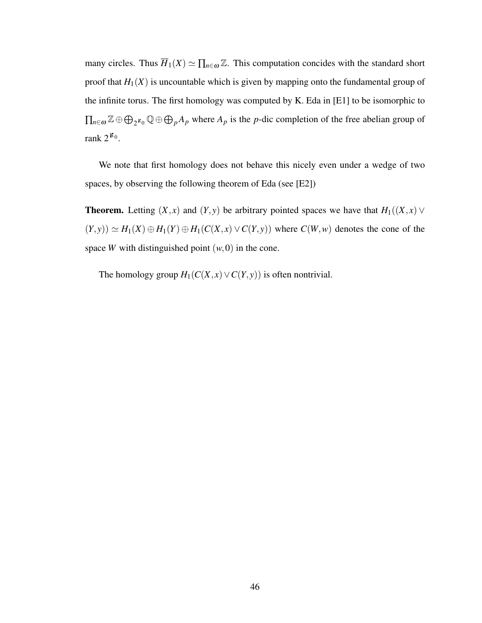many circles. Thus  $\overline{H}_1(X) \simeq \prod_{n \in \omega} \mathbb{Z}$ . This computation concides with the standard short proof that  $H_1(X)$  is uncountable which is given by mapping onto the fundamental group of the infinite torus. The first homology was computed by K. Eda in [E1] to be isomorphic to  $\prod_{n \in \omega} \mathbb{Z} \oplus \bigoplus_{2} \mathbb{Z}_0 \mathbb{Q} \oplus \bigoplus_{p} A_p$  where  $A_p$  is the *p*-dic completion of the free abelian group of rank  $2^{\aleph_0}$ .

We note that first homology does not behave this nicely even under a wedge of two spaces, by observing the following theorem of Eda (see [E2])

**Theorem.** Letting  $(X, x)$  and  $(Y, y)$  be arbitrary pointed spaces we have that  $H_1((X, x) \vee$  $(P, y) \simeq H_1(X) \oplus H_1(Y) \oplus H_1(C(X, x) \vee C(Y, y))$  where  $C(W, w)$  denotes the cone of the space *W* with distinguished point  $(w,0)$  in the cone.

The homology group  $H_1(C(X, x) \vee C(Y, y))$  is often nontrivial.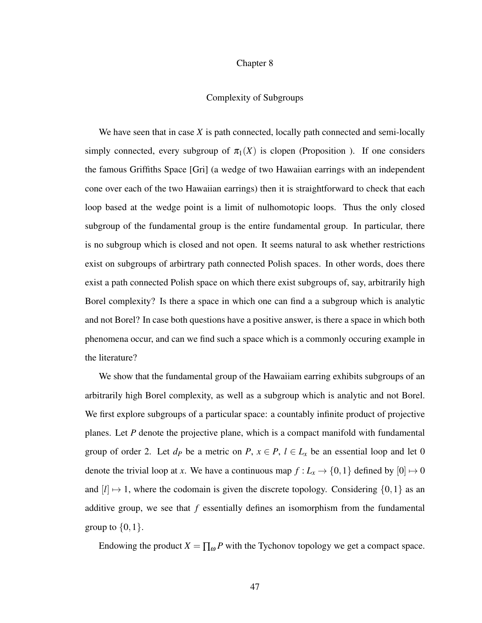#### Chapter 8

# Complexity of Subgroups

We have seen that in case *X* is path connected, locally path connected and semi-locally simply connected, every subgroup of  $\pi_1(X)$  is clopen (Proposition ). If one considers the famous Griffiths Space [Gri] (a wedge of two Hawaiian earrings with an independent cone over each of the two Hawaiian earrings) then it is straightforward to check that each loop based at the wedge point is a limit of nulhomotopic loops. Thus the only closed subgroup of the fundamental group is the entire fundamental group. In particular, there is no subgroup which is closed and not open. It seems natural to ask whether restrictions exist on subgroups of arbirtrary path connected Polish spaces. In other words, does there exist a path connected Polish space on which there exist subgroups of, say, arbitrarily high Borel complexity? Is there a space in which one can find a a subgroup which is analytic and not Borel? In case both questions have a positive answer, is there a space in which both phenomena occur, and can we find such a space which is a commonly occuring example in the literature?

We show that the fundamental group of the Hawaiiam earring exhibits subgroups of an arbitrarily high Borel complexity, as well as a subgroup which is analytic and not Borel. We first explore subgroups of a particular space: a countably infinite product of projective planes. Let *P* denote the projective plane, which is a compact manifold with fundamental group of order 2. Let  $d_P$  be a metric on  $P$ ,  $x \in P$ ,  $l \in L_x$  be an essential loop and let 0 denote the trivial loop at *x*. We have a continuous map  $f: L_x \to \{0, 1\}$  defined by  $[0] \mapsto 0$ and  $[l] \mapsto 1$ , where the codomain is given the discrete topology. Considering  $\{0,1\}$  as an additive group, we see that *f* essentially defines an isomorphism from the fundamental group to  $\{0,1\}$ .

Endowing the product  $X = \prod_{\omega} P$  with the Tychonov topology we get a compact space.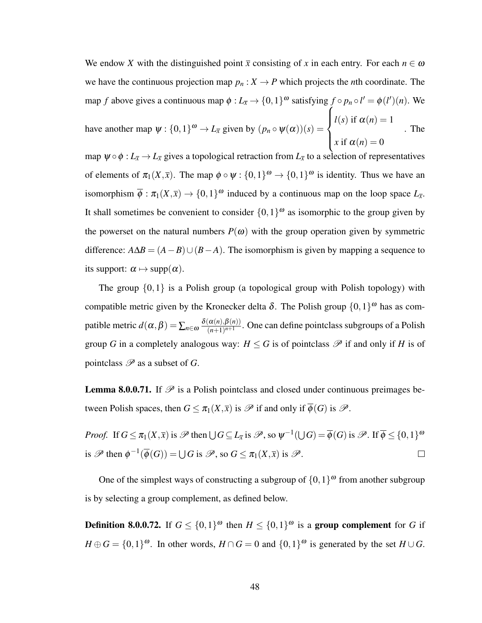We endow X with the distinguished point  $\bar{x}$  consisting of x in each entry. For each  $n \in \omega$ we have the continuous projection map  $p_n : X \to P$  which projects the *n*th coordinate. The map *f* above gives a continuous map  $\phi: L_{\bar{x}} \to \{0, 1\}^{\omega}$  satisfying  $f \circ p_n \circ l' = \phi(l')(n)$ . We have another map  $\psi: \{0,1\}^{\omega} \to L_{\overline{x}}$  given by  $(p_n \circ \psi(\alpha))(s) =$  $\sqrt{ }$  $\int$  $\mathbf{C}$  $l(s)$  if  $\alpha(n) = 1$ *x* if  $\alpha(n) = 0$ . The

map  $\psi \circ \phi : L_{\bar{x}} \to L_{\bar{x}}$  gives a topological retraction from  $L_{\bar{x}}$  to a selection of representatives of elements of  $\pi_1(X,\overline{x})$ . The map  $\phi \circ \psi : \{0,1\}^\omega \to \{0,1\}^\omega$  is identity. Thus we have an isomorphism  $\overline{\phi}$  :  $\pi_1(X,\overline{x}) \to \{0,1\}^{\omega}$  induced by a continuous map on the loop space  $L_{\overline{x}}$ . It shall sometimes be convenient to consider  $\{0,1\}^{\omega}$  as isomorphic to the group given by the powerset on the natural numbers  $P(\omega)$  with the group operation given by symmetric difference:  $A\Delta B = (A - B) \cup (B - A)$ . The isomorphism is given by mapping a sequence to its support:  $\alpha \mapsto \text{supp}(\alpha)$ .

The group  $\{0,1\}$  is a Polish group (a topological group with Polish topology) with compatible metric given by the Kronecker delta  $\delta$ . The Polish group  $\{0,1\}^{\omega}$  has as compatible metric  $d(\alpha, \beta) = \sum_{n \in \omega} \frac{\delta(\alpha(n), \beta(n))}{(n+1)^{n+1}}$  $\frac{\alpha(n), \beta(n)}{(n+1)^{n+1}}$ . One can define pointclass subgroups of a Polish group *G* in a completely analogous way:  $H \leq G$  is of pointclass  $\mathscr P$  if and only if *H* is of pointclass  $\mathscr P$  as a subset of *G*.

**Lemma 8.0.0.71.** If  $\mathcal{P}$  is a Polish pointclass and closed under continuous preimages between Polish spaces, then  $G \leq \pi_1(X,\overline{x})$  is  $\mathscr P$  if and only if  $\overline{\phi}(G)$  is  $\mathscr P$ .

*Proof.* If  $G \le \pi_1(X, \overline{x})$  is  $\mathscr{P}$  then  $\bigcup G \subseteq L_{\overline{x}}$  is  $\mathscr{P}$ , so  $\psi^{-1}(\bigcup G) = \overline{\phi}(G)$  is  $\mathscr{P}$ . If  $\overline{\phi} \le \{0, 1\}^{\omega}$ is  $\mathscr{P}$  then  $\phi^{-1}(\overline{\phi}(G)) = \bigcup G$  is  $\mathscr{P}$ , so  $G \leq \pi_1(X,\overline{x})$  is  $\mathscr{P}$ .  $\Box$ 

One of the simplest ways of constructing a subgroup of  $\{0,1\}^{\omega}$  from another subgroup is by selecting a group complement, as defined below.

**Definition 8.0.0.72.** If  $G \leq \{0,1\}^{\omega}$  then  $H \leq \{0,1\}^{\omega}$  is a group complement for *G* if  $H \oplus G = \{0,1\}^{\omega}$ . In other words,  $H \cap G = 0$  and  $\{0,1\}^{\omega}$  is generated by the set  $H \cup G$ .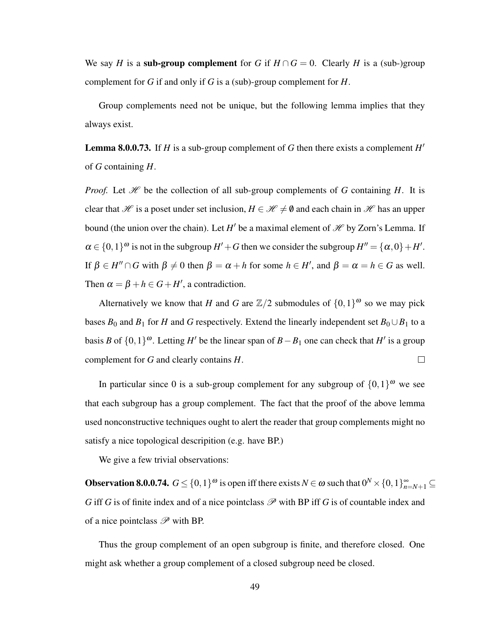We say *H* is a sub-group complement for *G* if  $H \cap G = 0$ . Clearly *H* is a (sub-)group complement for *G* if and only if *G* is a (sub)-group complement for *H*.

Group complements need not be unique, but the following lemma implies that they always exist.

**Lemma 8.0.0.73.** If  $H$  is a sub-group complement of  $G$  then there exists a complement  $H'$ of *G* containing *H*.

*Proof.* Let  $\mathcal H$  be the collection of all sub-group complements of *G* containing *H*. It is clear that H is a poset under set inclusion,  $H \in \mathcal{H} \neq \emptyset$  and each chain in H has an upper bound (the union over the chain). Let *H*<sup> $\prime$ </sup> be a maximal element of  $\mathcal{H}$  by Zorn's Lemma. If  $\alpha \in \{0,1\}^{\omega}$  is not in the subgroup  $H' + G$  then we consider the subgroup  $H'' = {\alpha, 0} + H'$ . If  $\beta \in H'' \cap G$  with  $\beta \neq 0$  then  $\beta = \alpha + h$  for some  $h \in H'$ , and  $\beta = \alpha = h \in G$  as well. Then  $\alpha = \beta + h \in G + H'$ , a contradiction.

Alternatively we know that *H* and *G* are  $\mathbb{Z}/2$  submodules of  $\{0,1\}^{\omega}$  so we may pick bases  $B_0$  and  $B_1$  for *H* and *G* respectively. Extend the linearly independent set  $B_0 \cup B_1$  to a basis *B* of  $\{0,1\}^{\omega}$ . Letting *H*<sup> $\prime$ </sup> be the linear span of *B* − *B*<sub>1</sub> one can check that *H*<sup> $\prime$ </sup> is a group complement for *G* and clearly contains *H*.  $\Box$ 

In particular since 0 is a sub-group complement for any subgroup of  $\{0,1\}^{\omega}$  we see that each subgroup has a group complement. The fact that the proof of the above lemma used nonconstructive techniques ought to alert the reader that group complements might no satisfy a nice topological descripition (e.g. have BP.)

We give a few trivial observations:

**Observation 8.0.0.74.**  $G \leq \{0,1\}^{\omega}$  is open iff there exists  $N \in \omega$  such that  $0^N \times \{0,1\}_{n=N+1}^{\infty} \subseteq$ *G* iff *G* is of finite index and of a nice pointclass  $\mathscr P$  with BP iff *G* is of countable index and of a nice pointclass  $\mathscr P$  with BP.

Thus the group complement of an open subgroup is finite, and therefore closed. One might ask whether a group complement of a closed subgroup need be closed.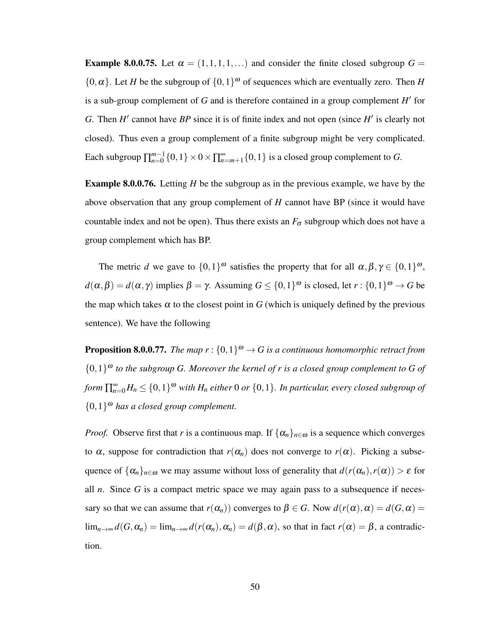**Example 8.0.0.75.** Let  $\alpha = (1,1,1,1,...)$  and consider the finite closed subgroup  $G =$  $\{0, \alpha\}$ . Let *H* be the subgroup of  $\{0, 1\}^{\omega}$  of sequences which are eventually zero. Then *H* is a sub-group complement of  $G$  and is therefore contained in a group complement  $H'$  for *G*. Then  $H'$  cannot have  $BP$  since it is of finite index and not open (since  $H'$  is clearly not closed). Thus even a group complement of a finite subgroup might be very complicated. Each subgroup  $\prod_{n=0}^{m-1}$  $_{n=0}^{m-1}\{0,1\}\times 0 \times \prod_{n=m+1}^{\infty}\{0,1\}$  is a closed group complement to *G*.

Example 8.0.0.76. Letting *H* be the subgroup as in the previous example, we have by the above observation that any group complement of *H* cannot have BP (since it would have countable index and not be open). Thus there exists an  $F_{\sigma}$  subgroup which does not have a group complement which has BP.

The metric *d* we gave to  $\{0,1\}^{\omega}$  satisfies the property that for all  $\alpha, \beta, \gamma \in \{0,1\}^{\omega}$ ,  $d(α, β) = d(α, γ)$  implies  $β = γ$ . Assuming  $G ≤ {0, 1}^ω$  is closed, let  $r : {0, 1}^ω → G$  be the map which takes  $\alpha$  to the closest point in *G* (which is uniquely defined by the previous sentence). We have the following

**Proposition 8.0.0.77.** The map  $r: \{0,1\}^{\omega} \to G$  is a continuous homomorphic retract from  ${0,1}^{\omega}$  to the subgroup G. Moreover the kernel of r is a closed group complement to G of *form*  $\prod_{n=0}^{\infty} H_n \leq \{0,1\}^{\omega}$  *with*  $H_n$  *either* 0 *or*  $\{0,1\}$ *. In particular, every closed subgroup of* {0,1} <sup>ω</sup> *has a closed group complement.*

*Proof.* Observe first that *r* is a continuous map. If  $\{\alpha_n\}_{n\in\omega}$  is a sequence which converges to  $\alpha$ , suppose for contradiction that  $r(\alpha_n)$  does not converge to  $r(\alpha)$ . Picking a subsequence of  $\{\alpha_n\}_{n\in\omega}$  we may assume without loss of generality that  $d(r(\alpha_n), r(\alpha)) > \varepsilon$  for all  $n$ . Since  $G$  is a compact metric space we may again pass to a subsequence if necessary so that we can assume that  $r(\alpha_n)$  converges to  $\beta \in G$ . Now  $d(r(\alpha), \alpha) = d(G, \alpha) =$ lim<sub>*n*→∞</sub>  $d(G, \alpha_n) = \lim_{n \to \infty} d(r(\alpha_n), \alpha_n) = d(\beta, \alpha)$ , so that in fact  $r(\alpha) = \beta$ , a contradiction.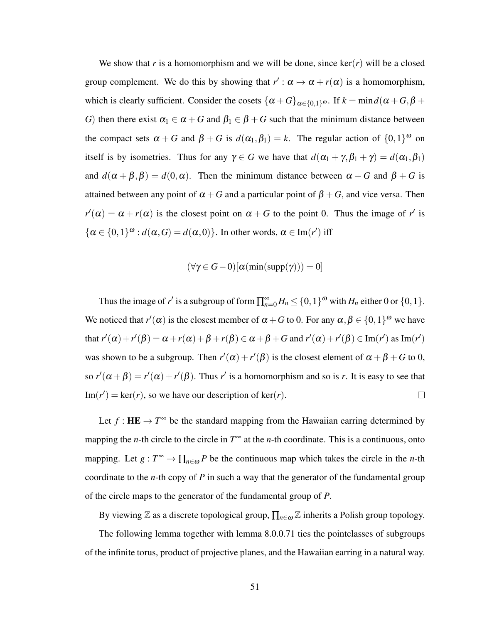We show that *r* is a homomorphism and we will be done, since  $\ker(r)$  will be a closed group complement. We do this by showing that  $r'$  :  $\alpha \mapsto \alpha + r(\alpha)$  is a homomorphism, which is clearly sufficient. Consider the cosets  $\{\alpha + G\}_{\alpha \in \{0,1\}^{\omega}}$ . If  $k = \min d(\alpha + G, \beta +$ *G*) then there exist  $\alpha_1 \in \alpha + G$  and  $\beta_1 \in \beta + G$  such that the minimum distance between the compact sets  $\alpha + G$  and  $\beta + G$  is  $d(\alpha_1, \beta_1) = k$ . The regular action of  $\{0, 1\}^{\omega}$  on itself is by isometries. Thus for any  $\gamma \in G$  we have that  $d(\alpha_1 + \gamma, \beta_1 + \gamma) = d(\alpha_1, \beta_1)$ and  $d(\alpha + \beta, \beta) = d(0, \alpha)$ . Then the minimum distance between  $\alpha + G$  and  $\beta + G$  is attained between any point of  $\alpha + G$  and a particular point of  $\beta + G$ , and vice versa. Then  $r'(\alpha) = \alpha + r(\alpha)$  is the closest point on  $\alpha + G$  to the point 0. Thus the image of *r'* is  $\{\alpha \in \{0,1\}^{\omega} : d(\alpha, G) = d(\alpha, 0)\}.$  In other words,  $\alpha \in \text{Im}(r')$  iff

$$
(\forall \gamma \in G - 0)[\alpha(\min(\text{supp}(\gamma))) = 0]
$$

Thus the image of *r*<sup>'</sup> is a subgroup of form  $\prod_{n=0}^{\infty} H_n \leq \{0,1\}^{\omega}$  with  $H_n$  either 0 or  $\{0,1\}$ . We noticed that  $r'(\alpha)$  is the closest member of  $\alpha + G$  to 0. For any  $\alpha, \beta \in \{0,1\}^{\omega}$  we have that  $r'(\alpha) + r'(\beta) = \alpha + r(\alpha) + \beta + r(\beta) \in \alpha + \beta + G$  and  $r'(\alpha) + r'(\beta) \in \text{Im}(r')$  as  $\text{Im}(r')$ was shown to be a subgroup. Then  $r'(\alpha) + r'(\beta)$  is the closest element of  $\alpha + \beta + G$  to 0, so  $r'(\alpha + \beta) = r'(\alpha) + r'(\beta)$ . Thus *r'* is a homomorphism and so is *r*. It is easy to see that  $\text{Im}(r') = \text{ker}(r)$ , so we have our description of  $\text{ker}(r)$ .  $\Box$ 

Let  $f: \mathbf{HE} \to T^{\infty}$  be the standard mapping from the Hawaiian earring determined by mapping the *n*-th circle to the circle in  $T^{\infty}$  at the *n*-th coordinate. This is a continuous, onto mapping. Let  $g: T^{\infty} \to \prod_{n \in \omega} P$  be the continuous map which takes the circle in the *n*-th coordinate to the *n*-th copy of *P* in such a way that the generator of the fundamental group of the circle maps to the generator of the fundamental group of *P*.

By viewing  $\mathbb Z$  as a discrete topological group,  $\prod_{n \in \omega} \mathbb Z$  inherits a Polish group topology.

The following lemma together with lemma 8.0.0.71 ties the pointclasses of subgroups of the infinite torus, product of projective planes, and the Hawaiian earring in a natural way.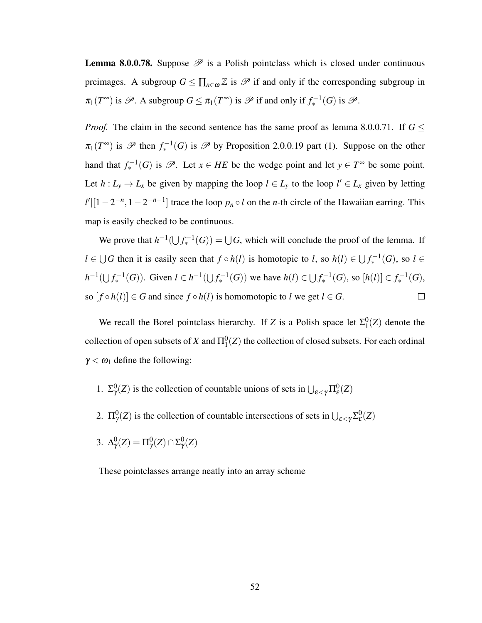**Lemma 8.0.0.78.** Suppose  $\mathcal{P}$  is a Polish pointclass which is closed under continuous preimages. A subgroup  $G \le \prod_{n \in \omega} \mathbb{Z}$  is  $\mathcal{P}$  if and only if the corresponding subgroup in  $\pi_1(T^{\infty})$  is  $\mathscr{P}$ . A subgroup  $G \leq \pi_1(T^{\infty})$  is  $\mathscr{P}$  if and only if  $f_*^{-1}(G)$  is  $\mathscr{P}$ .

*Proof.* The claim in the second sentence has the same proof as lemma 8.0.0.71. If  $G \leq$  $\pi_1(T^{\infty})$  is  $\mathscr{P}$  then  $f_*^{-1}(G)$  is  $\mathscr{P}$  by Proposition 2.0.0.19 part (1). Suppose on the other hand that  $f_*^{-1}(G)$  is  $\mathscr{P}$ . Let  $x \in HE$  be the wedge point and let  $y \in T^{\infty}$  be some point. Let  $h: L_y \to L_x$  be given by mapping the loop  $l \in L_y$  to the loop  $l' \in L_x$  given by letting  $l'$ <sup>[1</sup> − 2<sup>-*n*</sup>, 1 − 2<sup>-*n*-1</sup>] trace the loop *p<sub>n</sub>* ◦ *l* on the *n*-th circle of the Hawaiian earring. This map is easily checked to be continuous.

We prove that  $h^{-1}(\bigcup f_*^{-1}(G)) = \bigcup G$ , which will conclude the proof of the lemma. If *l* ∈ ∪ *G* then it is easily seen that  $f \circ h(l)$  is homotopic to *l*, so  $h(l) \in \bigcup f_*^{-1}(G)$ , so  $l \in$ *h*<sup>-1</sup>(∪ $f_*$ <sup>-1</sup>(*G*)). Given *l* ∈ *h*<sup>-1</sup>(∪ $f_*$ <sup>-1</sup>(*G*)) we have *h*(*l*) ∈ ∪ $f_*$ <sup>-1</sup>(*G*), so [*h*(*l*)] ∈  $f_*$ <sup>-1</sup>(*G*), so  $[f \circ h(l)] \in G$  and since  $f \circ h(l)$  is homomotopic to *l* we get  $l \in G$ .  $\Box$ 

We recall the Borel pointclass hierarchy. If *Z* is a Polish space let  $\Sigma_1^0$  $^{0}_{1}(Z)$  denote the collection of open subsets of *X* and  $\Pi_1^0(Z)$  the collection of closed subsets. For each ordinal  $\gamma < \omega_1$  define the following:

- 1.  $\Sigma_{\gamma}^{0}(Z)$  is the collection of countable unions of sets in  $\bigcup_{\varepsilon \leq \gamma} \Pi_{\varepsilon}^{0}(Z)$
- 2.  $\Pi_{\gamma}^{0}(Z)$  is the collection of countable intersections of sets in  $\bigcup_{\varepsilon \leq \gamma} \Sigma_{\varepsilon}^{0}(Z)$
- 3.  $\Delta_{\gamma}^{0}(Z) = \Pi_{\gamma}^{0}(Z) \cap \Sigma_{\gamma}^{0}(Z)$

These pointclasses arrange neatly into an array scheme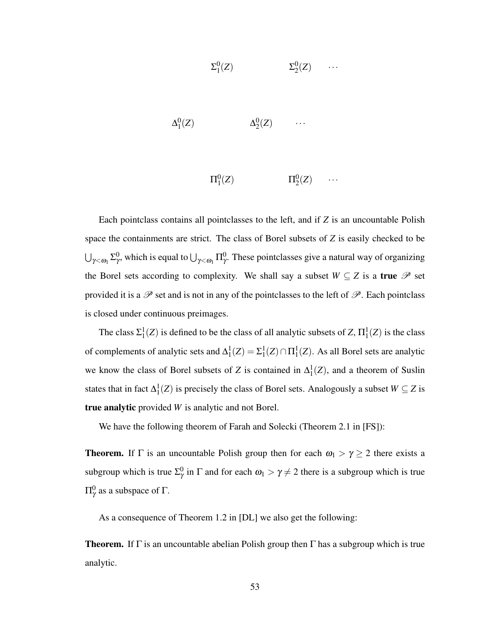$$
\Sigma^0_1(Z) \qquad \qquad \Sigma^0_2(Z) \qquad \cdots
$$

 $\Delta_1^0$  $\Lambda_1^0(Z)$   $\Lambda_2^0$  $^{0}_{2}(Z)$   $\cdots$ 

> $\Pi_1^0(Z)$   $\Pi_2^0$  $^{0}_{2}(Z) \qquad \cdots$

Each pointclass contains all pointclasses to the left, and if *Z* is an uncountable Polish space the containments are strict. The class of Borel subsets of *Z* is easily checked to be  $\bigcup_{\gamma<\omega_1}\Sigma_\gamma^0$ , which is equal to  $\bigcup_{\gamma<\omega_1}\Pi_\gamma^0$ . These pointclasses give a natural way of organizing the Borel sets according to complexity. We shall say a subset  $W \subseteq Z$  is a true  $\mathscr P$  set provided it is a  $\mathscr P$  set and is not in any of the pointclasses to the left of  $\mathscr P$ . Each pointclass is closed under continuous preimages.

The class  $\Sigma_1^1(Z)$  is defined to be the class of all analytic subsets of *Z*,  $\Pi_1^1(Z)$  is the class of complements of analytic sets and  $\Delta_1^1(Z) = \Sigma_1^1(Z) \cap \Pi_1^1(Z)$ . As all Borel sets are analytic we know the class of Borel subsets of *Z* is contained in  $\Delta_1^1(Z)$ , and a theorem of Suslin states that in fact  $\Delta_1^1(Z)$  is precisely the class of Borel sets. Analogously a subset  $W \subseteq Z$  is true analytic provided *W* is analytic and not Borel.

We have the following theorem of Farah and Solecki (Theorem 2.1 in [FS]):

**Theorem.** If  $\Gamma$  is an uncountable Polish group then for each  $\omega_1 > \gamma \geq 2$  there exists a subgroup which is true  $\Sigma_{\gamma}^0$  in  $\Gamma$  and for each  $\omega_1 > \gamma \neq 2$  there is a subgroup which is true  $\Pi^0_\gamma$  as a subspace of  $\Gamma$ .

As a consequence of Theorem 1.2 in [DL] we also get the following:

**Theorem.** If  $\Gamma$  is an uncountable abelian Polish group then  $\Gamma$  has a subgroup which is true analytic.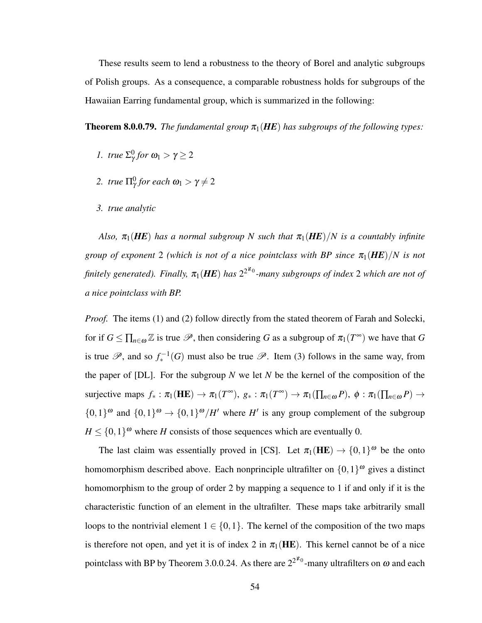These results seem to lend a robustness to the theory of Borel and analytic subgroups of Polish groups. As a consequence, a comparable robustness holds for subgroups of the Hawaiian Earring fundamental group, which is summarized in the following:

**Theorem 8.0.0.79.** *The fundamental group*  $\pi_1(HE)$  *has subgroups of the following types:* 

- *1. true*  $\Sigma_{\gamma}^{0}$  *for*  $\omega_1 > \gamma \geq 2$
- 2. *true*  $\Pi_{\gamma}^{0}$  for each  $\omega_1 > \gamma \neq 2$
- *3. true analytic*

*Also,*  $\pi_1(HE)$  has a normal subgroup N such that  $\pi_1(HE)/N$  is a countably infinite *group of exponent* 2 *(which is not of a nice pointclass with BP since*  $\pi_1(HE)/N$  *is not* finitely generated). Finally,  $\pi_1(\textbf{HE})$  has  $2^{2^{\aleph_0}}$ -many subgroups of index 2 which are not of *a nice pointclass with BP.*

*Proof.* The items (1) and (2) follow directly from the stated theorem of Farah and Solecki, for if  $G \leq \prod_{n \in \omega} \mathbb{Z}$  is true  $\mathscr{P}$ , then considering *G* as a subgroup of  $\pi_1(T^{\infty})$  we have that *G* is true  $\mathscr{P}$ , and so  $f_*^{-1}(G)$  must also be true  $\mathscr{P}$ . Item (3) follows in the same way, from the paper of [DL]. For the subgroup *N* we let *N* be the kernel of the composition of the surjective maps  $f_* : \pi_1(\mathbf{HE}) \to \pi_1(T^{\infty}), g_* : \pi_1(T^{\infty}) \to \pi_1(\prod_{n \in \omega} P), \phi : \pi_1(\prod_{n \in \omega} P) \to$  $\{0,1\}^{\omega}$  and  $\{0,1\}^{\omega} \rightarrow \{0,1\}^{\omega}/H'$  where *H'* is any group complement of the subgroup  $H \leq \{0,1\}^{\omega}$  where *H* consists of those sequences which are eventually 0.

The last claim was essentially proved in [CS]. Let  $\pi_1(\text{HE}) \to \{0,1\}^{\omega}$  be the onto homomorphism described above. Each nonprinciple ultrafilter on  $\{0,1\}^{\omega}$  gives a distinct homomorphism to the group of order 2 by mapping a sequence to 1 if and only if it is the characteristic function of an element in the ultrafilter. These maps take arbitrarily small loops to the nontrivial element  $1 \in \{0,1\}$ . The kernel of the composition of the two maps is therefore not open, and yet it is of index 2 in  $\pi_1(HE)$ . This kernel cannot be of a nice pointclass with BP by Theorem 3.0.0.24. As there are  $2^{2^{\aleph_0}}$ -many ultrafilters on  $\omega$  and each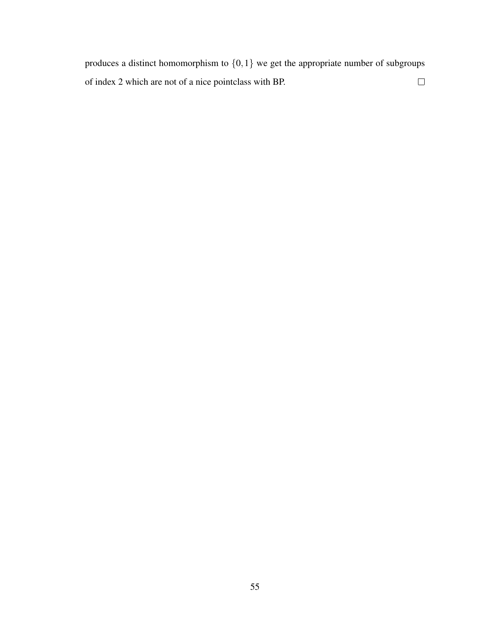produces a distinct homomorphism to {0,1} we get the appropriate number of subgroups  $\Box$ of index 2 which are not of a nice pointclass with BP.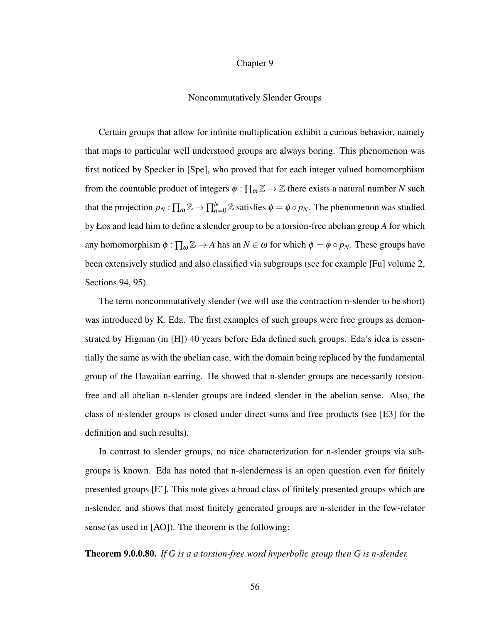### Chapter 9

#### Noncommutatively Slender Groups

Certain groups that allow for infinite multiplication exhibit a curious behavior, namely that maps to particular well understood groups are always boring. This phenomenon was first noticed by Specker in [Spe], who proved that for each integer valued homomorphism from the countable product of integers  $\phi : \prod_{\omega} \mathbb{Z} \to \mathbb{Z}$  there exists a natural number *N* such that the projection  $p_N : \prod_\omega \mathbb{Z} \to \prod_{n=0}^N \mathbb{Z}$  satisfies  $\phi = \phi \circ p_N$ . The phenomenon was studied by Łos and lead him to define a slender group to be a torsion-free abelian group *A* for which any homomorphism  $\phi : \prod_{\omega} \mathbb{Z} \to A$  has an  $N \in \omega$  for which  $\phi = \phi \circ p_N$ . These groups have been extensively studied and also classified via subgroups (see for example [Fu] volume 2, Sections 94, 95).

The term noncommutatively slender (we will use the contraction n-slender to be short) was introduced by K. Eda. The first examples of such groups were free groups as demonstrated by Higman (in [H]) 40 years before Eda defined such groups. Eda's idea is essentially the same as with the abelian case, with the domain being replaced by the fundamental group of the Hawaiian earring. He showed that n-slender groups are necessarily torsionfree and all abelian n-slender groups are indeed slender in the abelian sense. Also, the class of n-slender groups is closed under direct sums and free products (see [E3] for the definition and such results).

In contrast to slender groups, no nice characterization for n-slender groups via subgroups is known. Eda has noted that n-slenderness is an open question even for finitely presented groups [E']. This note gives a broad class of finitely presented groups which are n-slender, and shows that most finitely generated groups are n-slender in the few-relator sense (as used in [AO]). The theorem is the following:

Theorem 9.0.0.80. *If G is a a torsion-free word hyperbolic group then G is n-slender.*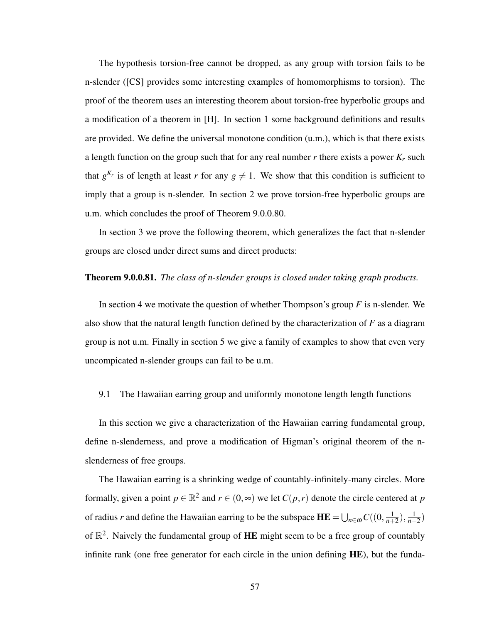The hypothesis torsion-free cannot be dropped, as any group with torsion fails to be n-slender ([CS] provides some interesting examples of homomorphisms to torsion). The proof of the theorem uses an interesting theorem about torsion-free hyperbolic groups and a modification of a theorem in [H]. In section 1 some background definitions and results are provided. We define the universal monotone condition (u.m.), which is that there exists a length function on the group such that for any real number  $r$  there exists a power  $K_r$  such that  $g^{K_r}$  is of length at least *r* for any  $g \neq 1$ . We show that this condition is sufficient to imply that a group is n-slender. In section 2 we prove torsion-free hyperbolic groups are u.m. which concludes the proof of Theorem 9.0.0.80.

In section 3 we prove the following theorem, which generalizes the fact that n-slender groups are closed under direct sums and direct products:

# Theorem 9.0.0.81. *The class of n-slender groups is closed under taking graph products.*

In section 4 we motivate the question of whether Thompson's group *F* is n-slender. We also show that the natural length function defined by the characterization of *F* as a diagram group is not u.m. Finally in section 5 we give a family of examples to show that even very uncompicated n-slender groups can fail to be u.m.

# 9.1 The Hawaiian earring group and uniformly monotone length length functions

In this section we give a characterization of the Hawaiian earring fundamental group, define n-slenderness, and prove a modification of Higman's original theorem of the nslenderness of free groups.

The Hawaiian earring is a shrinking wedge of countably-infinitely-many circles. More formally, given a point  $p \in \mathbb{R}^2$  and  $r \in (0, \infty)$  we let  $C(p, r)$  denote the circle centered at  $p$ of radius *r* and define the Hawaiian earring to be the subspace  $\mathbf{H} \mathbf{E} = \bigcup_{n \in \omega} C((0, \frac{1}{n+1})^n)$  $\frac{1}{n+2}$ ),  $\frac{1}{n+2}$  $\frac{1}{n+2}$ of  $\mathbb{R}^2$ . Naively the fundamental group of HE might seem to be a free group of countably infinite rank (one free generator for each circle in the union defining **HE**), but the funda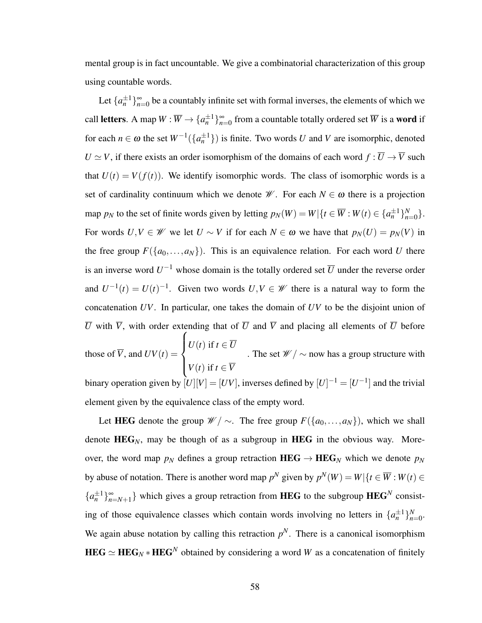mental group is in fact uncountable. We give a combinatorial characterization of this group using countable words.

Let  $\{a_n^{\pm 1}\}_{n=0}^{\infty}$  be a countably infinite set with formal inverses, the elements of which we call **letters**. A map  $W : \overline{W} \to \{a_n^{\pm 1}\}_{n=0}^{\infty}$  from a countable totally ordered set  $\overline{W}$  is a **word** if for each  $n \in \omega$  the set  $W^{-1}(\{a_n^{\pm 1}\})$  is finite. Two words *U* and *V* are isomorphic, denoted  $U \simeq V$ , if there exists an order isomorphism of the domains of each word  $f : \overline{U} \to \overline{V}$  such that  $U(t) = V(f(t))$ . We identify isomorphic words. The class of isomorphic words is a set of cardinality continuum which we denote  $\mathcal{W}$ . For each  $N \in \omega$  there is a projection map *p<sub>N</sub>* to the set of finite words given by letting  $p_N(W) = W | \{ t \in \overline{W} : W(t) \in \{ a_n^{\pm 1} \}_{n=1}^N \}$  $_{n=0}^N$ . For words  $U, V \in W$  we let  $U \sim V$  if for each  $N \in \omega$  we have that  $p_N(U) = p_N(V)$  in the free group  $F({a_0, ..., a_N})$ . This is an equivalence relation. For each word *U* there is an inverse word  $U^{-1}$  whose domain is the totally ordered set  $\overline{U}$  under the reverse order and  $U^{-1}(t) = U(t)^{-1}$ . Given two words  $U, V \in \mathcal{W}$  there is a natural way to form the concatenation *UV*. In particular, one takes the domain of *UV* to be the disjoint union of  $\overline{U}$  with  $\overline{V}$ , with order extending that of  $\overline{U}$  and  $\overline{V}$  and placing all elements of  $\overline{U}$  before those of  $\overline{V}$ , and  $UV(t) =$  $\sqrt{ }$  $\int$  $\overline{\mathcal{L}}$  $U(t)$  if  $t \in \overline{U}$ *V*(*t*) if  $t \in \overline{V}$ . The set  $\mathscr{W}/\sim$  now has a group structure with binary operation given by  $[U][V] = [UV]$ , inverses defined by  $[U]^{-1} = [U^{-1}]$  and the trivial

Let HEG denote the group  $\mathcal{W}/\sim$ . The free group  $F(\{a_0,\ldots,a_N\})$ , which we shall denote  $HEG_N$ , may be though of as a subgroup in  $HEG$  in the obvious way. Moreover, the word map  $p_N$  defines a group retraction  $HEG \rightarrow HEG_N$  which we denote  $p_N$ by abuse of notation. There is another word map  $p^N$  given by  $p^N(W) = W | \{ t \in \overline{W} : W(t) \in$  ${a_n^{\pm 1}}_{n=N+1}^{\infty}$  which gives a group retraction from **HEG** to the subgroup **HEG**<sup>*N*</sup> consisting of those equivalence classes which contain words involving no letters in  $\{a_n^{\pm 1}\}_{n=1}^N$ *n*=0 . We again abuse notation by calling this retraction  $p<sup>N</sup>$ . There is a canonical isomorphism  $\textbf{HEG} \simeq \textbf{HEG}_N * \textbf{HEG}^N$  obtained by considering a word *W* as a concatenation of finitely

element given by the equivalence class of the empty word.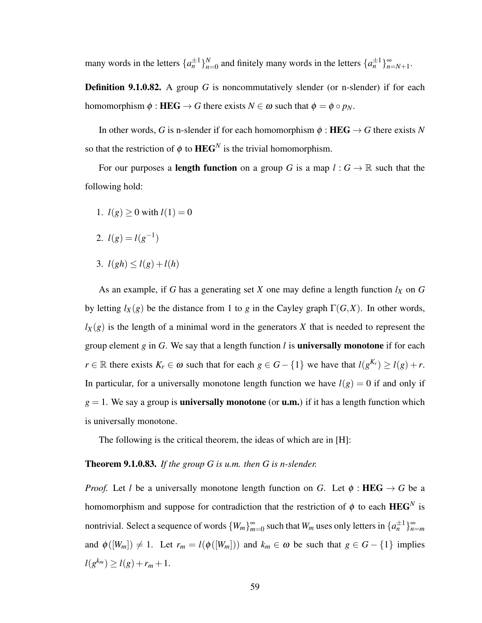many words in the letters  $\{a_n^{\pm 1}\}_{n=1}^N$  $_{n=0}^{N}$  and finitely many words in the letters  $\{a_n^{\pm 1}\}_{n=N+1}^{\infty}$ .

Definition 9.1.0.82. A group *G* is noncommutatively slender (or n-slender) if for each homomorphism  $\phi$ : **HEG**  $\rightarrow$  *G* there exists  $N \in \omega$  such that  $\phi = \phi \circ p_N$ .

In other words, *G* is n-slender if for each homomorphism  $\phi$ : HEG  $\rightarrow$  *G* there exists *N* so that the restriction of  $\phi$  to  $HEG^N$  is the trivial homomorphism.

For our purposes a **length function** on a group *G* is a map  $l: G \to \mathbb{R}$  such that the following hold:

- 1.  $l(g) \ge 0$  with  $l(1) = 0$
- 2.  $l(g) = l(g^{-1})$
- 3.  $l(gh) \leq l(g) + l(h)$

As an example, if *G* has a generating set *X* one may define a length function *l<sup>X</sup>* on *G* by letting  $l_X(g)$  be the distance from 1 to *g* in the Cayley graph  $\Gamma(G,X)$ . In other words,  $l_X(g)$  is the length of a minimal word in the generators X that is needed to represent the group element *g* in *G*. We say that a length function *l* is universally monotone if for each *r* ∈ R there exists  $K_r$  ∈  $\omega$  such that for each  $g \in G - \{1\}$  we have that  $l(g^{K_r}) \ge l(g) + r$ . In particular, for a universally monotone length function we have  $l(g) = 0$  if and only if  $g = 1$ . We say a group is **universally monotone** (or **u.m.**) if it has a length function which is universally monotone.

The following is the critical theorem, the ideas of which are in [H]:

## Theorem 9.1.0.83. *If the group G is u.m. then G is n-slender.*

*Proof.* Let *l* be a universally monotone length function on *G*. Let  $\phi$ : **HEG**  $\rightarrow$  *G* be a homomorphism and suppose for contradiction that the restriction of  $\phi$  to each  $\mathbf{HEG}^N$  is nontrivial. Select a sequence of words  $\{W_m\}_{m=0}^{\infty}$  such that  $W_m$  uses only letters in  $\{a_n^{\pm 1}\}_{n=m}^{\infty}$ and  $\phi([W_m]) \neq 1$ . Let  $r_m = l(\phi([W_m]))$  and  $k_m \in \omega$  be such that  $g \in G - \{1\}$  implies  $l(g^{k_m}) \ge l(g) + r_m + 1.$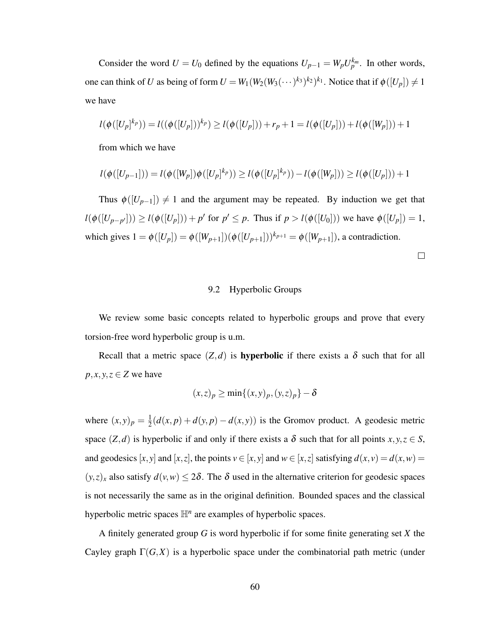Consider the word  $U = U_0$  defined by the equations  $U_{p-1} = W_p U_p^{k_m}$ . In other words, one can think of *U* as being of form  $U = W_1(W_2(W_3(\cdots)^{k_3})^{k_2})^{k_1}$ . Notice that if  $\phi([U_p]) \neq 1$ we have

$$
l(\phi([U_p]^{k_p})) = l((\phi([U_p]))^{k_p}) \ge l(\phi([U_p])) + r_p + 1 = l(\phi([U_p])) + l(\phi([W_p])) + 1
$$

from which we have

$$
l(\phi([U_{p-1}])) = l(\phi([W_p])\phi([U_p]^{k_p})) \ge l(\phi([U_p]^{k_p})) - l(\phi([W_p])) \ge l(\phi([U_p])) + 1
$$

Thus  $\phi([U_{p-1}]) \neq 1$  and the argument may be repeated. By induction we get that  $l(\phi([U_{p-p'}])) \ge l(\phi([U_p])) + p'$  for  $p' \le p$ . Thus if  $p > l(\phi([U_0]))$  we have  $\phi([U_p]) = 1$ , which gives  $1 = \phi([U_p]) = \phi([W_{p+1}])(\phi([U_{p+1}]))^{k_{p+1}} = \phi([W_{p+1}])$ , a contradiction.

 $\Box$ 

# 9.2 Hyperbolic Groups

We review some basic concepts related to hyperbolic groups and prove that every torsion-free word hyperbolic group is u.m.

Recall that a metric space  $(Z,d)$  is **hyperbolic** if there exists a  $\delta$  such that for all  $p, x, y, z \in \mathbb{Z}$  we have

$$
(x,z)_p \ge \min\{(x,y)_p, (y,z)_p\} - \delta
$$

where  $(x, y)_p = \frac{1}{2}$  $\frac{1}{2}(d(x, p) + d(y, p) - d(x, y))$  is the Gromov product. A geodesic metric space  $(Z, d)$  is hyperbolic if and only if there exists a  $\delta$  such that for all points  $x, y, z \in S$ , and geodesics [*x*, *y*] and [*x*, *z*], the points  $v \in [x, y]$  and  $w \in [x, z]$  satisfying  $d(x, v) = d(x, w) =$  $(y, z)_x$  also satisfy  $d(v, w) \le 2\delta$ . The  $\delta$  used in the alternative criterion for geodesic spaces is not necessarily the same as in the original definition. Bounded spaces and the classical hyperbolic metric spaces  $\mathbb{H}^n$  are examples of hyperbolic spaces.

A finitely generated group *G* is word hyperbolic if for some finite generating set *X* the Cayley graph  $\Gamma(G, X)$  is a hyperbolic space under the combinatorial path metric (under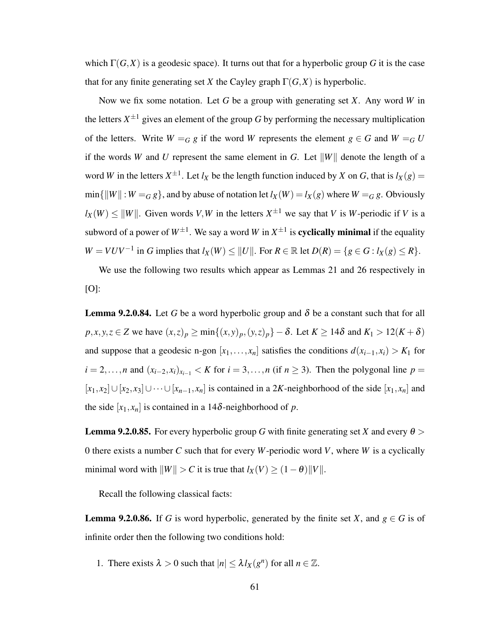which  $\Gamma(G, X)$  is a geodesic space). It turns out that for a hyperbolic group *G* it is the case that for any finite generating set *X* the Cayley graph  $\Gamma(G,X)$  is hyperbolic.

Now we fix some notation. Let *G* be a group with generating set *X*. Any word *W* in the letters  $X^{\pm 1}$  gives an element of the group G by performing the necessary multiplication of the letters. Write  $W = G$  *g* if the word *W* represents the element  $g \in G$  and  $W = G$ if the words *W* and *U* represent the same element in *G*. Let  $||W||$  denote the length of a word *W* in the letters  $X^{\pm 1}$ . Let  $l_X$  be the length function induced by *X* on *G*, that is  $l_X(g)$  =  $\min{\{|W| : W = G g\}}$ , and by abuse of notation let  $l_X(W) = l_X(g)$  where  $W = G g$ . Obviously  $l_X(W) \le ||W||$ . Given words *V*, *W* in the letters  $X^{\pm 1}$  we say that *V* is *W*-periodic if *V* is a subword of a power of  $W^{\pm 1}$ . We say a word W in  $X^{\pm 1}$  is **cyclically minimal** if the equality  $W = VUV^{-1}$  in *G* implies that  $l_X(W) \le ||U||$ . For  $R \in \mathbb{R}$  let  $D(R) = \{g \in G : l_X(g) \le R\}.$ 

We use the following two results which appear as Lemmas 21 and 26 respectively in  $[O]$ :

**Lemma 9.2.0.84.** Let G be a word hyperbolic group and  $\delta$  be a constant such that for all  $p, x, y, z \in \mathbb{Z}$  we have  $(x, z)_p \ge \min\{(x, y)_p, (y, z)_p\} - \delta$ . Let  $K \ge 14\delta$  and  $K_1 > 12(K + \delta)$ and suppose that a geodesic n-gon  $[x_1, \ldots, x_n]$  satisfies the conditions  $d(x_{i-1}, x_i) > K_1$  for  $i = 2,...,n$  and  $(x_{i-2},x_i)_{x_{i-1}} < K$  for  $i = 3,...,n$  (if  $n \ge 3$ ). Then the polygonal line  $p =$  $[x_1, x_2] \cup [x_2, x_3] \cup \cdots \cup [x_{n-1}, x_n]$  is contained in a 2*K*-neighborhood of the side  $[x_1, x_n]$  and the side  $[x_1, x_n]$  is contained in a 14 $\delta$ -neighborhood of  $p$ .

**Lemma 9.2.0.85.** For every hyperbolic group G with finite generating set X and every  $\theta$  > 0 there exists a number *C* such that for every *W*-periodic word *V*, where *W* is a cyclically minimal word with  $||W|| > C$  it is true that  $l_X(V) \ge (1 - \theta) ||V||$ .

Recall the following classical facts:

**Lemma 9.2.0.86.** If *G* is word hyperbolic, generated by the finite set *X*, and  $g \in G$  is of infinite order then the following two conditions hold:

1. There exists  $\lambda > 0$  such that  $|n| \leq \lambda l_X(g^n)$  for all  $n \in \mathbb{Z}$ .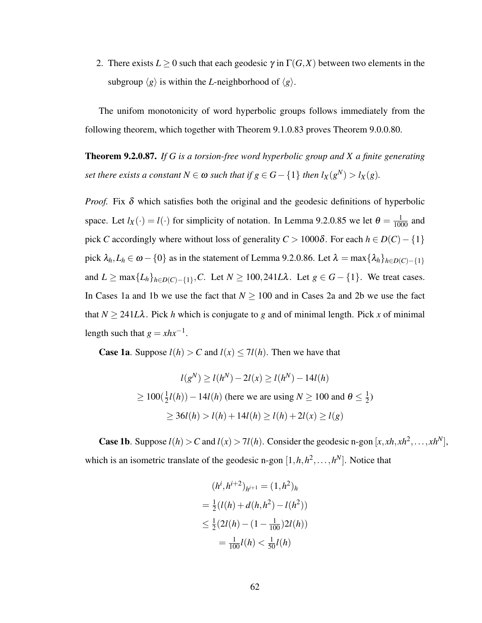2. There exists  $L \ge 0$  such that each geodesic  $\gamma$  in  $\Gamma(G,X)$  between two elements in the subgroup  $\langle g \rangle$  is within the *L*-neighborhood of  $\langle g \rangle$ .

The unifom monotonicity of word hyperbolic groups follows immediately from the following theorem, which together with Theorem 9.1.0.83 proves Theorem 9.0.0.80.

Theorem 9.2.0.87. *If G is a torsion-free word hyperbolic group and X a finite generating set there exists a constant*  $N \in \omega$  *such that if*  $g \in G - \{1\}$  *then*  $l_X(g^N) > l_X(g)$ *.* 

*Proof.* Fix  $\delta$  which satisfies both the original and the geodesic definitions of hyperbolic space. Let  $l_X(\cdot) = l(\cdot)$  for simplicity of notation. In Lemma 9.2.0.85 we let  $\theta = \frac{1}{1000}$  and pick *C* accordingly where without loss of generality  $C > 1000\delta$ . For each  $h \in D(C) - \{1\}$ pick  $\lambda_h$ ,  $L_h \in \omega - \{0\}$  as in the statement of Lemma 9.2.0.86. Let  $\lambda = \max\{\lambda_h\}_{h \in D(C) - \{1\}}$ and  $L \ge \max\{L_h\}_{h \in D(C) - \{1\}}$ , *C*. Let  $N \ge 100$ , 241*L* $\lambda$ . Let  $g \in G - \{1\}$ . We treat cases. In Cases 1a and 1b we use the fact that  $N \ge 100$  and in Cases 2a and 2b we use the fact that  $N \ge 241L\lambda$ . Pick *h* which is conjugate to *g* and of minimal length. Pick *x* of minimal length such that  $g = xhx^{-1}$ .

**Case 1a.** Suppose  $l(h) > C$  and  $l(x) \leq 7l(h)$ . Then we have that

$$
l(g^N) \ge l(h^N) - 2l(x) \ge l(h^N) - 14l(h)
$$
  
\n
$$
\ge 100(\frac{1}{2}l(h)) - 14l(h) \text{ (here we are using } N \ge 100 \text{ and } \theta \le \frac{1}{2})
$$
  
\n
$$
\ge 36l(h) > l(h) + 14l(h) \ge l(h) + 2l(x) \ge l(g)
$$

**Case 1b**. Suppose  $l(h) > C$  and  $l(x) > 7l(h)$ . Consider the geodesic n-gon  $[x, xh, xh^2, \dots, xh^N]$ , which is an isometric translate of the geodesic n-gon  $[1, h, h^2, \ldots, h^N]$ . Notice that

$$
(h^{i}, h^{i+2})_{h^{i+1}} = (1, h^{2})_{h}
$$

$$
= \frac{1}{2}(l(h) + d(h, h^{2}) - l(h^{2}))
$$

$$
\leq \frac{1}{2}(2l(h) - (1 - \frac{1}{100})2l(h))
$$

$$
= \frac{1}{100}l(h) < \frac{1}{50}l(h)
$$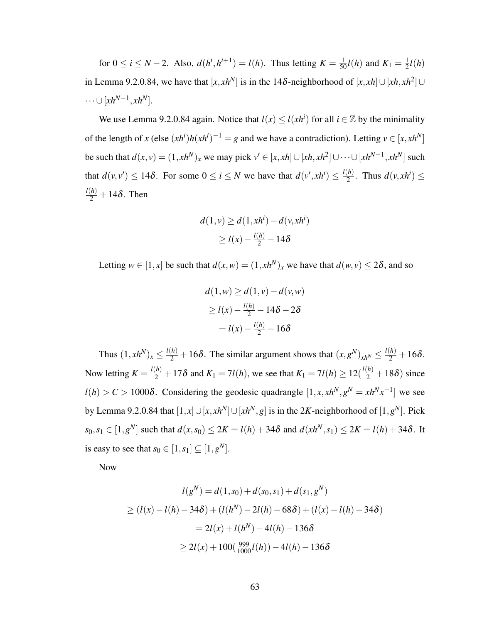for  $0 \le i \le N - 2$ . Also,  $d(h^i, h^{i+1}) = l(h)$ . Thus letting  $K = \frac{1}{50}l(h)$  and  $K_1 = \frac{1}{2}$  $\frac{1}{2}l(h)$ in Lemma 9.2.0.84, we have that  $[x, xh^N]$  is in the 14δ-neighborhood of  $[x, xh] \cup [xh, xh^2] \cup$  $\dots \cup [xh^{N-1}, xh^N].$ 

We use Lemma 9.2.0.84 again. Notice that  $l(x) \le l(xh^i)$  for all  $i \in \mathbb{Z}$  by the minimality of the length of *x* (else  $(xh^i)h(xh^i)^{-1} = g$  and we have a contradiction). Letting  $v \in [x, xh^N]$ be such that  $d(x, v) = (1, x h^N)_x$  we may pick  $v' \in [x, x h] \cup [x h, x h^2] \cup \cdots \cup [x h^{N-1}, x h^N]$  such that  $d(v, v') \le 14\delta$ . For some  $0 \le i \le N$  we have that  $d(v', x h^i) \le \frac{l(h)}{2}$  $\frac{h}{2}$ . Thus  $d(v, xh^i) \leq$  $\frac{l(h)}{2} + 14\delta$ . Then

$$
d(1, v) \ge d(1, xhi) - d(v, xhi)
$$
  
\n
$$
\ge l(x) - \frac{l(h)}{2} - 14\delta
$$

Letting  $w \in [1, x]$  be such that  $d(x, w) = (1, xh^N)_x$  we have that  $d(w, v) \le 2\delta$ , and so

$$
d(1, w) \ge d(1, v) - d(v, w)
$$
  
\n
$$
\ge l(x) - \frac{l(h)}{2} - 14\delta - 2\delta
$$
  
\n
$$
= l(x) - \frac{l(h)}{2} - 16\delta
$$

Thus  $(1, xh^N)_x \le \frac{l(h)}{2} + 16\delta$ . The similar argument shows that  $(x, g^N)_{xh^N} \le \frac{l(h)}{2} + 16\delta$ . Now letting  $K = \frac{l(h)}{2} + 17\delta$  and  $K_1 = 7l(h)$ , we see that  $K_1 = 7l(h) \ge 12(\frac{l(h)}{2} + 18\delta)$  since  $l(h) > C > 1000\delta$ . Considering the geodesic quadrangle  $[1, x, xh^N, g^N = xh^Nx^{-1}]$  we see by Lemma 9.2.0.84 that  $[1, x] \cup [x, x h^N] \cup [x h^N, g]$  is in the 2*K*-neighborhood of  $[1, g^N]$ . Pick  $s_0, s_1 \in [1, g^N]$  such that  $d(x, s_0) \le 2K = l(h) + 34\delta$  and  $d(xh^N, s_1) \le 2K = l(h) + 34\delta$ . It is easy to see that  $s_0 \in [1, s_1] \subseteq [1, g^N]$ .

Now

$$
l(g^N) = d(1, s_0) + d(s_0, s_1) + d(s_1, g^N)
$$
  
\n
$$
\geq (l(x) - l(h) - 34\delta) + (l(h^N) - 2l(h) - 68\delta) + (l(x) - l(h) - 34\delta)
$$
  
\n
$$
= 2l(x) + l(h^N) - 4l(h) - 136\delta
$$
  
\n
$$
\geq 2l(x) + 100(\frac{999}{1000}l(h)) - 4l(h) - 136\delta
$$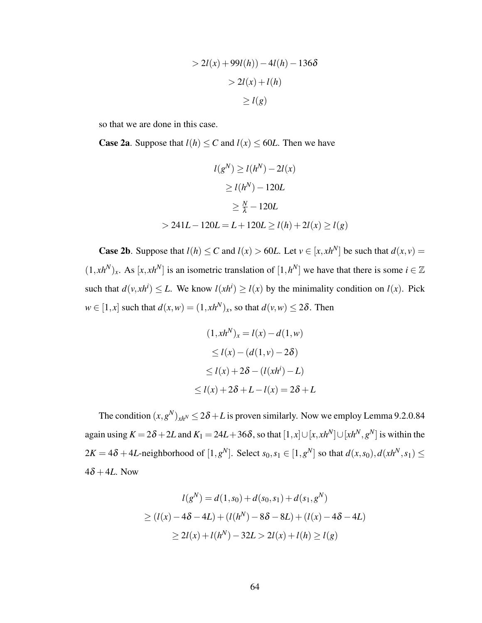$$
> 2l(x) + 99l(h)) - 4l(h) - 136\delta
$$

$$
> 2l(x) + l(h)
$$

$$
\ge l(g)
$$

so that we are done in this case.

**Case 2a.** Suppose that  $l(h) \leq C$  and  $l(x) \leq 60L$ . Then we have

$$
l(g^N) \ge l(h^N) - 2l(x)
$$
  
\n
$$
\ge l(h^N) - 120L
$$
  
\n
$$
\ge \frac{N}{\lambda} - 120L
$$
  
\n
$$
> 241L - 120L = L + 120L \ge l(h) + 2l(x) \ge l(g)
$$

**Case 2b**. Suppose that  $l(h) \leq C$  and  $l(x) > 60L$ . Let  $v \in [x, xh^N]$  be such that  $d(x, v) =$  $(1, xh^N)_x$ . As  $[x, xh^N]$  is an isometric translation of  $[1, h^N]$  we have that there is some  $i \in \mathbb{Z}$ such that  $d(v, xh^i) \leq L$ . We know  $l(xh^i) \geq l(x)$  by the minimality condition on  $l(x)$ . Pick  $w \in [1, x]$  such that  $d(x, w) = (1, x h^N)_x$ , so that  $d(v, w) \le 2\delta$ . Then

$$
(1, xhN)x = l(x) - d(1, w)
$$
  
\n
$$
\le l(x) - (d(1, v) - 2\delta)
$$
  
\n
$$
\le l(x) + 2\delta - (l(xhi) - L)
$$
  
\n
$$
\le l(x) + 2\delta + L - l(x) = 2\delta + L
$$

The condition  $(x, g^N)_{xh^N} \le 2\delta + L$  is proven similarly. Now we employ Lemma 9.2.0.84 again using  $K = 2\delta + 2L$  and  $K_1 = 24L + 36\delta$ , so that  $[1, x] \cup [x, x h^N] \cup [x h^N, g^N]$  is within the  $2K = 4\delta + 4L$ -neighborhood of  $[1,g^N]$ . Select  $s_0, s_1 \in [1,g^N]$  so that  $d(x, s_0), d(xh^N, s_1) \leq$  $4\delta + 4L$ . Now

$$
l(g^N) = d(1, s_0) + d(s_0, s_1) + d(s_1, g^N)
$$
  
\n
$$
\geq (l(x) - 4\delta - 4L) + (l(h^N) - 8\delta - 8L) + (l(x) - 4\delta - 4L)
$$
  
\n
$$
\geq 2l(x) + l(h^N) - 32L > 2l(x) + l(h) \geq l(g)
$$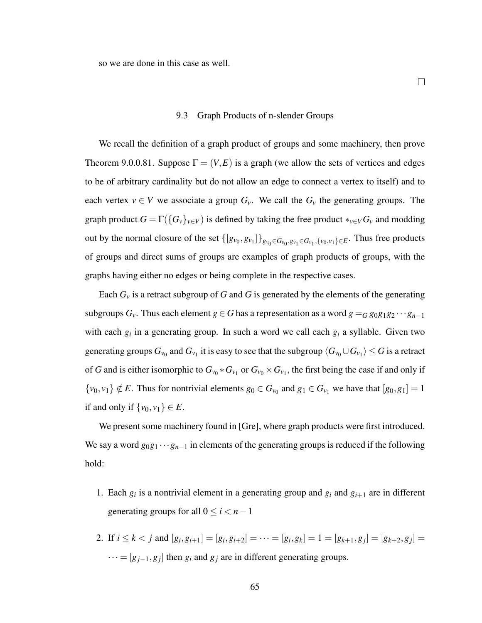so we are done in this case as well.

#### 9.3 Graph Products of n-slender Groups

We recall the definition of a graph product of groups and some machinery, then prove Theorem 9.0.0.81. Suppose  $\Gamma = (V, E)$  is a graph (we allow the sets of vertices and edges to be of arbitrary cardinality but do not allow an edge to connect a vertex to itself) and to each vertex  $v \in V$  we associate a group  $G_v$ . We call the  $G_v$  the generating groups. The graph product  $G = \Gamma(\{G_v\}_{v \in V})$  is defined by taking the free product  $*_{v \in V} G_v$  and modding out by the normal closure of the set  $\{[g_{v_0}, g_{v_1}]\}_{g_{v_0} \in G_{v_0}, g_{v_1} \in G_{v_1}, \{v_0, v_1\} \in E}$ . Thus free products of groups and direct sums of groups are examples of graph products of groups, with the graphs having either no edges or being complete in the respective cases.

Each  $G<sub>v</sub>$  is a retract subgroup of *G* and *G* is generated by the elements of the generating subgroups  $G_v$ . Thus each element  $g \in G$  has a representation as a word  $g = G g_0 g_1 g_2 \cdots g_{n-1}$ with each  $g_i$  in a generating group. In such a word we call each  $g_i$  a syllable. Given two generating groups  $G_{v_0}$  and  $G_{v_1}$  it is easy to see that the subgroup  $\langle G_{v_0}\cup G_{v_1}\rangle\leq G$  is a retract of *G* and is either isomorphic to  $G_{v_0} * G_{v_1}$  or  $G_{v_0} \times G_{v_1}$ , the first being the case if and only if  $\{v_0, v_1\} \notin E$ . Thus for nontrivial elements  $g_0 \in G_{v_0}$  and  $g_1 \in G_{v_1}$  we have that  $[g_0, g_1] = 1$ if and only if  $\{v_0, v_1\} \in E$ .

We present some machinery found in [Gre], where graph products were first introduced. We say a word  $g_0g_1 \cdots g_{n-1}$  in elements of the generating groups is reduced if the following hold:

- 1. Each  $g_i$  is a nontrivial element in a generating group and  $g_i$  and  $g_{i+1}$  are in different generating groups for all  $0 \le i < n-1$
- 2. If  $i \leq k < j$  and  $[g_i, g_{i+1}] = [g_i, g_{i+2}] = \cdots = [g_i, g_k] = 1 = [g_{k+1}, g_j] = [g_{k+2}, g_j] =$  $\cdots = [g_{j-1}, g_j]$  then  $g_i$  and  $g_j$  are in different generating groups.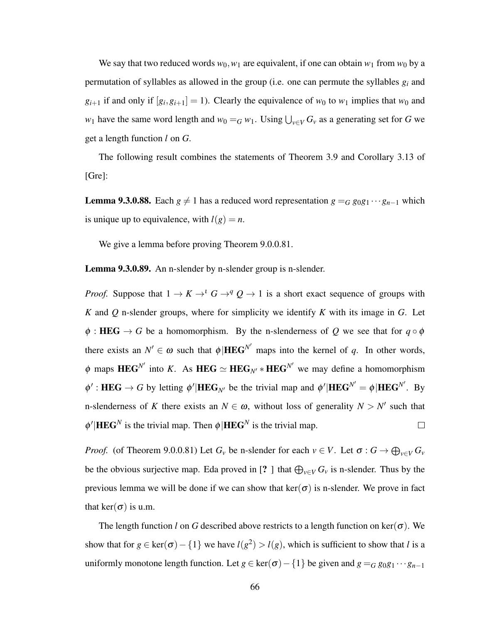We say that two reduced words  $w_0$ ,  $w_1$  are equivalent, if one can obtain  $w_1$  from  $w_0$  by a permutation of syllables as allowed in the group (i.e. one can permute the syllables *g<sup>i</sup>* and  $g_{i+1}$  if and only if  $[g_i, g_{i+1}] = 1$ ). Clearly the equivalence of  $w_0$  to  $w_1$  implies that  $w_0$  and *w*<sub>1</sub> have the same word length and  $w_0 = G w_1$ . Using  $\bigcup_{v \in V} G_v$  as a generating set for *G* we get a length function *l* on *G*.

The following result combines the statements of Theorem 3.9 and Corollary 3.13 of [Gre]:

**Lemma 9.3.0.88.** Each  $g \neq 1$  has a reduced word representation  $g = G g_0 g_1 \cdots g_{n-1}$  which is unique up to equivalence, with  $l(g) = n$ .

We give a lemma before proving Theorem 9.0.0.81.

Lemma 9.3.0.89. An n-slender by n-slender group is n-slender.

*Proof.* Suppose that  $1 \rightarrow K \rightarrow^{l} G \rightarrow^{q} Q \rightarrow 1$  is a short exact sequence of groups with *K* and *Q* n-slender groups, where for simplicity we identify *K* with its image in *G*. Let  $\phi$ : HEG  $\rightarrow$  *G* be a homomorphism. By the n-slenderness of *Q* we see that for  $q \circ \phi$ there exists an  $N' \in \omega$  such that  $\phi | \text{HEG}^{N'}$  maps into the kernel of *q*. In other words,  $\phi$  maps **HEG**<sup>N'</sup> into *K*. As **HEG**  $\simeq$  **HEG**<sub>N'</sub>  $*$  **HEG**<sup>N'</sup> we may define a homomorphism  $\phi'$ : **HEG**  $\rightarrow$  *G* by letting  $\phi'$  |**HEG**<sub>*N'*</sub> be the trivial map and  $\phi'$  |**HEG**<sup>*N'*</sup> =  $\phi$  |**HEG**<sup>*N'*</sup>. By n-slenderness of *K* there exists an  $N \in \omega$ , without loss of generality  $N > N'$  such that  $\phi'$ |**HEG**<sup>*N*</sup> is the trivial map. Then  $\phi$ |**HEG**<sup>*N*</sup> is the trivial map.  $\Box$ 

*Proof.* (of Theorem 9.0.0.81) Let  $G_v$  be n-slender for each  $v \in V$ . Let  $\sigma : G \to \bigoplus_{v \in V} G_v$ be the obvious surjective map. Eda proved in [? ] that  $\bigoplus_{v \in V} G_v$  is n-slender. Thus by the previous lemma we will be done if we can show that  $\ker(\sigma)$  is n-slender. We prove in fact that ker( $\sigma$ ) is u.m.

The length function *l* on *G* described above restricts to a length function on ker( $\sigma$ ). We show that for  $g \in \text{ker}(\sigma) - \{1\}$  we have  $l(g^2) > l(g)$ , which is sufficient to show that *l* is a uniformly monotone length function. Let *g* ∈ ker( $\sigma$ ) – {1} be given and *g* = *G g*<sub>0</sub>*g*<sub>1</sub> ···*g*<sub>*n*−1</sub>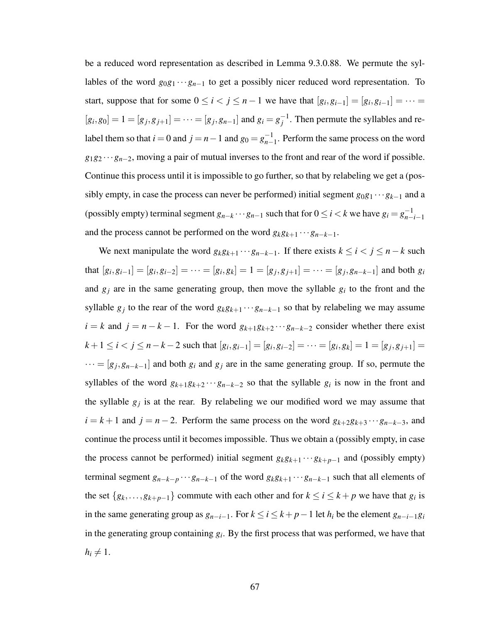be a reduced word representation as described in Lemma 9.3.0.88. We permute the syllables of the word  $g_0g_1 \cdots g_{n-1}$  to get a possibly nicer reduced word representation. To start, suppose that for some  $0 \le i < j \le n-1$  we have that  $[g_i, g_{i-1}] = [g_i, g_{i-1}] = \cdots =$  $[g_i, g_0] = 1 = [g_j, g_{j+1}] = \cdots = [g_j, g_{n-1}]$  and  $g_i = g_i^{-1}$  $j^{-1}$ . Then permute the syllables and relabel them so that  $i = 0$  and  $j = n - 1$  and  $g_0 = g_{n-1}^{-1}$ *n*−1 . Perform the same process on the word *g*1*g*<sup>2</sup> ···*gn*−2, moving a pair of mutual inverses to the front and rear of the word if possible. Continue this process until it is impossible to go further, so that by relabeling we get a (possibly empty, in case the process can never be performed) initial segment  $g_0g_1 \cdots g_{k-1}$  and a (possibly empty) terminal segment  $g_{n-k} \cdots g_{n-1}$  such that for  $0 \le i < k$  we have  $g_i = g_{n-k}^{-1}$ *n*−*i*−1 and the process cannot be performed on the word  $g_k g_{k+1} \cdots g_{n-k-1}$ .

We next manipulate the word  $g_k g_{k+1} \cdots g_{n-k-1}$ . If there exists  $k \le i < j \le n-k$  such that  $[g_i, g_{i-1}] = [g_i, g_{i-2}] = \cdots = [g_i, g_k] = 1 = [g_j, g_{j+1}] = \cdots = [g_j, g_{n-k-1}]$  and both  $g_i$ and  $g_j$  are in the same generating group, then move the syllable  $g_i$  to the front and the syllable  $g_j$  to the rear of the word  $g_k g_{k+1} \cdots g_{n-k-1}$  so that by relabeling we may assume  $i = k$  and  $j = n - k - 1$ . For the word  $g_{k+1}g_{k+2}\cdots g_{n-k-2}$  consider whether there exist  $k+1 \le i < j \le n-k-2$  such that  $[g_i, g_{i-1}] = [g_i, g_{i-2}] = \cdots = [g_i, g_k] = 1 = [g_j, g_{j+1}] =$  $\cdots = [g_j, g_{n-k-1}]$  and both  $g_i$  and  $g_j$  are in the same generating group. If so, permute the syllables of the word  $g_{k+1}g_{k+2}\cdots g_{n-k-2}$  so that the syllable  $g_i$  is now in the front and the syllable  $g_j$  is at the rear. By relabeling we our modified word we may assume that  $i = k + 1$  and  $j = n - 2$ . Perform the same process on the word  $g_{k+2}g_{k+3}\cdots g_{n-k-3}$ , and continue the process until it becomes impossible. Thus we obtain a (possibly empty, in case the process cannot be performed) initial segment  $g_k g_{k+1} \cdots g_{k+p-1}$  and (possibly empty) terminal segment  $g_{n-k-p}$  ···  $g_{n-k-1}$  of the word  $g_k g_{k+1}$  ···  $g_{n-k-1}$  such that all elements of the set  $\{g_k, \ldots, g_{k+p-1}\}\)$  commute with each other and for  $k \leq i \leq k+p$  we have that  $g_i$  is in the same generating group as  $g_{n-i-1}$ . For  $k \le i \le k+p-1$  let  $h_i$  be the element  $g_{n-i-1}g_i$ in the generating group containing  $g_i$ . By the first process that was performed, we have that  $h_i \neq 1$ .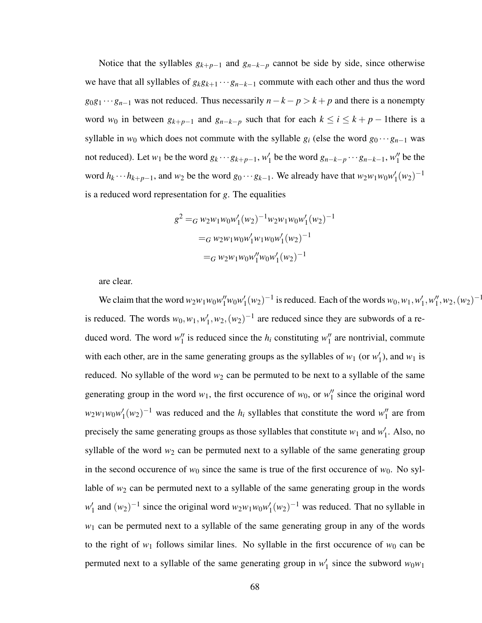Notice that the syllables  $g_{k+p-1}$  and  $g_{n-k-p}$  cannot be side by side, since otherwise we have that all syllables of  $g_k g_{k+1} \cdots g_{n-k-1}$  commute with each other and thus the word *g*<sub>0</sub>*g*<sub>1</sub> ···*g*<sub>*n*−1</sub> was not reduced. Thus necessarily *n*−*k*−*p* > *k* + *p* and there is a nonempty word  $w_0$  in between  $g_{k+p-1}$  and  $g_{n-k-p}$  such that for each  $k \le i \le k+p-1$  there is a syllable in  $w_0$  which does not commute with the syllable  $g_i$  (else the word  $g_0 \cdots g_{n-1}$  was not reduced). Let  $w_1$  be the word  $g_k \cdots g_{k+p-1}$ ,  $w'_1$  $\frac{1}{1}$  be the word  $g_{n-k-p} \cdots g_{n-k-1}$ ,  $w_1''$  $\frac{\pi}{1}$  be the word  $h_k \cdots h_{k+p-1}$ , and  $w_2$  be the word  $g_0 \cdots g_{k-1}$ . We already have that  $w_2 w_1 w_0 w_1'$  $\binom{1}{1}(w_2)^{-1}$ is a reduced word representation for *g*. The equalities

$$
g^{2} =_{G} w_{2}w_{1}w_{0}w_{1}'(w_{2})^{-1}w_{2}w_{1}w_{0}w_{1}'(w_{2})^{-1}
$$
  
=
$$
_{G} w_{2}w_{1}w_{0}w_{1}'w_{1}w_{0}w_{1}'(w_{2})^{-1}
$$
  
=
$$
_{G} w_{2}w_{1}w_{0}w_{1}''w_{0}w_{1}'(w_{2})^{-1}
$$

are clear.

We claim that the word  $w_2w_1w_0w_1^{\prime\prime}w_0w_1^{\prime\prime}$  $y'_1(w_2)^{-1}$  is reduced. Each of the words  $w_0, w_1, w'_1$  $'_{1}, w''_{1}$  $''_1, w_2, (w_2)^{-1}$ is reduced. The words  $w_0, w_1, w_1'$  $y'_1, w_2, (w_2)^{-1}$  are reduced since they are subwords of a reduced word. The word  $w_1''$  $\frac{1}{1}$  is reduced since the *h<sub>i</sub>* constituting  $w_1''$  $\frac{1}{1}$  are nontrivial, commute with each other, are in the same generating groups as the syllables of  $w_1$  (or  $w_1'$ )  $'_{1}$ ), and  $w_{1}$  is reduced. No syllable of the word  $w_2$  can be permuted to be next to a syllable of the same generating group in the word  $w_1$ , the first occurence of  $w_0$ , or  $w_1''$  $\frac{1}{1}$  since the original word  $w_2w_1w_0w'_1$  $\frac{1}{1}(w_2)^{-1}$  was reduced and the *h<sub>i</sub>* syllables that constitute the word  $w_1''$  $\frac{1}{1}$  are from precisely the same generating groups as those syllables that constitute  $w_1$  and  $w_1'$  $\frac{7}{1}$ . Also, no syllable of the word  $w_2$  can be permuted next to a syllable of the same generating group in the second occurence of  $w_0$  since the same is true of the first occurence of  $w_0$ . No syllable of  $w_2$  can be permuted next to a syllable of the same generating group in the words  $w_1'$  $\int_1^{\prime}$  and  $(w_2)^{-1}$  since the original word  $w_2w_1w_0w_1'$  $\int_1'(w_2)^{-1}$  was reduced. That no syllable in  $w_1$  can be permuted next to a syllable of the same generating group in any of the words to the right of  $w_1$  follows similar lines. No syllable in the first occurence of  $w_0$  can be permuted next to a syllable of the same generating group in  $w_1'$  $v_1$  since the subword  $w_0w_1$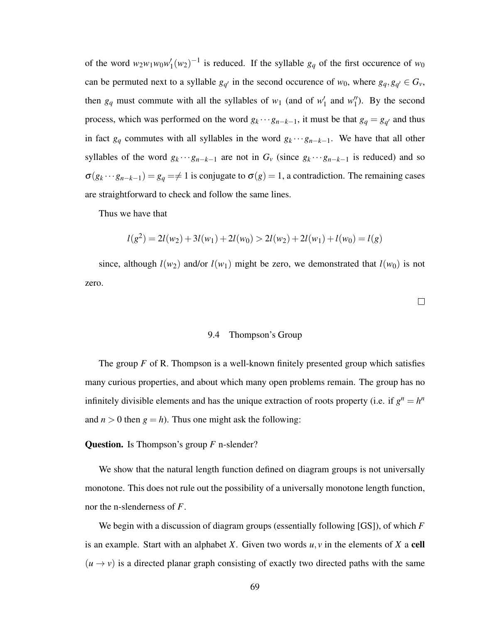of the word  $w_2w_1w_0w_1'$  $\int_1^{\prime} (w_2)^{-1}$  is reduced. If the syllable  $g_q$  of the first occurence of  $w_0$ can be permuted next to a syllable  $g_q$  in the second occurence of  $w_0$ , where  $g_q$ ,  $g_{q'} \in G_\nu$ , then  $g_q$  must commute with all the syllables of  $w_1$  (and of  $w_1'$ )  $\frac{1}{1}$  and  $w_1''$  $\binom{n}{1}$ . By the second process, which was performed on the word  $g_k \cdots g_{n-k-1}$ , it must be that  $g_q = g_{q'}$  and thus in fact  $g_q$  commutes with all syllables in the word  $g_k \cdots g_{n-k-1}$ . We have that all other syllables of the word  $g_k \cdots g_{n-k-1}$  are not in  $G_v$  (since  $g_k \cdots g_{n-k-1}$  is reduced) and so  $\sigma(g_k \cdots g_{n-k-1}) = g_q = \neq 1$  is conjugate to  $\sigma(g) = 1$ , a contradiction. The remaining cases are straightforward to check and follow the same lines.

Thus we have that

$$
l(g^{2}) = 2l(w_{2}) + 3l(w_{1}) + 2l(w_{0}) > 2l(w_{2}) + 2l(w_{1}) + l(w_{0}) = l(g)
$$

since, although  $l(w_2)$  and/or  $l(w_1)$  might be zero, we demonstrated that  $l(w_0)$  is not zero.

 $\Box$ 

## 9.4 Thompson's Group

The group *F* of R. Thompson is a well-known finitely presented group which satisfies many curious properties, and about which many open problems remain. The group has no infinitely divisible elements and has the unique extraction of roots property (i.e. if  $g^n = h^n$ ) and  $n > 0$  then  $g = h$ ). Thus one might ask the following:

### Question. Is Thompson's group *F* n-slender?

We show that the natural length function defined on diagram groups is not universally monotone. This does not rule out the possibility of a universally monotone length function, nor the n-slenderness of *F*.

We begin with a discussion of diagram groups (essentially following [GS]), of which *F* is an example. Start with an alphabet *X*. Given two words  $u, v$  in the elements of *X* a cell  $(u \rightarrow v)$  is a directed planar graph consisting of exactly two directed paths with the same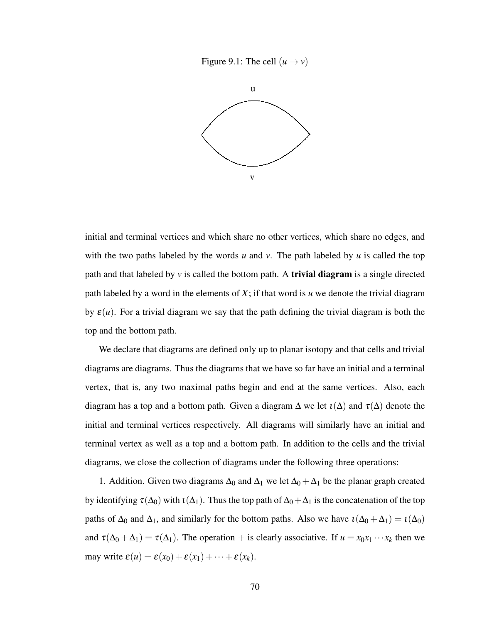Figure 9.1: The cell  $(u \rightarrow v)$ 



initial and terminal vertices and which share no other vertices, which share no edges, and with the two paths labeled by the words *u* and *v*. The path labeled by *u* is called the top path and that labeled by  $v$  is called the bottom path. A **trivial diagram** is a single directed path labeled by a word in the elements of *X*; if that word is *u* we denote the trivial diagram by  $\varepsilon(u)$ . For a trivial diagram we say that the path defining the trivial diagram is both the top and the bottom path.

We declare that diagrams are defined only up to planar isotopy and that cells and trivial diagrams are diagrams. Thus the diagrams that we have so far have an initial and a terminal vertex, that is, any two maximal paths begin and end at the same vertices. Also, each diagram has a top and a bottom path. Given a diagram  $\Delta$  we let  $\iota(\Delta)$  and  $\tau(\Delta)$  denote the initial and terminal vertices respectively. All diagrams will similarly have an initial and terminal vertex as well as a top and a bottom path. In addition to the cells and the trivial diagrams, we close the collection of diagrams under the following three operations:

1. Addition. Given two diagrams  $\Delta_0$  and  $\Delta_1$  we let  $\Delta_0 + \Delta_1$  be the planar graph created by identifying  $\tau(\Delta_0)$  with  $\iota(\Delta_1)$ . Thus the top path of  $\Delta_0 + \Delta_1$  is the concatenation of the top paths of  $\Delta_0$  and  $\Delta_1$ , and similarly for the bottom paths. Also we have  $\iota(\Delta_0 + \Delta_1) = \iota(\Delta_0)$ and  $\tau(\Delta_0 + \Delta_1) = \tau(\Delta_1)$ . The operation + is clearly associative. If  $u = x_0x_1 \cdots x_k$  then we may write  $\varepsilon(u) = \varepsilon(x_0) + \varepsilon(x_1) + \cdots + \varepsilon(x_k)$ .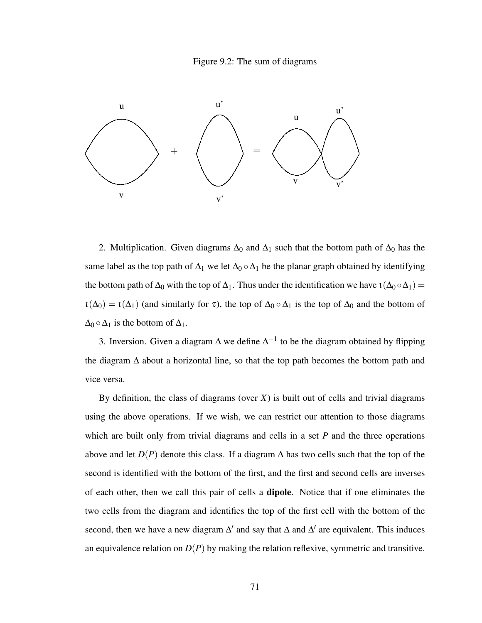



2. Multiplication. Given diagrams  $\Delta_0$  and  $\Delta_1$  such that the bottom path of  $\Delta_0$  has the same label as the top path of  $\Delta_1$  we let  $\Delta_0 \circ \Delta_1$  be the planar graph obtained by identifying the bottom path of  $\Delta_0$  with the top of  $\Delta_1$ . Thus under the identification we have  $\iota(\Delta_0 \circ \Delta_1)$  =  $\iota(\Delta_0) = \iota(\Delta_1)$  (and similarly for  $\tau$ ), the top of  $\Delta_0 \circ \Delta_1$  is the top of  $\Delta_0$  and the bottom of  $\Delta_0 \circ \Delta_1$  is the bottom of  $\Delta_1$ .

3. Inversion. Given a diagram  $\Delta$  we define  $\Delta^{-1}$  to be the diagram obtained by flipping the diagram  $\Delta$  about a horizontal line, so that the top path becomes the bottom path and vice versa.

By definition, the class of diagrams (over *X*) is built out of cells and trivial diagrams using the above operations. If we wish, we can restrict our attention to those diagrams which are built only from trivial diagrams and cells in a set *P* and the three operations above and let  $D(P)$  denote this class. If a diagram  $\Delta$  has two cells such that the top of the second is identified with the bottom of the first, and the first and second cells are inverses of each other, then we call this pair of cells a dipole. Notice that if one eliminates the two cells from the diagram and identifies the top of the first cell with the bottom of the second, then we have a new diagram  $\Delta'$  and say that  $\Delta$  and  $\Delta'$  are equivalent. This induces an equivalence relation on  $D(P)$  by making the relation reflexive, symmetric and transitive.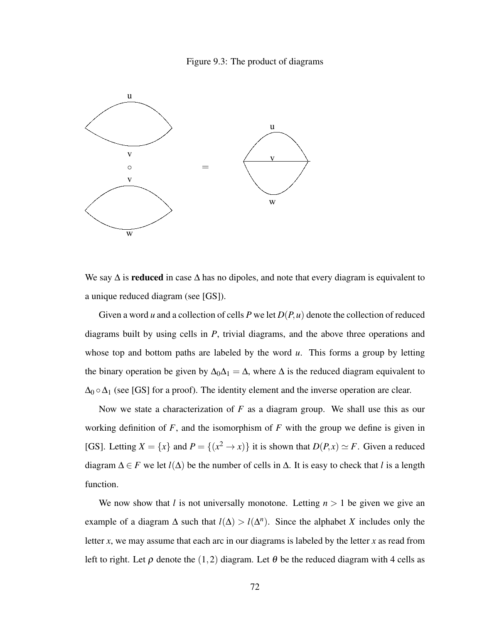## Figure 9.3: The product of diagrams



We say  $\Delta$  is **reduced** in case  $\Delta$  has no dipoles, and note that every diagram is equivalent to a unique reduced diagram (see [GS]).

Given a word *u* and a collection of cells *P* we let *D*(*P*,*u*) denote the collection of reduced diagrams built by using cells in *P*, trivial diagrams, and the above three operations and whose top and bottom paths are labeled by the word *u*. This forms a group by letting the binary operation be given by  $\Delta_0\Delta_1 = \Delta$ , where  $\Delta$  is the reduced diagram equivalent to  $\Delta_0 \circ \Delta_1$  (see [GS] for a proof). The identity element and the inverse operation are clear.

Now we state a characterization of *F* as a diagram group. We shall use this as our working definition of *F*, and the isomorphism of *F* with the group we define is given in [GS]. Letting  $X = \{x\}$  and  $P = \{(x^2 \to x)\}$  it is shown that  $D(P, x) \simeq F$ . Given a reduced diagram  $\Delta \in F$  we let  $l(\Delta)$  be the number of cells in  $\Delta$ . It is easy to check that *l* is a length function.

We now show that *l* is not universally monotone. Letting  $n > 1$  be given we give an example of a diagram  $\Delta$  such that  $l(\Delta) > l(\Delta^n)$ . Since the alphabet *X* includes only the letter *x*, we may assume that each arc in our diagrams is labeled by the letter *x* as read from left to right. Let  $\rho$  denote the (1,2) diagram. Let  $\theta$  be the reduced diagram with 4 cells as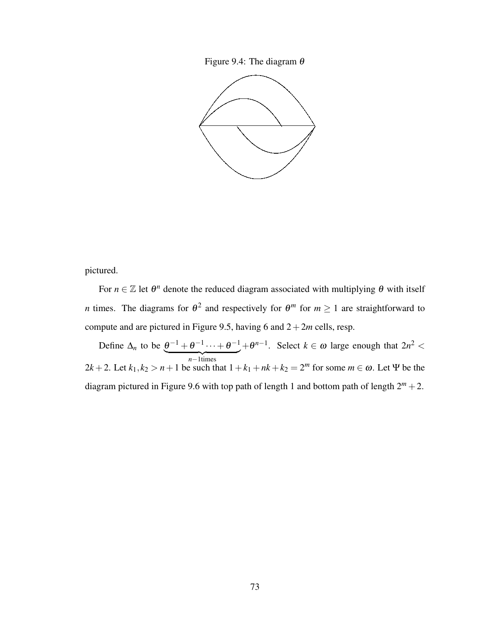Figure 9.4: The diagram  $\theta$ 



pictured.

For  $n \in \mathbb{Z}$  let  $\theta^n$  denote the reduced diagram associated with multiplying  $\theta$  with itself *n* times. The diagrams for  $\theta^2$  and respectively for  $\theta^m$  for  $m \ge 1$  are straightforward to compute and are pictured in Figure 9.5, having 6 and  $2+2m$  cells, resp.

Define  $\Delta_n$  to be  $\theta^{-1} + \theta^{-1} \cdots + \theta^{-1}$  $\overline{n-1}$ times  $+ \theta^{n-1}$ . Select *k* ∈ ω large enough that  $2n^2$  <  $2k+2$ . Let  $k_1, k_2 > n+1$  be such that  $1 + k_1 + nk + k_2 = 2^m$  for some  $m \in \omega$ . Let  $\Psi$  be the diagram pictured in Figure 9.6 with top path of length 1 and bottom path of length  $2^m + 2$ .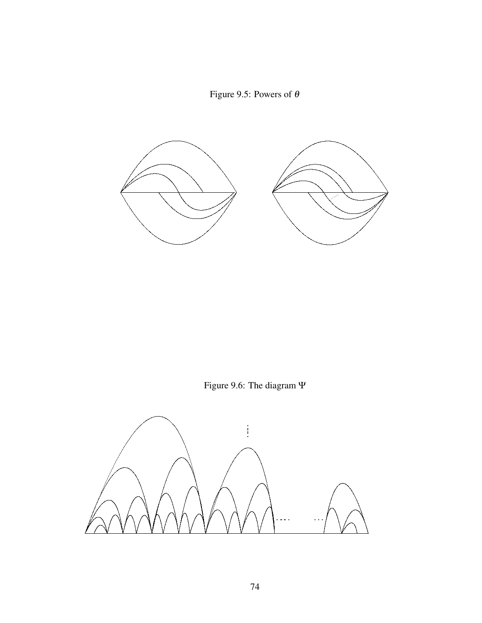Figure 9.5: Powers of  $\theta$ 



Figure 9.6: The diagram Ψ

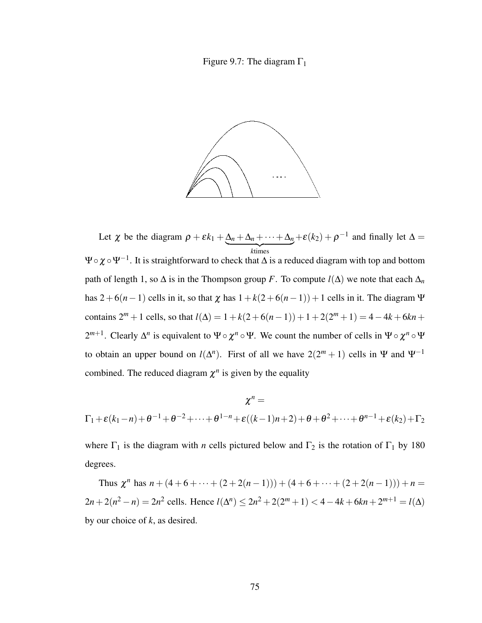# Figure 9.7: The diagram  $\Gamma_1$



Let  $\chi$  be the diagram  $\rho + \varepsilon k_1 + \Delta_n + \Delta_n + \cdots + \Delta_n$ | {z } *k*times  $+\varepsilon(k_2) + \rho^{-1}$  and finally let  $\Delta =$  $\Psi\circ\chi\circ\Psi^{-1}.$  It is straightforward to check that  $\Delta$  is a reduced diagram with top and bottom path of length 1, so  $\Delta$  is in the Thompson group *F*. To compute  $l(\Delta)$  we note that each  $\Delta_n$ has  $2+6(n-1)$  cells in it, so that  $\chi$  has  $1+k(2+6(n-1))+1$  cells in it. The diagram  $\Psi$ contains  $2^m + 1$  cells, so that  $l(\Delta) = 1 + k(2 + 6(n-1)) + 1 + 2(2^m + 1) = 4 - 4k + 6kn +$ 2<sup>*m*+1</sup>. Clearly  $\Delta^n$  is equivalent to Ψ∘  $\chi^n \circ \Psi$ . We count the number of cells in Ψ∘  $\chi^n \circ \Psi$ to obtain an upper bound on  $l(\Delta^n)$ . First of all we have  $2(2^m + 1)$  cells in  $\Psi$  and  $\Psi^{-1}$ combined. The reduced diagram  $\chi^n$  is given by the equality

$$
\chi^{n} =
$$
  
\n
$$
\Gamma_{1} + \varepsilon (k_{1} - n) + \theta^{-1} + \theta^{-2} + \dots + \theta^{1-n} + \varepsilon ((k - 1)n + 2) + \theta + \theta^{2} + \dots + \theta^{n-1} + \varepsilon (k_{2}) + \Gamma_{2}
$$

where  $\Gamma_1$  is the diagram with *n* cells pictured below and  $\Gamma_2$  is the rotation of  $\Gamma_1$  by 180 degrees.

Thus  $\chi^{n}$  has  $n + (4 + 6 + \cdots + (2 + 2(n - 1))) + (4 + 6 + \cdots + (2 + 2(n - 1))) + n =$  $2n + 2(n^2 - n) = 2n^2$  cells. Hence  $l(\Delta^n) \leq 2n^2 + 2(2^m + 1) < 4 - 4k + 6kn + 2^{m+1} = l(\Delta)$ by our choice of *k*, as desired.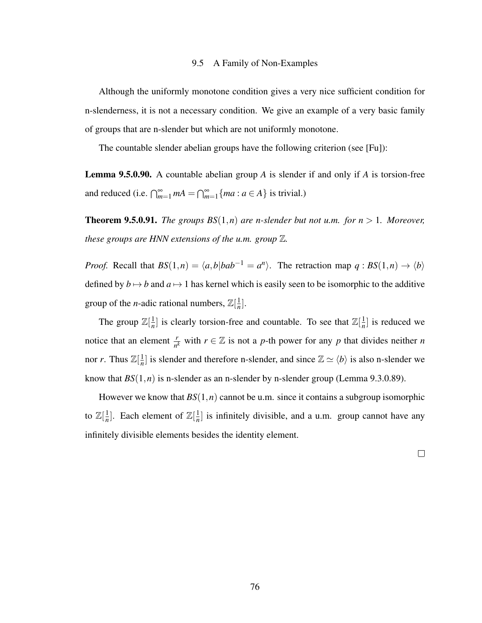### 9.5 A Family of Non-Examples

Although the uniformly monotone condition gives a very nice sufficient condition for n-slenderness, it is not a necessary condition. We give an example of a very basic family of groups that are n-slender but which are not uniformly monotone.

The countable slender abelian groups have the following criterion (see [Fu]):

Lemma 9.5.0.90. A countable abelian group *A* is slender if and only if *A* is torsion-free and reduced (i.e.  $\bigcap_{m=1}^{\infty} ma = \bigcap_{m=1}^{\infty} \{ma : a \in A\}$  is trivial.)

**Theorem 9.5.0.91.** *The groups BS* $(1, n)$  *are n-slender but not u.m. for n* > 1*. Moreover, these groups are HNN extensions of the u.m. group* Z*.*

*Proof.* Recall that  $BS(1,n) = \langle a,b|bab^{-1} = a^n \rangle$ . The retraction map  $q: BS(1,n) \to \langle b \rangle$ defined by  $b \mapsto b$  and  $a \mapsto 1$  has kernel which is easily seen to be isomorphic to the additive group of the *n*-adic rational numbers,  $\mathbb{Z}[\frac{1}{n}]$  $\frac{1}{n}$ .

The group  $\mathbb{Z}[\frac{1}{n}]$  $\frac{1}{n}$ ] is clearly torsion-free and countable. To see that  $\mathbb{Z}[\frac{1}{n}]$  $\frac{1}{n}$  is reduced we notice that an element  $\frac{r}{n^k}$  with  $r \in \mathbb{Z}$  is not a *p*-th power for any *p* that divides neither *n* nor *r*. Thus  $\mathbb{Z}[\frac{1}{n}]$  $\frac{1}{n}$  is slender and therefore n-slender, and since  $\mathbb{Z} \simeq \langle b \rangle$  is also n-slender we know that  $BS(1, n)$  is n-slender as an n-slender by n-slender group (Lemma 9.3.0.89).

However we know that  $BS(1, n)$  cannot be u.m. since it contains a subgroup isomorphic to  $\mathbb{Z}[\frac{1}{n}]$  $\frac{1}{n}$ ]. Each element of  $\mathbb{Z}[\frac{1}{n}]$  $\frac{1}{n}$  is infinitely divisible, and a u.m. group cannot have any infinitely divisible elements besides the identity element.

 $\Box$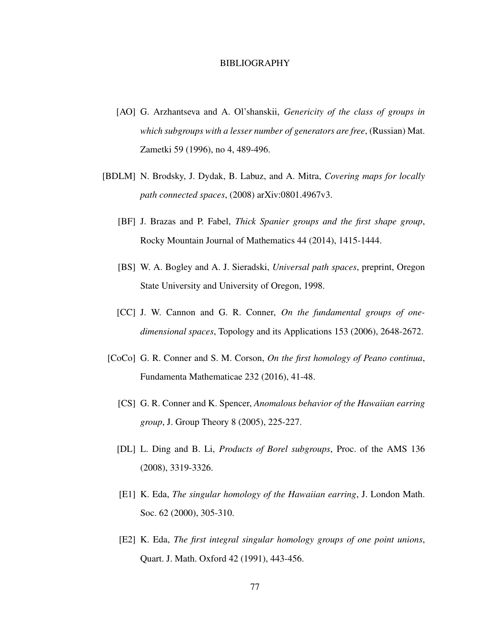### BIBLIOGRAPHY

- [AO] G. Arzhantseva and A. Ol'shanskii, *Genericity of the class of groups in which subgroups with a lesser number of generators are free*, (Russian) Mat. Zametki 59 (1996), no 4, 489-496.
- [BDLM] N. Brodsky, J. Dydak, B. Labuz, and A. Mitra, *Covering maps for locally path connected spaces*, (2008) arXiv:0801.4967v3.
	- [BF] J. Brazas and P. Fabel, *Thick Spanier groups and the first shape group*, Rocky Mountain Journal of Mathematics 44 (2014), 1415-1444.
	- [BS] W. A. Bogley and A. J. Sieradski, *Universal path spaces*, preprint, Oregon State University and University of Oregon, 1998.
	- [CC] J. W. Cannon and G. R. Conner, *On the fundamental groups of onedimensional spaces*, Topology and its Applications 153 (2006), 2648-2672.
	- [CoCo] G. R. Conner and S. M. Corson, *On the first homology of Peano continua*, Fundamenta Mathematicae 232 (2016), 41-48.
		- [CS] G. R. Conner and K. Spencer, *Anomalous behavior of the Hawaiian earring group*, J. Group Theory 8 (2005), 225-227.
		- [DL] L. Ding and B. Li, *Products of Borel subgroups*, Proc. of the AMS 136 (2008), 3319-3326.
		- [E1] K. Eda, *The singular homology of the Hawaiian earring*, J. London Math. Soc. 62 (2000), 305-310.
		- [E2] K. Eda, *The first integral singular homology groups of one point unions*, Quart. J. Math. Oxford 42 (1991), 443-456.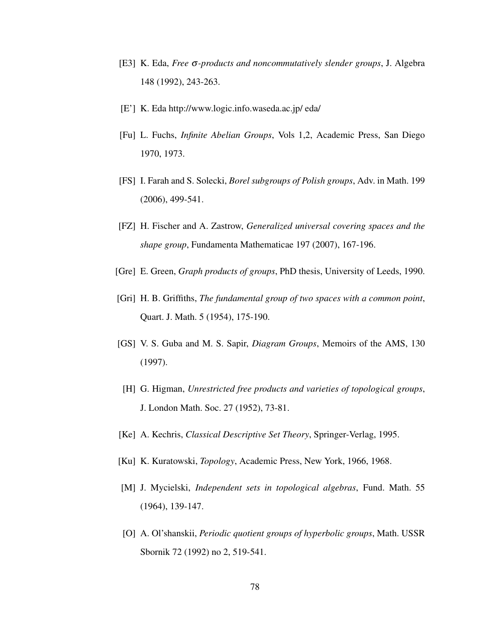- [E3] K. Eda, *Free* σ*-products and noncommutatively slender groups*, J. Algebra 148 (1992), 243-263.
- [E'] K. Eda http://www.logic.info.waseda.ac.jp/ eda/
- [Fu] L. Fuchs, *Infinite Abelian Groups*, Vols 1,2, Academic Press, San Diego 1970, 1973.
- [FS] I. Farah and S. Solecki, *Borel subgroups of Polish groups*, Adv. in Math. 199 (2006), 499-541.
- [FZ] H. Fischer and A. Zastrow, *Generalized universal covering spaces and the shape group*, Fundamenta Mathematicae 197 (2007), 167-196.
- [Gre] E. Green, *Graph products of groups*, PhD thesis, University of Leeds, 1990.
- [Gri] H. B. Griffiths, *The fundamental group of two spaces with a common point*, Quart. J. Math. 5 (1954), 175-190.
- [GS] V. S. Guba and M. S. Sapir, *Diagram Groups*, Memoirs of the AMS, 130 (1997).
	- [H] G. Higman, *Unrestricted free products and varieties of topological groups*, J. London Math. Soc. 27 (1952), 73-81.
- [Ke] A. Kechris, *Classical Descriptive Set Theory*, Springer-Verlag, 1995.
- [Ku] K. Kuratowski, *Topology*, Academic Press, New York, 1966, 1968.
- [M] J. Mycielski, *Independent sets in topological algebras*, Fund. Math. 55 (1964), 139-147.
- [O] A. Ol'shanskii, *Periodic quotient groups of hyperbolic groups*, Math. USSR Sbornik 72 (1992) no 2, 519-541.